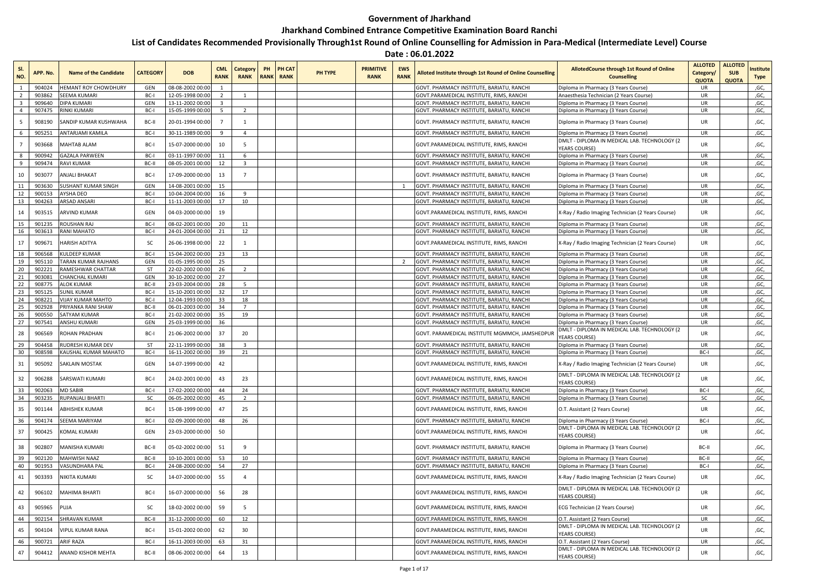## **Government of Jharkhand**

## **Jharkhand Combined Entrance Competitive Examination Board Ranchi**

## **List of Candidates Recommended Provisionally Through1st Round of Online Counselling for Admission in Para-Medical (Intermediate Level) Course**

## **Date : 06.01.2022**

| NO.            | APP, No.         | Name of the Candidate                            | <b>CATEGORY</b>   | <b>DOB</b>                           | <b>CML</b><br><b>RANK</b> | Category<br><b>RANK</b> | PH<br>RANK | PH CAT<br><b>RANK</b> | PH TYPE | <b>PRIMITIVE</b><br><b>RANK</b> | <b>EWS</b><br><b>RANK</b> | Alloted Institute through 1st Round of Online Counselling                              | <b>AllotedCourse through 1st Round of Online</b><br><b>Counselling</b>                    | <b>ALLOTED</b><br>Category/<br><b>QUOTA</b> | <b>ALLOTED</b><br><b>SUB</b><br><b>QUOTA</b> | nstitute<br><b>Type</b> |
|----------------|------------------|--------------------------------------------------|-------------------|--------------------------------------|---------------------------|-------------------------|------------|-----------------------|---------|---------------------------------|---------------------------|----------------------------------------------------------------------------------------|-------------------------------------------------------------------------------------------|---------------------------------------------|----------------------------------------------|-------------------------|
|                | 904024           | <b>IEMANT ROY CHOWDHURY</b>                      | GEN               | 08-08-2002 00:00                     |                           |                         |            |                       |         |                                 |                           | GOVT. PHARMACY INSTITUTE. BARIATU. RANCHI                                              | Diploma in Pharmacy (3 Years Course)                                                      | <b>UR</b>                                   |                                              | ,GC,                    |
|                | 903862           | SEEMA KUMARI                                     | BC-I              | 12-05-1998 00:00                     | $\overline{2}$            | $\mathbf{1}$            |            |                       |         |                                 |                           | GOVT.PARAMEDICAL INSTITUTE, RIMS, RANCHI                                               | Anaesthesia Technician (2 Years Course                                                    | UR                                          |                                              | ,GC,                    |
|                | 909640           | DIPA KUMARI                                      | GEN               | 13-11-2002 00:00                     | 3                         |                         |            |                       |         |                                 |                           | GOVT. PHARMACY INSTITUTE, BARIATU, RANCHI                                              | Diploma in Pharmacy (3 Years Course)                                                      | <b>UR</b>                                   |                                              | ,GC,                    |
| $\overline{4}$ | 907475           | RINKI KUMARI                                     | BC-I              | 15-05-1999 00:00                     | 5                         | $\overline{2}$          |            |                       |         |                                 |                           | GOVT. PHARMACY INSTITUTE, BARIATU, RANCHI                                              | Diploma in Pharmacy (3 Years Course)                                                      | UR                                          |                                              | ,GC,                    |
| 5              | 908190           | SANDIP KUMAR KUSHWAHA                            | BC-II             | 20-01-1994 00:00                     | $\overline{7}$            | $\mathbf{1}$            |            |                       |         |                                 |                           | GOVT. PHARMACY INSTITUTE, BARIATU, RANCHI                                              | Diploma in Pharmacy (3 Years Course)                                                      | UR                                          |                                              | ,GC,                    |
|                | 905251           | ANTARJAMI KAMILA                                 | BC-I              | 30-11-1989 00:00                     | 9                         | $\mathbf{A}$            |            |                       |         |                                 |                           | GOVT. PHARMACY INSTITUTE, BARIATU, RANCHI                                              | Diploma in Pharmacy (3 Years Course)                                                      | UR                                          |                                              | ,GC,                    |
|                | 903668           | MAHTAB ALAM                                      | BC-I              | 15-07-2000 00:00                     | 10                        | 5                       |            |                       |         |                                 |                           | GOVT.PARAMEDICAL INSTITUTE, RIMS, RANCHI                                               | DMLT - DIPLOMA IN MEDICAL LAB. TECHNOLOGY (2<br>YFARS COURSE)                             | UR                                          |                                              | ,GC,                    |
|                | 900942           | <b>GAZALA PARWEEN</b>                            | BC-I              | 03-11-1997 00:00                     | 11                        | 6                       |            |                       |         |                                 |                           | GOVT. PHARMACY INSTITUTE, BARIATU, RANCHI                                              | Diploma in Pharmacy (3 Years Course)                                                      | UR                                          |                                              | ,GC,                    |
| q              | 909474           | <b>RAVI KUMAR</b>                                | BC-II             | 08-05-2001 00:00                     | 12                        | $\overline{\mathbf{3}}$ |            |                       |         |                                 |                           | GOVT. PHARMACY INSTITUTE, BARIATU, RANCHI                                              | Diploma in Pharmacy (3 Years Course)                                                      | UR                                          |                                              | ,GC,                    |
| 10             | 903077           | ANJALI BHAKAT                                    | BC-I              | 17-09-2000 00:00                     | 13                        | $\overline{7}$          |            |                       |         |                                 |                           | GOVT. PHARMACY INSTITUTE, BARIATU, RANCHI                                              | Diploma in Pharmacy (3 Years Course)                                                      | UR                                          |                                              | ,GC,                    |
| 11             | 903630           | SUSHANT KUMAR SINGH                              | GEN               | 14-08-2001 00:00                     | 15                        |                         |            |                       |         |                                 |                           | GOVT. PHARMACY INSTITUTE, BARIATU, RANCHI                                              | Diploma in Pharmacy (3 Years Course)                                                      | <b>UR</b>                                   |                                              | ,GC,                    |
| 12             | 900153           | AYSHA DEO                                        | BC-I              | 10-04-2004 00:00                     | 16                        | -9                      |            |                       |         |                                 |                           | GOVT. PHARMACY INSTITUTE, BARIATU, RANCHI                                              | Diploma in Pharmacy (3 Years Course)                                                      | UR                                          |                                              | ,GC,                    |
| 13             | 904263           | <b>ARSAD ANSAR</b>                               | BC-I              | 11-11-2003 00:00                     | 17                        | 10                      |            |                       |         |                                 |                           | GOVT. PHARMACY INSTITUTE, BARIATU, RANCHI                                              | Diploma in Pharmacy (3 Years Course)                                                      | <b>UR</b>                                   |                                              | ,GC,                    |
| 14             | 903515           | ARVIND KUMAR                                     | GEN               | 04-03-2000 00:00                     | 19                        |                         |            |                       |         |                                 |                           | GOVT.PARAMEDICAL INSTITUTE, RIMS, RANCHI                                               | X-Ray / Radio Imaging Technician (2 Years Course)                                         | UR                                          |                                              | ,GC,                    |
| 15             | 901235           | ROUSHAN RAJ                                      | BC-I              | 08-02-2001 00:00                     | 20                        | 11                      |            |                       |         |                                 |                           | GOVT. PHARMACY INSTITUTE, BARIATU, RANCHI                                              | Diploma in Pharmacy (3 Years Course)                                                      | UR                                          |                                              | ,GC,                    |
| 16             | 903613           | <b>RANI MAHATO</b>                               | BC-I              | 24-01-2004 00:00                     | 21                        | 12                      |            |                       |         |                                 |                           | GOVT. PHARMACY INSTITUTE, BARIATU, RANCHI                                              | Diploma in Pharmacy (3 Years Course)                                                      | <b>UR</b>                                   |                                              | ,GC,                    |
| 17             | 909671           | HARISH ADITYA                                    | SC                | 26-06-1998 00:00                     | 22                        | $\mathbf{1}$            |            |                       |         |                                 |                           | GOVT.PARAMEDICAL INSTITUTE, RIMS, RANCHI                                               | X-Ray / Radio Imaging Technician (2 Years Course)                                         | UR                                          |                                              | ,GC,                    |
| 18             | 906568           | KULDEEP KUMAR                                    | BC-I              | 15-04-2002 00:00                     | 23                        | 13                      |            |                       |         |                                 |                           | GOVT. PHARMACY INSTITUTE, BARIATU, RANCHI                                              | Diploma in Pharmacy (3 Years Course)                                                      | <b>UR</b>                                   |                                              | ,GC,                    |
| 19             | 905110           | TARAN KUMAR RAJHANS                              | GEN               | 01-05-1995 00:00                     | 25                        |                         |            |                       |         |                                 | $\overline{2}$            | GOVT. PHARMACY INSTITUTE, BARIATU, RANCHI                                              | Diploma in Pharmacy (3 Years Course)                                                      | <b>UR</b>                                   |                                              | ,GC,                    |
| 20             | 902221           | RAMESHWAR CHATTAR                                | <b>ST</b>         | 22-02-2002 00:00                     | 26                        | 2                       |            |                       |         |                                 |                           | GOVT. PHARMACY INSTITUTE, BARIATU, RANCHI                                              | Diploma in Pharmacy (3 Years Course)                                                      | UR                                          |                                              | ,GC,                    |
| 21             | 903081           | CHANCHAL KUMARI                                  | GEN               | 30-10-2002 00:00                     | 27                        |                         |            |                       |         |                                 |                           | GOVT. PHARMACY INSTITUTE, BARIATU, RANCHI                                              | Diploma in Pharmacy (3 Years Course)                                                      | UR                                          |                                              | ,GC,                    |
| 22             | 908775           | <b>ALOK KUMAR</b>                                | BC-II             | 23-03-2004 00:00                     | 28                        | -5                      |            |                       |         |                                 |                           | GOVT. PHARMACY INSTITUTE, BARIATU, RANCHI                                              | Diploma in Pharmacy (3 Years Course)                                                      | UR                                          |                                              | ,GC,                    |
| 23             | 905125           | SUNIL KUMAR                                      | BC-I              | 15-10-2001 00:00                     | 32                        | 17                      |            |                       |         |                                 |                           | GOVT. PHARMACY INSTITUTE, BARIATU, RANCHI                                              | Diploma in Pharmacy (3 Years Course)                                                      | UR                                          |                                              | ,GC,                    |
| 24             | 908221           | <b>VIJAY KUMAR MAHTO</b>                         | BC-I              | 12-04-1993 00:00                     | 33                        | 18<br>$\overline{7}$    |            |                       |         |                                 |                           | GOVT. PHARMACY INSTITUTE, BARIATU, RANCHI                                              | Diploma in Pharmacy (3 Years Course)                                                      | UR                                          |                                              | ,GC,                    |
| 25<br>26       | 902928<br>900550 | PRIYANKA RANI SHAW<br>SATYAM KUMAR               | BC-II<br>BC-I     | 06-01-2003 00:00<br>21-02-2002 00:00 | 34<br>35                  | 19                      |            |                       |         |                                 |                           | GOVT. PHARMACY INSTITUTE, BARIATU, RANCHI<br>GOVT, PHARMACY INSTITUTE, BARIATU, RANCHI | Diploma in Pharmacy (3 Years Course)                                                      | UR<br>UR                                    |                                              | ,GC,<br>,GC,            |
| 27             | 907541           | ANSHU KUMARI                                     | GEN               | 25-03-1999 00:00                     | 36                        |                         |            |                       |         |                                 |                           | GOVT. PHARMACY INSTITUTE, BARIATU, RANCHI                                              | Diploma in Pharmacy (3 Years Course)<br>Diploma in Pharmacy (3 Years Course)              | UR                                          |                                              | ,GC,                    |
|                |                  |                                                  |                   |                                      |                           |                         |            |                       |         |                                 |                           |                                                                                        | DMLT - DIPLOMA IN MEDICAL LAB. TECHNOLOGY (2                                              |                                             |                                              |                         |
| 28             | 906569           | ROHAN PRADHAN                                    | BC-I              | 21-06-2002 00:00                     | 37                        | 20                      |            |                       |         |                                 |                           | GOVT. PARAMEDICAL INSTITUTE MGMMCH, JAMSHEDPUR                                         | YEARS COURSE)                                                                             | UR                                          |                                              | ,GC,                    |
| 29<br>30       | 904458<br>908598 | <b>RUDRESH KUMAR DEV</b><br>KAUSHAL KUMAR MAHATO | <b>ST</b><br>BC-I | 22-11-1999 00:00<br>16-11-2002 00:00 | 38<br>39                  | $\overline{3}$<br>21    |            |                       |         |                                 |                           | GOVT. PHARMACY INSTITUTE, BARIATU, RANCHI<br>GOVT. PHARMACY INSTITUTE, BARIATU, RANCHI | Diploma in Pharmacy (3 Years Course)                                                      | <b>UR</b><br>BC-I                           |                                              | ,GC,<br>,GC,            |
| 31             | 905092           | SAKLAIN MOSTAK                                   | GEN               | 14-07-1999 00:00                     | 42                        |                         |            |                       |         |                                 |                           | GOVT.PARAMEDICAL INSTITUTE, RIMS, RANCHI                                               | Diploma in Pharmacy (3 Years Course)<br>X-Ray / Radio Imaging Technician (2 Years Course) | UR                                          |                                              | ,GC,                    |
| 32             | 906288           | SARSWATI KUMARI                                  | BC-I              | 24-02-2001 00:00                     | 43                        | 23                      |            |                       |         |                                 |                           | GOVT.PARAMEDICAL INSTITUTE, RIMS, RANCHI                                               | DMLT - DIPLOMA IN MEDICAL LAB. TECHNOLOGY (2<br>YEARS COURSE)                             | UR                                          |                                              | ,GC,                    |
| 33             | 902063           | <b>MD SABIR</b>                                  | BC-I              | 17-02-2002 00:00                     | 44                        | 24                      |            |                       |         |                                 |                           | GOVT. PHARMACY INSTITUTE, BARIATU, RANCHI                                              | Diploma in Pharmacy (3 Years Course)                                                      | BC-I                                        |                                              | ,GC,                    |
| 34             | 903235           | RUPANJALI BHARTI                                 | <b>SC</b>         | 06-05-2002 00:00                     | 45                        | 2                       |            |                       |         |                                 |                           | GOVT. PHARMACY INSTITUTE, BARIATU, RANCHI                                              | Diploma in Pharmacy (3 Years Course)                                                      | SC                                          |                                              | ,GC,                    |
| 35             | 901144           | ABHISHEK KUMAR                                   | BC-I              | 15-08-1999 00:00                     | 47                        | 25                      |            |                       |         |                                 |                           | GOVT.PARAMEDICAL INSTITUTE, RIMS, RANCHI                                               | O.T. Assistant (2 Years Course)                                                           | UR                                          |                                              | ,GC,                    |
| 36             | 904174           | SEEMA MARIYAM                                    | BC-I              | 02-09-2000 00:00                     | 48                        | 26                      |            |                       |         |                                 |                           | GOVT. PHARMACY INSTITUTE, BARIATU, RANCHI                                              | Diploma in Pharmacy (3 Years Course)                                                      | BC-I                                        |                                              | ,GC,                    |
| 37             | 900425           | KOMAL KUMARI                                     | GEN               | 23-03-2000 00:00                     | 50                        |                         |            |                       |         |                                 |                           | GOVT.PARAMEDICAL INSTITUTE, RIMS, RANCHI                                               | DMLT - DIPLOMA IN MEDICAL LAB. TECHNOLOGY (2<br><b>YEARS COURSE)</b>                      | UR                                          |                                              | ,GC,                    |
| 38             | 902807           | MANISHA KUMARI                                   | BC-II             | 05-02-2002 00:00                     | 51                        | 9                       |            |                       |         |                                 |                           | GOVT. PHARMACY INSTITUTE, BARIATU, RANCHI                                              | Diploma in Pharmacy (3 Years Course)                                                      | BC-II                                       |                                              | ,GC,                    |
| 39             | 902120           | <b>MAHWISH NAAZ</b>                              | BC-II             | 10-10-2001 00:00                     | 53                        | 10                      |            |                       |         |                                 |                           | GOVT. PHARMACY INSTITUTE. BARIATU. RANCHI                                              | Diploma in Pharmacy (3 Years Course)                                                      | BC-II                                       |                                              | .GC.                    |
| 40             | 901953           | VASUNDHARA PAL                                   | BC-I              | 24-08-2000 00:00                     | 54                        | 27                      |            |                       |         |                                 |                           | GOVT. PHARMACY INSTITUTE, BARIATU, RANCHI                                              | Diploma in Pharmacy (3 Years Course)                                                      | BC-I                                        |                                              | ,GC,                    |
| 41             | 903393           | NIKITA KUMARI                                    | SC                | 14-07-2000 00:00                     | 55                        | $\overline{4}$          |            |                       |         |                                 |                           | GOVT.PARAMEDICAL INSTITUTE, RIMS, RANCHI                                               | X-Ray / Radio Imaging Technician (2 Years Course)                                         | UR                                          |                                              | ,GC,                    |
| 42             | 906102           | MAHIMA BHARTI                                    | BC-I              | 16-07-2000 00:00                     | 56                        | 28                      |            |                       |         |                                 |                           | GOVT.PARAMEDICAL INSTITUTE, RIMS, RANCHI                                               | DMLT - DIPLOMA IN MEDICAL LAB. TECHNOLOGY (2<br>YEARS COURSE)                             | UR                                          |                                              | ,GC,                    |
| 43             | 905965           | PUJA                                             | <b>SC</b>         | 18-02-2002 00:00                     | 59                        | 5                       |            |                       |         |                                 |                           | GOVT.PARAMEDICAL INSTITUTE, RIMS, RANCHI                                               | ECG Technician (2 Years Course)                                                           | UR                                          |                                              | ,GC,                    |
| 44             | 902154           | <b>SHRAVAN KUMAR</b>                             | BC-II             | 31-12-2000 00:00                     | 60                        | 12                      |            |                       |         |                                 |                           | GOVT.PARAMEDICAL INSTITUTE, RIMS, RANCHI                                               | O.T. Assistant (2 Years Course)                                                           | UR                                          |                                              | ,GC,                    |
| 45             | 904104           | VIPUL KUMAR RANA                                 | BC-I              | 15-01-2002 00:00                     | 62                        | 30                      |            |                       |         |                                 |                           | GOVT.PARAMEDICAL INSTITUTE, RIMS, RANCHI                                               | DMLT - DIPLOMA IN MEDICAL LAB. TECHNOLOGY (2<br>YEARS COURSE)                             | UR                                          |                                              | ,GC,                    |
| 46             | 900721           | <b>ARIF RAZA</b>                                 | BC-I              | 16-11-2003 00:00                     | 63                        | 31                      |            |                       |         |                                 |                           | GOVT.PARAMEDICAL INSTITUTE, RIMS, RANCHI                                               | O.T. Assistant (2 Years Course)                                                           | UR                                          |                                              | ,GC,                    |
| 47             | 904412           | ANAND KISHOR MEHTA                               | BC-II             | 08-06-2002 00:00                     | 64                        | 13                      |            |                       |         |                                 |                           | GOVT.PARAMEDICAL INSTITUTE, RIMS, RANCHI                                               | DMLT - DIPLOMA IN MEDICAL LAB. TECHNOLOGY (2<br><b>YEARS COURSE)</b>                      | UR                                          |                                              | ,GC,                    |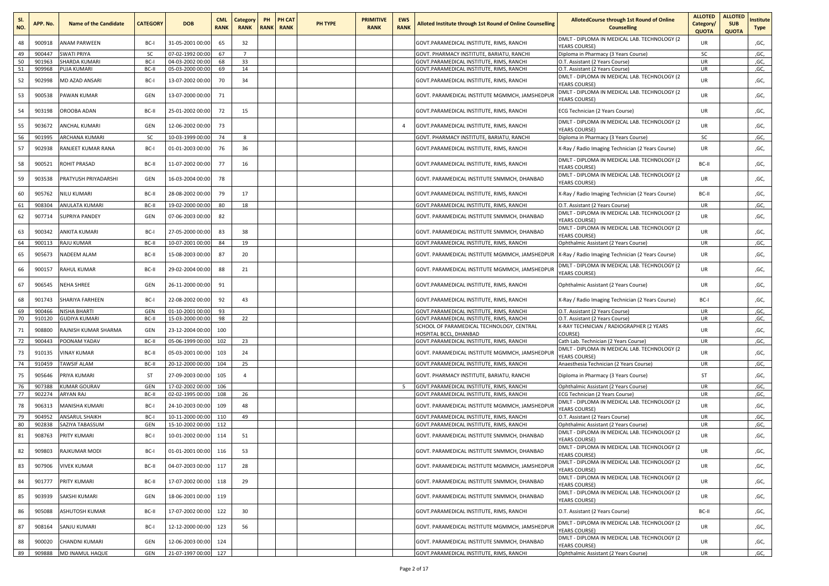| SI.<br>NO. | APP. No.         | <b>Name of the Candidate</b>    | <b>CATEGORY</b> | <b>DOB</b>                           | <b>CML</b><br><b>RANK</b> | Category<br><b>RANK</b> | PH | PH CAT<br><b>RANK RANK</b> | <b>PH TYPE</b> | <b>PRIMITIVE</b><br><b>RANK</b> | <b>EWS</b><br><b>RANK</b> | <b>Alloted Institute through 1st Round of Online Counselling</b>                        | AllotedCourse through 1st Round of Online<br><b>Counselling</b>                       | <b>ALLOTED</b><br>Category/<br><b>QUOTA</b> | <b>ALLOTED</b><br><b>SUB</b><br><b>QUOTA</b> | Institute<br><b>Type</b> |
|------------|------------------|---------------------------------|-----------------|--------------------------------------|---------------------------|-------------------------|----|----------------------------|----------------|---------------------------------|---------------------------|-----------------------------------------------------------------------------------------|---------------------------------------------------------------------------------------|---------------------------------------------|----------------------------------------------|--------------------------|
| 48         | 900918           | ANAM PARWEEN                    | BC-I            | 31-05-2001 00:00                     | 65                        | 32                      |    |                            |                |                                 |                           | GOVT.PARAMEDICAL INSTITUTE, RIMS, RANCHI                                                | DMLT - DIPLOMA IN MEDICAL LAB. TECHNOLOGY (2<br><b>YEARS COURSE)</b>                  | UR                                          |                                              | ,GC,                     |
| 49         | 900447           | <b>SWATI PRIYA</b>              | <b>SC</b>       | 07-02-1992 00:00                     | 67                        |                         |    |                            |                |                                 |                           | GOVT. PHARMACY INSTITUTE, BARIATU, RANCHI                                               | Diploma in Pharmacy (3 Years Course)                                                  | sc                                          |                                              | ,GC,                     |
| 50         | 901963           | <b>SHARDA KUMARI</b>            | BC-I            | 04-03-2002 00:00                     | 68                        | 33                      |    |                            |                |                                 |                           | GOVT.PARAMEDICAL INSTITUTE, RIMS, RANCHI                                                | O.T. Assistant (2 Years Course)                                                       | <b>UR</b>                                   |                                              | ,GC,                     |
| 51         | 909968           | PUJA KUMARI                     | BC-II           | 05-03-2000 00:00                     | 69                        | 14                      |    |                            |                |                                 |                           | GOVT.PARAMEDICAL INSTITUTE, RIMS, RANCHI                                                | O.T. Assistant (2 Years Course)                                                       | UR                                          |                                              | ,GC,                     |
| 52         | 902998           | MD AZAD ANSARI                  | BC-I            | 13-07-2002 00:00                     | 70                        | 34                      |    |                            |                |                                 |                           | GOVT.PARAMEDICAL INSTITUTE, RIMS, RANCHI                                                | DMLT - DIPLOMA IN MEDICAL LAB. TECHNOLOGY (2<br><b>YEARS COURSE)</b>                  | UR                                          |                                              | ,GC,                     |
| 53         | 900538           | PAWAN KUMAR                     | GEN             | 13-07-2000 00:00                     | 71                        |                         |    |                            |                |                                 |                           | GOVT. PARAMEDICAL INSTITUTE MGMMCH, JAMSHEDPUF                                          | DMLT - DIPLOMA IN MEDICAL LAB. TECHNOLOGY (2<br><b>YEARS COURSE)</b>                  | UR                                          |                                              | ,GC,                     |
| 54         | 903198           | OROOBA ADAN                     | BC-II           | 25-01-2002 00:00                     | 72                        | 15                      |    |                            |                |                                 |                           | GOVT.PARAMEDICAL INSTITUTE, RIMS, RANCHI                                                | ECG Technician (2 Years Course)                                                       | <b>UR</b>                                   |                                              | ,GC,                     |
| 55         | 903672           | ANCHAL KUMARI                   | GEN             | 12-06-2002 00:00                     | 73                        |                         |    |                            |                |                                 | $\overline{4}$            | GOVT.PARAMEDICAL INSTITUTE, RIMS, RANCHI                                                | DMLT - DIPLOMA IN MEDICAL LAB. TECHNOLOGY (2<br><b>YEARS COURSE)</b>                  | <b>UR</b>                                   |                                              | ,GC,                     |
| 56         | 901995           | <b>ARCHANA KUMARI</b>           | <b>SC</b>       | 10-03-1999 00:00                     | 74                        | 8                       |    |                            |                |                                 |                           | GOVT. PHARMACY INSTITUTE, BARIATU, RANCHI                                               | Diploma in Pharmacy (3 Years Course)                                                  | SC                                          |                                              | ,GC,                     |
| 57         | 902938           | RANJEET KUMAR RANA              | BC-I            | 01-01-2003 00:00                     | 76                        | 36                      |    |                            |                |                                 |                           | GOVT.PARAMEDICAL INSTITUTE, RIMS, RANCHI                                                | X-Ray / Radio Imaging Technician (2 Years Course)                                     | <b>UR</b>                                   |                                              | ,GC,                     |
| 58         | 900521           | ROHIT PRASAD                    | BC-II           | 11-07-2002 00:00                     | 77                        | 16                      |    |                            |                |                                 |                           | GOVT.PARAMEDICAL INSTITUTE, RIMS, RANCHI                                                | DMLT - DIPLOMA IN MEDICAL LAB. TECHNOLOGY (2<br><b>YEARS COURSE)</b>                  | BC-II                                       |                                              | ,GC,                     |
| 59         | 903538           | PRATYUSH PRIYADARSHI            | GEN             | 16-03-2004 00:00                     | 78                        |                         |    |                            |                |                                 |                           | GOVT. PARAMEDICAL INSTITUTE SNMMCH, DHANBAD                                             | DMLT - DIPLOMA IN MEDICAL LAB. TECHNOLOGY (2<br><b>YEARS COURSE)</b>                  | <b>UR</b>                                   |                                              | ,GC,                     |
| 60         | 905762           | NILU KUMARI                     | BC-II           | 28-08-2002 00:00                     | - 79                      | 17                      |    |                            |                |                                 |                           | GOVT.PARAMEDICAL INSTITUTE, RIMS, RANCHI                                                | X-Ray / Radio Imaging Technician (2 Years Course)                                     | BC-II                                       |                                              | ,GC,                     |
| 61         | 908304           | ANULATA KUMARI                  | BC-II           | 19-02-2000 00:00                     | 80                        | 18                      |    |                            |                |                                 |                           | GOVT.PARAMEDICAL INSTITUTE, RIMS, RANCHI                                                | O.T. Assistant (2 Years Course)                                                       | UR                                          |                                              | ,GC,                     |
| 62         | 907714           | <b>SUPRIYA PANDEY</b>           | GEN             | 07-06-2003 00:00                     | 82                        |                         |    |                            |                |                                 |                           | GOVT. PARAMEDICAL INSTITUTE SNMMCH, DHANBAD                                             | DMLT - DIPLOMA IN MEDICAL LAB. TECHNOLOGY (2<br><b>YEARS COURSE)</b>                  | <b>UR</b>                                   |                                              | ,GC,                     |
| 63         | 900342           | ANKITA KUMARI                   | BC-I            | 27-05-2000 00:00                     | 83                        | 38                      |    |                            |                |                                 |                           | GOVT. PARAMEDICAL INSTITUTE SNMMCH, DHANBAD                                             | DMLT - DIPLOMA IN MEDICAL LAB. TECHNOLOGY (2<br>YEARS COURSE)                         | <b>UR</b>                                   |                                              | ,GC,                     |
| 64         | 900113           | <b>RAJU KUMAR</b>               | BC-II           | 10-07-2001 00:00                     | 84                        | 19                      |    |                            |                |                                 |                           | GOVT.PARAMEDICAL INSTITUTE, RIMS, RANCHI                                                | Ophthalmic Assistant (2 Years Course)                                                 | <b>UR</b>                                   |                                              | ,GC,                     |
| 65         | 905673           | NADEEM ALAM                     | BC-II           | 15-08-2003 00:00                     | 87                        | 20                      |    |                            |                |                                 |                           | GOVT. PARAMEDICAL INSTITUTE MGMMCH, JAMSHEDPUR                                          | X-Ray / Radio Imaging Technician (2 Years Course)                                     | <b>UR</b>                                   |                                              | ,GC,                     |
| 66         | 900157           | RAHUL KUMAR                     | BC-II           | 29-02-2004 00:00                     | 88                        | 21                      |    |                            |                |                                 |                           | GOVT. PARAMEDICAL INSTITUTE MGMMCH, JAMSHEDPUF                                          | DMLT - DIPLOMA IN MEDICAL LAB. TECHNOLOGY (2<br><b>YEARS COURSE)</b>                  | UR                                          |                                              | ,GC,                     |
| 67         | 906545           | <b>NEHA SHREE</b>               | GEN             | 26-11-2000 00:00                     | 91                        |                         |    |                            |                |                                 |                           | GOVT.PARAMEDICAL INSTITUTE, RIMS, RANCHI                                                | Ophthalmic Assistant (2 Years Course)                                                 | UR                                          |                                              | ,GC,                     |
| 68         | 901743           | SHARIYA FARHEEN                 | BC-I            | 22-08-2002 00:00                     | 92                        | 43                      |    |                            |                |                                 |                           | GOVT.PARAMEDICAL INSTITUTE, RIMS, RANCHI                                                | X-Ray / Radio Imaging Technician (2 Years Course)                                     | BC-I                                        |                                              | ,GC,                     |
| 69         | 900466           | NISHA BHARTI                    | GEN             | 01-10-2001 00:00                     | 93                        |                         |    |                            |                |                                 |                           | GOVT.PARAMEDICAL INSTITUTE, RIMS, RANCHI                                                | O.T. Assistant (2 Years Course)                                                       | <b>UR</b>                                   |                                              | ,GC,                     |
| 70         | 910120           | <b>GUDIYA KUMARI</b>            | BC-II           | 15-03-2000 00:00                     | 98                        | 22                      |    |                            |                |                                 |                           | GOVT.PARAMEDICAL INSTITUTE, RIMS, RANCHI<br>SCHOOL OF PARAMEDICAL TECHNOLOGY, CENTRAL   | O.T. Assistant (2 Years Course)<br>X-RAY TECHNICIAN / RADIOGRAPHER (2 YEARS           | UR                                          |                                              | ,GC,                     |
| 71         | 908800           | RAJNISH KUMAR SHARMA            | GEN             | 23-12-2004 00:00                     | 100                       |                         |    |                            |                |                                 |                           | HOSPITAL BCCL, DHANBAD                                                                  | COURSE)                                                                               | <b>UR</b>                                   |                                              | ,GC,                     |
| 72         | 900443           | POONAM YADAV                    | BC-II           | 05-06-1999 00:00                     | 102                       | 23                      |    |                            |                |                                 |                           | GOVT.PARAMEDICAL INSTITUTE, RIMS, RANCHI                                                | Cath Lab. Technician (2 Years Course)                                                 | <b>UR</b>                                   |                                              | ,GC,                     |
| 73         | 910135           | VINAY KUMAR                     | BC-II           | 05-03-2001 00:00                     | 103                       | 24                      |    |                            |                |                                 |                           | GOVT. PARAMEDICAL INSTITUTE MGMMCH, JAMSHEDPUR                                          | DMLT - DIPLOMA IN MEDICAL LAB. TECHNOLOGY (2<br><b>YEARS COURSE)</b>                  | UR                                          |                                              | ,GC,                     |
| 74         | 910459           | TAWSIF ALAM                     | BC-II           | 20-12-2000 00:00                     | 104                       | 25                      |    |                            |                |                                 |                           | GOVT.PARAMEDICAL INSTITUTE, RIMS, RANCHI                                                | Anaesthesia Technician (2 Years Course)                                               | UR                                          |                                              | ,GC,                     |
| 75         | 905646           | PRIYA KUMARI                    | ST              | 27-09-2003 00:00                     | 105                       | $\overline{4}$          |    |                            |                |                                 |                           | GOVT. PHARMACY INSTITUTE, BARIATU, RANCHI                                               | Diploma in Pharmacy (3 Years Course)                                                  | ST                                          |                                              | ,GC,                     |
| 76         | 907388           | <b>KUMAR GOURAV</b>             | GEN             | 17-02-2002 00:00                     | 106                       |                         |    |                            |                |                                 | 5                         | GOVT.PARAMEDICAL INSTITUTE, RIMS, RANCHI                                                | Ophthalmic Assistant (2 Years Course)                                                 | UR                                          |                                              | ,GC,                     |
| 77         | 902274           | ARYAN RAJ                       | BC-II           | 02-02-1995 00:00                     | 108                       | 26                      |    |                            |                |                                 |                           | GOVT.PARAMEDICAL INSTITUTE, RIMS, RANCHI                                                | ECG Technician (2 Years Course)                                                       | UR                                          |                                              | ,GC,                     |
| 78         | 906313           | MANISHA KUMARI                  | BC-I            | 24-10-2003 00:00                     | 109                       | 48                      |    |                            |                |                                 |                           | GOVT. PARAMEDICAL INSTITUTE MGMMCH, JAMSHEDPUR                                          | DMLT - DIPLOMA IN MEDICAL LAB. TECHNOLOGY (2<br><b>YEARS COURSE)</b>                  | UR                                          |                                              | ,GC,                     |
| 79         | 904952           | <b>ANSARUL SHAIKH</b>           | BC-I            | 10-11-2000 00:00                     | 110                       | 49                      |    |                            |                |                                 |                           | GOVT.PARAMEDICAL INSTITUTE, RIMS, RANCHI                                                | O.T. Assistant (2 Years Course)                                                       | UR                                          |                                              | ,GC,                     |
| 80<br>81   | 902838<br>908763 | SAZIYA TABASSUM<br>PRITY KUMARI | GEN<br>BC-I     | 15-10-2002 00:00<br>10-01-2002 00:00 | 112<br>114                | 51                      |    |                            |                |                                 |                           | GOVT.PARAMEDICAL INSTITUTE, RIMS, RANCHI<br>GOVT. PARAMEDICAL INSTITUTE SNMMCH, DHANBAD | Ophthalmic Assistant (2 Years Course)<br>DMLT - DIPLOMA IN MEDICAL LAB. TECHNOLOGY (2 | <b>UR</b><br>UR                             |                                              | ,GC,<br>,GC,             |
| 82         | 909803           | RAJKUMAR MODI                   | $BC-I$          | 01-01-2001 00:00                     | 116                       | 53                      |    |                            |                |                                 |                           | GOVT. PARAMEDICAL INSTITUTE SNMMCH. DHANBAD                                             | <b>YEARS COURSE)</b><br>DMLT - DIPLOMA IN MEDICAL LAB. TECHNOLOGY (2                  | <b>UR</b>                                   |                                              | ,GC,                     |
| 83         | 907906           | <b>VIVEK KUMAR</b>              | BC-II           | 04-07-2003 00:00                     | 117                       | 28                      |    |                            |                |                                 |                           | GOVT. PARAMEDICAL INSTITUTE MGMMCH, JAMSHEDPUR                                          | YEARS COURSE)<br>DMLT - DIPLOMA IN MEDICAL LAB. TECHNOLOGY (2                         | <b>UR</b>                                   |                                              | ,GC,                     |
| 84         | 901777           | PRITY KUMARI                    | BC-II           | 17-07-2002 00:00                     | 118                       | 29                      |    |                            |                |                                 |                           | GOVT. PARAMEDICAL INSTITUTE SNMMCH, DHANBAD                                             | <b>YEARS COURSE)</b><br>DMLT - DIPLOMA IN MEDICAL LAB. TECHNOLOGY (2                  | <b>UR</b>                                   |                                              | ,GC,                     |
| 85         | 903939           | SAKSHI KUMARI                   | GEN             | 18-06-2001 00:00                     | 119                       |                         |    |                            |                |                                 |                           | GOVT. PARAMEDICAL INSTITUTE SNMMCH, DHANBAD                                             | <b>YEARS COURSE)</b><br>DMLT - DIPLOMA IN MEDICAL LAB. TECHNOLOGY (2                  | UR                                          |                                              | ,GC,                     |
| 86         | 905088           | ASHUTOSH KUMAR                  | BC-II           | 17-07-2002 00:00                     | 122                       | 30                      |    |                            |                |                                 |                           | GOVT.PARAMEDICAL INSTITUTE, RIMS, RANCHI                                                | <b>YEARS COURSE)</b><br>O.T. Assistant (2 Years Course)                               | BC-II                                       |                                              | ,GC,                     |
| 87         | 908164           | SANJU KUMARI                    | BC-I            | 12-12-2000 00:00                     | 123                       | 56                      |    |                            |                |                                 |                           | GOVT. PARAMEDICAL INSTITUTE MGMMCH, JAMSHEDPUR                                          | DMLT - DIPLOMA IN MEDICAL LAB. TECHNOLOGY (2<br><b>YEARS COURSE)</b>                  | UR                                          |                                              | ,GC,                     |
| 88         | 900020           | CHANDNI KUMARI                  | GEN             | 12-06-2003 00:00                     | 124                       |                         |    |                            |                |                                 |                           | GOVT. PARAMEDICAL INSTITUTE SNMMCH, DHANBAD                                             | DMLT - DIPLOMA IN MEDICAL LAB. TECHNOLOGY (2<br><b>YEARS COURSE)</b>                  | UR                                          |                                              | ,GC,                     |
| 89         | 909888           | MD INAMUL HAQUE                 | GEN             | 21-07-1997 00:00 127                 |                           |                         |    |                            |                |                                 |                           | GOVT.PARAMEDICAL INSTITUTE, RIMS, RANCHI                                                | Ophthalmic Assistant (2 Years Course)                                                 | <b>UR</b>                                   |                                              | ,GC,                     |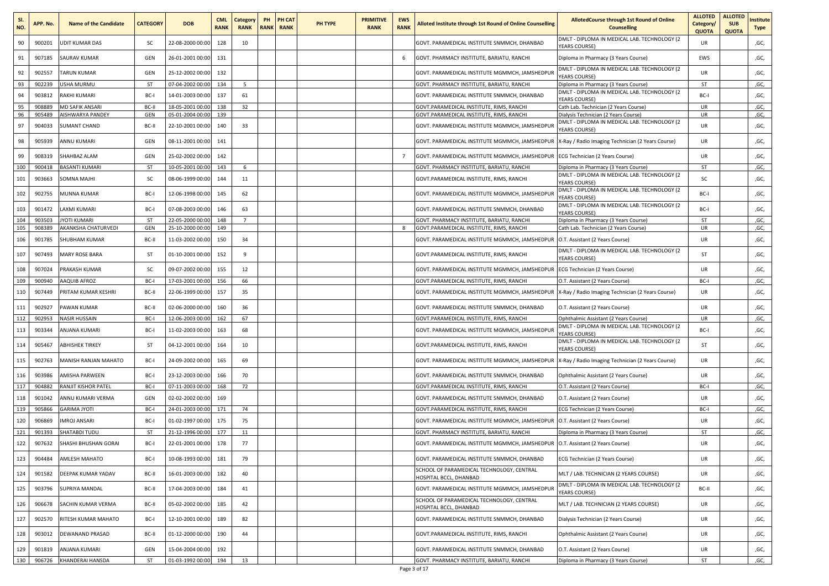| SI.<br>NO. | APP. No. | <b>Name of the Candidate</b> | <b>CATEGORY</b> | <b>DOB</b>       | <b>CML</b><br><b>RANK</b> | Category<br><b>RANK</b> | PH | PH CAT<br><b>RANK RANK</b> | PH TYPE | <b>PRIMITIVE</b><br><b>RANK</b> | <b>EWS</b><br><b>RANK</b> | Alloted Institute through 1st Round of Online Counselling           | AllotedCourse through 1st Round of Online<br><b>Counselling</b>             | <b>ALLOTED</b><br>Category/<br><b>QUOTA</b> | <b>ALLOTED</b><br><b>SUB</b><br><b>QUOTA</b> | nstitute<br><b>Type</b> |
|------------|----------|------------------------------|-----------------|------------------|---------------------------|-------------------------|----|----------------------------|---------|---------------------------------|---------------------------|---------------------------------------------------------------------|-----------------------------------------------------------------------------|---------------------------------------------|----------------------------------------------|-------------------------|
| 90         | 900201   | <b>UDIT KUMAR DAS</b>        | SC              | 22-08-2000 00:00 | 128                       | 10                      |    |                            |         |                                 |                           | GOVT. PARAMEDICAL INSTITUTE SNMMCH, DHANBAD                         | DMLT - DIPLOMA IN MEDICAL LAB. TECHNOLOGY (2<br><b>YEARS COURSE)</b>        | UR                                          |                                              | ,GC,                    |
| 91         | 907185   | SAURAV KUMAR                 | GEN             | 26-01-2001 00:00 | 131                       |                         |    |                            |         |                                 | 6                         | GOVT. PHARMACY INSTITUTE, BARIATU, RANCHI                           | Diploma in Pharmacy (3 Years Course)                                        | EWS                                         |                                              | ,GC,                    |
| 92         | 902557   | TARUN KUMAR                  | GEN             | 25-12-2002 00:00 | 132                       |                         |    |                            |         |                                 |                           | GOVT. PARAMEDICAL INSTITUTE MGMMCH, JAMSHEDPUR                      | DMLT - DIPLOMA IN MEDICAL LAB. TECHNOLOGY (2<br>YEARS COURSE)               | <b>UR</b>                                   |                                              | ,GC,                    |
| 93         | 902239   | USHA MURMU                   | ST              | 07-04-2002 00:00 | 134                       | -5                      |    |                            |         |                                 |                           | GOVT. PHARMACY INSTITUTE, BARIATU, RANCHI                           | Diploma in Pharmacy (3 Years Course)                                        | ST                                          |                                              | ,GC,                    |
| 94         | 903812   | RAKHI KUMARI                 | BC-I            | 14-01-2003 00:00 | 137                       | 61                      |    |                            |         |                                 |                           | GOVT. PARAMEDICAL INSTITUTE SNMMCH, DHANBAD                         | DMLT - DIPLOMA IN MEDICAL LAB. TECHNOLOGY (2<br><b>YEARS COURSE)</b>        | BC-I                                        |                                              | ,GC,                    |
| 95         | 908889   | <b>MD SAFIK ANSARI</b>       | BC-II           | 18-05-2001 00:00 | 138                       | 32                      |    |                            |         |                                 |                           | GOVT.PARAMEDICAL INSTITUTE, RIMS, RANCHI                            | Cath Lab. Technician (2 Years Course)                                       | UR                                          |                                              | ,GC,                    |
| 96         | 905489   | AISHWARYA PANDEY             | GEN             | 05-01-2004 00:00 | 139                       |                         |    |                            |         |                                 |                           | GOVT.PARAMEDICAL INSTITUTE, RIMS, RANCHI                            | Dialysis Technician (2 Years Course)                                        | UR                                          |                                              | ,GC,                    |
| 97         | 904033   | SUMANT CHAND                 | BC-II           | 22-10-2001 00:00 | 140                       | 33                      |    |                            |         |                                 |                           | GOVT. PARAMEDICAL INSTITUTE MGMMCH, JAMSHEDPUF                      | DMLT - DIPLOMA IN MEDICAL LAB. TECHNOLOGY (2<br><b>YEARS COURSE)</b>        | UR                                          |                                              | ,GC,                    |
| 98         | 905939   | ANNU KUMARI                  | GEN             | 08-11-2001 00:00 | 141                       |                         |    |                            |         |                                 |                           | GOVT. PARAMEDICAL INSTITUTE MGMMCH, JAMSHEDPUR                      | X-Ray / Radio Imaging Technician (2 Years Course)                           | UR                                          |                                              | ,GC,                    |
| 99         | 908319   | SHAHBAZ ALAM                 | GEN             | 25-02-2002 00:00 | 142                       |                         |    |                            |         |                                 | $\overline{7}$            | GOVT. PARAMEDICAL INSTITUTE MGMMCH, JAMSHEDPUR                      | ECG Technician (2 Years Course)                                             | UR                                          |                                              | ,GC,                    |
| 100        | 900418   | BASANTI KUMARI               | ST              | 10-05-2001 00:00 | 143                       | 6                       |    |                            |         |                                 |                           | GOVT. PHARMACY INSTITUTE, BARIATU, RANCHI                           | Diploma in Pharmacy (3 Years Course)                                        | ST                                          |                                              | ,GC,                    |
| 101        | 903663   | SOMNA MAJHI                  | sc              | 08-06-1999 00:00 | 144                       | 11                      |    |                            |         |                                 |                           | GOVT.PARAMEDICAL INSTITUTE, RIMS, RANCHI                            | DMLT - DIPLOMA IN MEDICAL LAB. TECHNOLOGY (2<br><b>YEARS COURSE)</b>        | sc                                          |                                              | ,GC,                    |
| 102        | 902755   | MUNNA KUMAR                  | BC-I            | 12-06-1998 00:00 | 145                       | 62                      |    |                            |         |                                 |                           | GOVT. PARAMEDICAL INSTITUTE MGMMCH, JAMSHEDPUF                      | DMLT - DIPLOMA IN MEDICAL LAB. TECHNOLOGY (2<br><b>YEARS COURSE)</b>        | BC-I                                        |                                              | ,GC,                    |
| 103        | 901472   | LAXMI KUMARI                 | BC-I            | 07-08-2003 00:00 | 146                       | 63                      |    |                            |         |                                 |                           | GOVT. PARAMEDICAL INSTITUTE SNMMCH, DHANBAD                         | DMLT - DIPLOMA IN MEDICAL LAB. TECHNOLOGY (2<br><b><i>(EARS COURSE)</i></b> | BC-I                                        |                                              | ,GC,                    |
| 104        | 903503   | <b>JYOTI KUMARI</b>          | ST              | 22-05-2000 00:0  | 148                       | $\overline{7}$          |    |                            |         |                                 |                           | GOVT. PHARMACY INSTITUTE, BARIATU, RANCHI                           | Diploma in Pharmacy (3 Years Course)                                        | ST                                          |                                              | ,GC,                    |
| 105        | 908389   | AKANKSHA CHATURVEDI          | GEN             | 25-10-2000 00:00 | 149                       |                         |    |                            |         |                                 | 8                         | GOVT.PARAMEDICAL INSTITUTE, RIMS, RANCHI                            | Cath Lab. Technician (2 Years Course)                                       | UR                                          |                                              | ,GC,                    |
| 106        | 901785   | SHUBHAM KUMAR                | BC-II           | 11-03-2002 00:00 | 150                       | 34                      |    |                            |         |                                 |                           | GOVT. PARAMEDICAL INSTITUTE MGMMCH, JAMSHEDPUR                      | O.T. Assistant (2 Years Course)                                             | <b>UR</b>                                   |                                              | ,GC,                    |
| 107        | 907493   | MARY ROSE BARA               | ST              | 01-10-2001 00:00 | 152                       | 9                       |    |                            |         |                                 |                           | GOVT.PARAMEDICAL INSTITUTE, RIMS, RANCHI                            | DMLT - DIPLOMA IN MEDICAL LAB. TECHNOLOGY (2<br>YEARS COURSE)               | ST                                          |                                              | ,GC,                    |
| 108        | 907024   | PRAKASH KUMAR                | sc              | 09-07-2002 00:00 | 155                       | 12                      |    |                            |         |                                 |                           | GOVT. PARAMEDICAL INSTITUTE MGMMCH, JAMSHEDPUR                      | ECG Technician (2 Years Course)                                             | UR                                          |                                              | ,GC,                    |
| 109        | 900940   | AAQUIB AFROZ                 | BC-I            | 17-03-2001 00:00 | 156                       | 66                      |    |                            |         |                                 |                           | GOVT.PARAMEDICAL INSTITUTE, RIMS, RANCHI                            | O.T. Assistant (2 Years Course)                                             | BC-I                                        |                                              | ,GC,                    |
| 110        | 907449   | PRITAM KUMAR KESHRI          | BC-II           | 22-06-1999 00:00 | 157                       | 35                      |    |                            |         |                                 |                           | GOVT. PARAMEDICAL INSTITUTE MGMMCH, JAMSHEDPUR                      | X-Ray / Radio Imaging Technician (2 Years Course)                           | UR                                          |                                              | ,GC,                    |
| 111        | 902927   | PAWAN KUMAR                  | BC-II           | 02-06-2000 00:00 | 160                       | 36                      |    |                            |         |                                 |                           | GOVT. PARAMEDICAL INSTITUTE SNMMCH, DHANBAD                         | O.T. Assistant (2 Years Course)                                             | UR                                          |                                              | ,GC,                    |
| 112        | 902953   | NASIR HUSSAIN                | BC-I            | 12-06-2003 00:00 | 162                       | 67                      |    |                            |         |                                 |                           | GOVT.PARAMEDICAL INSTITUTE, RIMS, RANCHI                            | Ophthalmic Assistant (2 Years Course)                                       | UR                                          |                                              | ,GC,                    |
| 113        | 903344   | ANJANA KUMARI                | BC-I            | 11-02-2003 00:00 | 163                       | 68                      |    |                            |         |                                 |                           | GOVT. PARAMEDICAL INSTITUTE MGMMCH, JAMSHEDPUR                      | DMLT - DIPLOMA IN MEDICAL LAB. TECHNOLOGY (2<br><b>YEARS COURSE)</b>        | BC-I                                        |                                              | ,GC,                    |
| 114        | 905467   | <b>ABHISHEK TIRKEY</b>       | ST              | 04-12-2001 00:00 | 164                       | 10                      |    |                            |         |                                 |                           | GOVT.PARAMEDICAL INSTITUTE, RIMS, RANCHI                            | DMLT - DIPLOMA IN MEDICAL LAB. TECHNOLOGY (2<br>YEARS COURSE)               | ST                                          |                                              | ,GC,                    |
| 115        | 902763   | MANISH RANJAN MAHATO         | BC-I            | 24-09-2002 00:00 | 165                       | 69                      |    |                            |         |                                 |                           | GOVT. PARAMEDICAL INSTITUTE MGMMCH, JAMSHEDPUR                      | X-Ray / Radio Imaging Technician (2 Years Course)                           | UR                                          |                                              | ,GC,                    |
| 116        | 903986   | AMISHA PARWEEN               | BC-I            | 23-12-2003 00:00 | 166                       | 70                      |    |                            |         |                                 |                           | GOVT. PARAMEDICAL INSTITUTE SNMMCH, DHANBAD                         | Ophthalmic Assistant (2 Years Course)                                       | <b>UR</b>                                   |                                              | ,GC,                    |
| 117        | 904882   | RANJIT KISHOR PATEL          | BC-I            | 07-11-2003 00:00 | 168                       | 72                      |    |                            |         |                                 |                           | GOVT.PARAMEDICAL INSTITUTE, RIMS, RANCHI                            | O.T. Assistant (2 Years Course)                                             | BC-I                                        |                                              | ,GC,                    |
| 118        | 901042   | ANNU KUMARI VERMA            | GEN             | 02-02-2002 00:00 | 169                       |                         |    |                            |         |                                 |                           | GOVT. PARAMEDICAL INSTITUTE SNMMCH, DHANBAD                         | O.T. Assistant (2 Years Course)                                             | UR                                          |                                              | ,GC,                    |
| 119        | 905866   | <b>GARIMA JYOTI</b>          | BC-I            | 24-01-2003 00:00 | 171                       | 74                      |    |                            |         |                                 |                           | GOVT.PARAMEDICAL INSTITUTE, RIMS, RANCHI                            | ECG Technician (2 Years Course)                                             | BC-I                                        |                                              | ,GC,                    |
| 120        | 906869   | MROJ ANSARI                  | BC-I            | 01-02-1997 00:00 | 175                       | 75                      |    |                            |         |                                 |                           | GOVT. PARAMEDICAL INSTITUTE MGMMCH, JAMSHEDPUR                      | O.T. Assistant (2 Years Course)                                             | UR                                          |                                              | ,GC,                    |
| 121        | 901393   | <b>SHATABDI TUDU</b>         | ST              | 21-12-1996 00:0  | 177                       | 11                      |    |                            |         |                                 |                           | GOVT, PHARMACY INSTITUTE, BARIATU, RANCHI                           | Diploma in Pharmacy (3 Years Course)                                        | ST                                          |                                              | ,GC,                    |
| 122        | 907632   | SHASHI BHUSHAN GORAI         | BC-I            | 22-01-2001 00:00 | 178                       | 77                      |    |                            |         |                                 |                           | GOVT. PARAMEDICAL INSTITUTE MGMMCH, JAMSHEDPUR                      | O.T. Assistant (2 Years Course)                                             | UR                                          |                                              | ,GC,                    |
| 123        | 904484   | AMLESH MAHATO                | BC-I            | 10-08-1993 00:00 | 181                       | 79                      |    |                            |         |                                 |                           | GOVT. PARAMEDICAL INSTITUTE SNMMCH, DHANBAD                         | ECG Technician (2 Years Course)                                             | <b>UR</b>                                   |                                              | ,GC,                    |
| 124        | 901582   | DEEPAK KUMAR YADAV           | BC-II           | 16-01-2003 00:00 | 182                       | 40                      |    |                            |         |                                 |                           | SCHOOL OF PARAMEDICAL TECHNOLOGY, CENTRAL<br>HOSPITAL BCCL, DHANBAD | MLT / LAB. TECHNICIAN (2 YEARS COURSE)                                      | <b>UR</b>                                   |                                              | ,GC,                    |
| 125        | 903796   | SUPRIYA MANDAL               | BC-II           | 17-04-2003 00:00 | 184                       | 41                      |    |                            |         |                                 |                           | GOVT. PARAMEDICAL INSTITUTE MGMMCH, JAMSHEDPUR                      | DMLT - DIPLOMA IN MEDICAL LAB. TECHNOLOGY (2<br>YEARS COURSE)               | BC-II                                       |                                              | ,GC,                    |
| 126        | 906678   | SACHIN KUMAR VERMA           | BC-II           | 05-02-2002 00:00 | 185                       | 42                      |    |                            |         |                                 |                           | SCHOOL OF PARAMEDICAL TECHNOLOGY, CENTRAL<br>HOSPITAL BCCL, DHANBAD | MLT / LAB. TECHNICIAN (2 YEARS COURSE)                                      | <b>UR</b>                                   |                                              | ,GC,                    |
| 127        | 902570   | RITESH KUMAR MAHATO          | BC-I            | 12-10-2001 00:00 | 189                       | 82                      |    |                            |         |                                 |                           | GOVT. PARAMEDICAL INSTITUTE SNMMCH, DHANBAD                         | Dialysis Technician (2 Years Course)                                        | <b>UR</b>                                   |                                              | ,GC,                    |
| 128        | 903012   | DEWANAND PRASAD              | BC-II           | 01-12-2000 00:00 | 190                       | 44                      |    |                            |         |                                 |                           | GOVT.PARAMEDICAL INSTITUTE, RIMS, RANCHI                            | Ophthalmic Assistant (2 Years Course)                                       | <b>UR</b>                                   |                                              | ,GC,                    |
| 129        | 901819   | ANJANA KUMARI                | GEN             | 15-04-2004 00:00 | 192                       |                         |    |                            |         |                                 |                           | GOVT. PARAMEDICAL INSTITUTE SNMMCH, DHANBAD                         | O.T. Assistant (2 Years Course)                                             | UR                                          |                                              | ,GC,                    |
| 130        | 906726   | KHANDERAI HANSDA             | ST              | 01-03-1992 00:00 | 194                       | 13                      |    |                            |         |                                 |                           | GOVT. PHARMACY INSTITUTE, BARIATU, RANCHI                           | Diploma in Pharmacy (3 Years Course)                                        | ST                                          |                                              | ,GC,                    |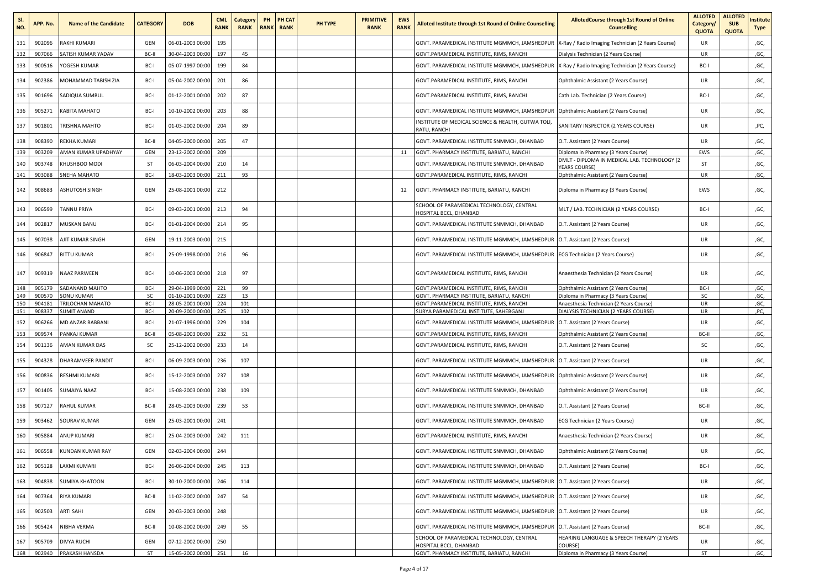| SI.<br>NO. | APP. No.         | <b>Name of the Candidate</b>          | <b>CATEGORY</b>   | <b>DOB</b>                           | <b>CML</b><br><b>RANK</b> | Category<br><b>RANK</b> | PH | PH CAT<br><b>RANK RANK</b> | PH TYPE | <b>PRIMITIVE</b><br><b>RANK</b> | <b>EWS</b><br><b>RANK</b> | <b>Alloted Institute through 1st Round of Online Counselling</b>                             | AllotedCourse through 1st Round of Online<br><b>Counselling</b>                 | <b>ALLOTED</b><br>Category/<br><b>QUOTA</b> | <b>ALLOTED</b><br><b>SUB</b><br><b>QUOTA</b> | nstitute<br>Type |
|------------|------------------|---------------------------------------|-------------------|--------------------------------------|---------------------------|-------------------------|----|----------------------------|---------|---------------------------------|---------------------------|----------------------------------------------------------------------------------------------|---------------------------------------------------------------------------------|---------------------------------------------|----------------------------------------------|------------------|
| 131        | 902096           | RAKHI KUMARI                          | GEN               | 06-01-2003 00:00                     | 195                       |                         |    |                            |         |                                 |                           | GOVT. PARAMEDICAL INSTITUTE MGMMCH, JAMSHEDPUR                                               | X-Ray / Radio Imaging Technician (2 Years Course)                               | UR                                          |                                              | ,GC,             |
| 132        | 907066           | SATISH KUMAR YADAV                    | BC-II             | 30-04-2003 00:00                     | 197                       | 45                      |    |                            |         |                                 |                           | GOVT.PARAMEDICAL INSTITUTE, RIMS, RANCHI                                                     | Dialysis Technician (2 Years Course)                                            | UR                                          |                                              | ,GC,             |
| 133        | 900516           | YOGESH KUMAR                          | BC-I              | 05-07-1997 00:00                     | 199                       | 84                      |    |                            |         |                                 |                           | GOVT. PARAMEDICAL INSTITUTE MGMMCH, JAMSHEDPUR                                               | X-Ray / Radio Imaging Technician (2 Years Course)                               | BC-I                                        |                                              | ,GC,             |
| 134        | 902386           | MOHAMMAD TABISH ZIA                   | BC-I              | 05-04-2002 00:00                     | 201                       | 86                      |    |                            |         |                                 |                           | GOVT.PARAMEDICAL INSTITUTE, RIMS, RANCHI                                                     | Ophthalmic Assistant (2 Years Course)                                           | <b>UR</b>                                   |                                              | ,GC,             |
| 135        | 901696           | SADIQUA SUMBUL                        | BC-I              | 01-12-2001 00:00                     | 202                       | 87                      |    |                            |         |                                 |                           | GOVT.PARAMEDICAL INSTITUTE, RIMS, RANCHI                                                     | Cath Lab. Technician (2 Years Course)                                           | BC-I                                        |                                              | ,GC,             |
| 136        | 905271           | KABITA MAHATO                         | BC-I              | 10-10-2002 00:00                     | 203                       | 88                      |    |                            |         |                                 |                           | GOVT. PARAMEDICAL INSTITUTE MGMMCH, JAMSHEDPUR                                               | Ophthalmic Assistant (2 Years Course)                                           | UR                                          |                                              | ,GC,             |
| 137        | 901801           | TRISHNA MAHTO                         | BC-I              | 01-03-2002 00:00                     | 204                       | 89                      |    |                            |         |                                 |                           | NSTITUTE OF MEDICAL SCIENCE & HEALTH, GUTWA TOLI,<br>RATU, RANCHI                            | SANITARY INSPECTOR (2 YEARS COURSE)                                             | UR                                          |                                              | ,PC,             |
| 138        | 908390           | REKHA KUMARI                          | BC-II             | 04-05-2000 00:00                     | 205                       | 47                      |    |                            |         |                                 |                           | GOVT. PARAMEDICAL INSTITUTE SNMMCH, DHANBAD                                                  | O.T. Assistant (2 Years Course)                                                 | UR                                          |                                              | ,GC,             |
| 139        | 903209           | AMAN KUMAR UPADHYAY                   | GEN               | 23-12-2002 00:00                     | 209                       |                         |    |                            |         |                                 | 11                        | GOVT. PHARMACY INSTITUTE, BARIATU, RANCHI                                                    | Diploma in Pharmacy (3 Years Course)                                            | EWS                                         |                                              | ,GC,             |
| 140        | 903748           | KHUSHBOO MODI                         | ST                | 06-03-2004 00:00                     | 210                       | 14                      |    |                            |         |                                 |                           | GOVT. PARAMEDICAL INSTITUTE SNMMCH, DHANBAD                                                  | DMLT - DIPLOMA IN MEDICAL LAB. TECHNOLOGY (2<br><b>YEARS COURSE)</b>            | ST                                          |                                              | ,GC,             |
| 141        | 903088           | SNEHA MAHATO                          | BC-I              | 18-03-2003 00:00                     | 211                       | 93                      |    |                            |         |                                 |                           | GOVT.PARAMEDICAL INSTITUTE, RIMS, RANCHI                                                     | Ophthalmic Assistant (2 Years Course)                                           | UR                                          |                                              | ,GC,             |
| 142        | 908683           | ASHUTOSH SINGH                        | GEN               | 25-08-2001 00:00                     | 212                       |                         |    |                            |         |                                 | 12                        | GOVT. PHARMACY INSTITUTE, BARIATU, RANCHI                                                    | Diploma in Pharmacy (3 Years Course)                                            | EWS                                         |                                              | ,GC,             |
| 143        | 906599           | TANNU PRIYA                           | BC-I              | 09-03-2001 00:00                     | 213                       | 94                      |    |                            |         |                                 |                           | SCHOOL OF PARAMEDICAL TECHNOLOGY, CENTRAL<br><b>IOSPITAL BCCL, DHANBAD</b>                   | MLT / LAB. TECHNICIAN (2 YEARS COURSE)                                          | BC-I                                        |                                              | ,GC,             |
| 144        | 902817           | MUSKAN BANU                           | BC-I              | 01-01-2004 00:00                     | 214                       | 95                      |    |                            |         |                                 |                           | GOVT. PARAMEDICAL INSTITUTE SNMMCH, DHANBAD                                                  | O.T. Assistant (2 Years Course)                                                 | UR                                          |                                              | ,GC,             |
| 145        | 907038           | AJIT KUMAR SINGH                      | GEN               | 19-11-2003 00:00                     | 215                       |                         |    |                            |         |                                 |                           | GOVT. PARAMEDICAL INSTITUTE MGMMCH, JAMSHEDPUR                                               | O.T. Assistant (2 Years Course)                                                 | UR                                          |                                              | ,GC,             |
| 146        | 906847           | <b>BITTU KUMAR</b>                    | BC-I              | 25-09-1998 00:00                     | 216                       | 96                      |    |                            |         |                                 |                           | GOVT. PARAMEDICAL INSTITUTE MGMMCH, JAMSHEDPUR                                               | ECG Technician (2 Years Course)                                                 | UR                                          |                                              | ,GC,             |
| 147        | 909319           | NAAZ PARWEEN                          | BC-I              | 10-06-2003 00:00                     | 218                       | 97                      |    |                            |         |                                 |                           | GOVT.PARAMEDICAL INSTITUTE, RIMS, RANCHI                                                     | Anaesthesia Technician (2 Years Course)                                         | UR                                          |                                              | ,GC,             |
| 148        | 905179           | SADANAND MAHTO                        | BC-I              | 29-04-1999 00:00                     | 221                       | 99                      |    |                            |         |                                 |                           | GOVT.PARAMEDICAL INSTITUTE, RIMS, RANCHI                                                     | Ophthalmic Assistant (2 Years Course)                                           | BC-I                                        |                                              | ,GC,             |
| 149<br>150 | 900570<br>904181 | <b>SONU KUMAR</b><br>TRILOCHAN MAHATO | <b>SC</b><br>BC-I | 01-10-2001 00:00<br>28-05-2001 00:00 | 223<br>224                | 13<br>101               |    |                            |         |                                 |                           | <b>GOVT, PHARMACY INSTITUTE, BARIATU, RANCHI</b><br>GOVT.PARAMEDICAL INSTITUTE, RIMS, RANCHI | Diploma in Pharmacy (3 Years Course)<br>Anaesthesia Technician (2 Years Course) | SC<br>UR                                    |                                              | ,GC,<br>,GC,     |
| 151        | 908337           | <b>SUMIT ANAND</b>                    | BC-I              | 20-09-2000 00:00                     | 225                       | 102                     |    |                            |         |                                 |                           | SURYA PARAMEDICAL INSTITUTE, SAHEBGANJ                                                       | DIALYSIS TECHNICIAN (2 YEARS COURSE)                                            | UR                                          |                                              | ,PC,             |
| 152        | 906266           | MD ANZAR RABBANI                      | BC-I              | 21-07-1996 00:00                     | 229                       | 104                     |    |                            |         |                                 |                           | GOVT. PARAMEDICAL INSTITUTE MGMMCH, JAMSHEDPUR                                               | O.T. Assistant (2 Years Course)                                                 | UR                                          |                                              | ,GC,             |
| 153        | 909574           | PANKAJ KUMAR                          | BC-II             | 05-08-2003 00:00                     | 232                       | 51                      |    |                            |         |                                 |                           | GOVT.PARAMEDICAL INSTITUTE, RIMS, RANCHI                                                     | Ophthalmic Assistant (2 Years Course)                                           | BC-II                                       |                                              | ,GC,             |
| 154        | 901136           | AMAN KUMAR DAS                        | <b>SC</b>         | 25-12-2002 00:00                     | 233                       | 14                      |    |                            |         |                                 |                           | GOVT.PARAMEDICAL INSTITUTE, RIMS, RANCHI                                                     | O.T. Assistant (2 Years Course)                                                 | sc                                          |                                              | ,GC,             |
| 155        | 904328           | DHARAMVEER PANDIT                     | BC-I              | 06-09-2003 00:00                     | 236                       | 107                     |    |                            |         |                                 |                           | GOVT. PARAMEDICAL INSTITUTE MGMMCH, JAMSHEDPUR                                               | O.T. Assistant (2 Years Course)                                                 | UR                                          |                                              | ,GC,             |
| 156        | 900836           | RESHMI KUMARI                         | BC-I              | 15-12-2003 00:00                     | 237                       | 108                     |    |                            |         |                                 |                           | GOVT. PARAMEDICAL INSTITUTE MGMMCH, JAMSHEDPUR                                               | Ophthalmic Assistant (2 Years Course)                                           | UR                                          |                                              | ,GC,             |
| 157        | 901405           | SUMAIYA NAAZ                          | BC-I              | 15-08-2003 00:00                     | 238                       | 109                     |    |                            |         |                                 |                           | GOVT. PARAMEDICAL INSTITUTE SNMMCH, DHANBAD                                                  | Ophthalmic Assistant (2 Years Course)                                           | UR                                          |                                              | ,GC,             |
| 158        | 907127           | RAHUL KUMAR                           | BC-II             | 28-05-2003 00:00                     | 239                       | 53                      |    |                            |         |                                 |                           | GOVT. PARAMEDICAL INSTITUTE SNMMCH, DHANBAD                                                  | O.T. Assistant (2 Years Course)                                                 | BC-II                                       |                                              | ,GC,             |
| 159        | 903462           | SOURAV KUMAR                          | GEN               | 25-03-2001 00:00                     | 241                       |                         |    |                            |         |                                 |                           | GOVT. PARAMEDICAL INSTITUTE SNMMCH, DHANBAD                                                  | ECG Technician (2 Years Course)                                                 | UR                                          |                                              | ,GC,             |
| 160        | 905884           | ANUP KUMARI                           | BC-I              | 25-04-2003 00:00                     | 242                       | 111                     |    |                            |         |                                 |                           | GOVT.PARAMEDICAL INSTITUTE, RIMS, RANCHI                                                     | Anaesthesia Technician (2 Years Course)                                         | UR                                          |                                              | ,GC,             |
| 161        | 906558           | <b>KUNDAN KUMAR RAY</b>               | GEN               | 02-03-2004 00:00                     | 244                       |                         |    |                            |         |                                 |                           | GOVT. PARAMEDICAL INSTITUTE SNMMCH, DHANBAD                                                  | Ophthalmic Assistant (2 Years Course)                                           | UR                                          |                                              | ,GC,             |
| 162        | 905128           | LAXMI KUMARI                          | BC-I              | 26-06-2004 00:00                     | 245                       | 113                     |    |                            |         |                                 |                           | GOVT. PARAMEDICAL INSTITUTE SNMMCH. DHANBAD                                                  | O.T. Assistant (2 Years Course)                                                 | BC-I                                        |                                              | ,GC,             |
| 163        | 904838           | <b>SUMIYA KHATOON</b>                 | BC-I              | 30-10-2000 00:00                     | 246                       | 114                     |    |                            |         |                                 |                           | GOVT. PARAMEDICAL INSTITUTE MGMMCH, JAMSHEDPUR                                               | O.T. Assistant (2 Years Course)                                                 | UR                                          |                                              | ,GC,             |
| 164        | 907364           | RIYA KUMARI                           | BC-II             | 11-02-2002 00:00                     | 247                       | 54                      |    |                            |         |                                 |                           | GOVT. PARAMEDICAL INSTITUTE MGMMCH, JAMSHEDPUR                                               | O.T. Assistant (2 Years Course)                                                 | UR                                          |                                              | ,GC,             |
| 165        | 902503           | ARTI SAHI                             | GEN               | 20-03-2003 00:00                     | 248                       |                         |    |                            |         |                                 |                           | GOVT. PARAMEDICAL INSTITUTE MGMMCH, JAMSHEDPUR                                               | O.T. Assistant (2 Years Course)                                                 | UR                                          |                                              | ,GC,             |
| 166        | 905424           | NIBHA VERMA                           | BC-II             | 10-08-2002 00:00                     | 249                       | 55                      |    |                            |         |                                 |                           | GOVT, PARAMEDICAL INSTITUTE MGMMCH, JAMSHEDPUR                                               | O.T. Assistant (2 Years Course)                                                 | BC-II                                       |                                              | ,GC,             |
| 167        | 905709           | <b>DIVYA RUCHI</b>                    | GEN               | 07-12-2002 00:00                     | 250                       |                         |    |                            |         |                                 |                           | SCHOOL OF PARAMEDICAL TECHNOLOGY, CENTRAL<br>HOSPITAL BCCL, DHANBAD                          | HEARING LANGUAGE & SPEECH THERAPY (2 YEARS<br>COURSE)                           | UR                                          |                                              | ,GC,             |
| 168        | 902940           | PRAKASH HANSDA                        | ST                | 15-05-2002 00:00 251                 |                           | 16                      |    |                            |         |                                 |                           | GOVT. PHARMACY INSTITUTE, BARIATU, RANCHI                                                    | Diploma in Pharmacy (3 Years Course)                                            | ST                                          |                                              | ,GC,             |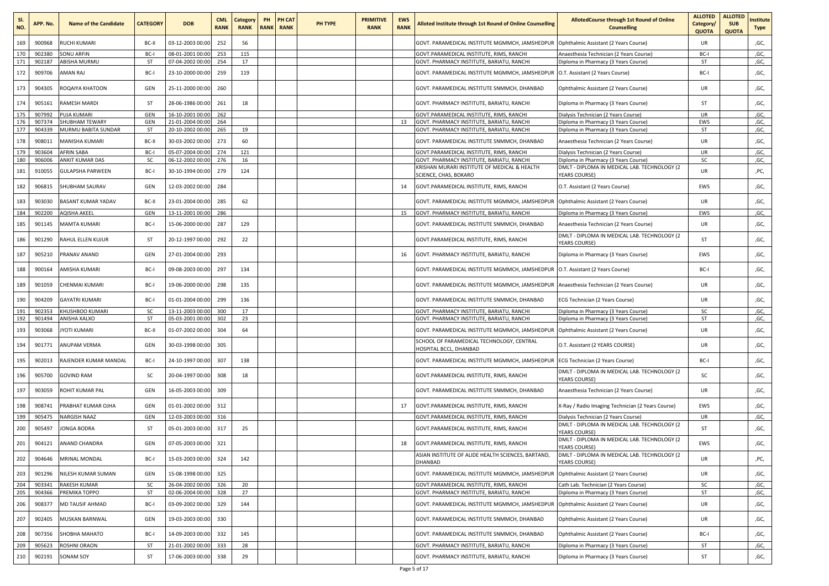| SI.<br>NO. | APP. No.         | <b>Name of the Candidate</b>                 | <b>CATEGORY</b> | <b>DOB</b>                           | <b>CML</b><br><b>RANK</b> | Category<br><b>RANK</b> | PH | PH CAT<br><b>RANK RANK</b> | PH TYPE | <b>PRIMITIVE</b><br><b>RANK</b> | <b>EWS</b><br><b>RANK</b> | Alloted Institute through 1st Round of Online Counselling                              | AllotedCourse through 1st Round of Online<br><b>Counselling</b>              | <b>ALLOTED</b><br>Category/<br><b>QUOTA</b> | <b>ALLOTED</b><br><b>SUB</b><br><b>QUOTA</b> | nstitute<br><b>Type</b> |
|------------|------------------|----------------------------------------------|-----------------|--------------------------------------|---------------------------|-------------------------|----|----------------------------|---------|---------------------------------|---------------------------|----------------------------------------------------------------------------------------|------------------------------------------------------------------------------|---------------------------------------------|----------------------------------------------|-------------------------|
| 169        | 900968           | <b>RUCHI KUMARI</b>                          | BC-II           | 03-12-2003 00:00                     | 252                       | 56                      |    |                            |         |                                 |                           | GOVT. PARAMEDICAL INSTITUTE MGMMCH, JAMSHEDPUR                                         | Ophthalmic Assistant (2 Years Course)                                        | UR                                          |                                              | ,GC,                    |
| 170        | 902380           | SONU ARFIN                                   | BC-I            | 08-01-2001 00:00                     | 253                       | 115                     |    |                            |         |                                 |                           | GOVT.PARAMEDICAL INSTITUTE, RIMS, RANCHI                                               | Anaesthesia Technician (2 Years Course)                                      | BC-I                                        |                                              | ,GC,                    |
| 171        | 902187           | ABISHA MURMU                                 | <b>ST</b>       | 07-04-2002 00:00                     | 254                       | 17                      |    |                            |         |                                 |                           | GOVT. PHARMACY INSTITUTE, BARIATU, RANCHI                                              | Diploma in Pharmacy (3 Years Course)                                         | ST                                          |                                              | ,GC,                    |
| 172        | 909706           | AMAN RAJ                                     | BC-I            | 23-10-2000 00:00                     | 259                       | 119                     |    |                            |         |                                 |                           | GOVT. PARAMEDICAL INSTITUTE MGMMCH, JAMSHEDPUR                                         | O.T. Assistant (2 Years Course)                                              | BC-I                                        |                                              | ,GC,                    |
| 173        | 904305           | ROQAIYA KHATOON                              | GEN             | 25-11-2000 00:00                     | 260                       |                         |    |                            |         |                                 |                           | GOVT. PARAMEDICAL INSTITUTE SNMMCH, DHANBAD                                            | Ophthalmic Assistant (2 Years Course)                                        | <b>UR</b>                                   |                                              | ,GC,                    |
| 174        | 905161           | RAMESH MARDI                                 | ST              | 28-06-1986 00:00                     | 261                       | 18                      |    |                            |         |                                 |                           | GOVT. PHARMACY INSTITUTE, BARIATU, RANCHI                                              | Diploma in Pharmacy (3 Years Course)                                         | ST                                          |                                              | ,GC,                    |
| 175        | 907992           | PUJA KUMARI                                  | GEN             | 16-10-2001 00:00                     | 262                       |                         |    |                            |         |                                 |                           | GOVT.PARAMEDICAL INSTITUTE, RIMS, RANCHI                                               | Dialysis Technician (2 Years Course)                                         | UR                                          |                                              | ,GC,                    |
| 176<br>177 | 907374<br>904339 | <b>SHUBHAM TEWARY</b><br>MURMU BABITA SUNDAR | GEN<br>ST       | 21-01-2004 00:00<br>20-10-2002 00:00 | 264<br>265                | 19                      |    |                            |         |                                 | 13                        | GOVT. PHARMACY INSTITUTE, BARIATU, RANCHI<br>GOVT. PHARMACY INSTITUTE, BARIATU, RANCHI | Diploma in Pharmacy (3 Years Course)<br>Diploma in Pharmacy (3 Years Course) | EWS<br>ST                                   |                                              | ,GC,<br>,GC,            |
|            |                  |                                              |                 |                                      |                           |                         |    |                            |         |                                 |                           |                                                                                        |                                                                              |                                             |                                              |                         |
| 178        | 908011           | MANISHA KUMARI                               | BC-II           | 30-03-2002 00:00                     | 273                       | 60                      |    |                            |         |                                 |                           | GOVT. PARAMEDICAL INSTITUTE SNMMCH, DHANBAD                                            | Anaesthesia Technician (2 Years Course)                                      | UR                                          |                                              | ,GC,                    |
| 179<br>180 | 903604<br>906006 | <b>AFRIN SABA</b><br>ANKIT KUMAR DAS         | BC-I<br>SC.     | 05-07-2004 00:00<br>06-12-2002 00:00 | 274<br>276                | 121<br>16               |    |                            |         |                                 |                           | GOVT.PARAMEDICAL INSTITUTE, RIMS, RANCHI<br>GOVT. PHARMACY INSTITUTE, BARIATU, RANCHI  | Dialysis Technician (2 Years Course)<br>Diploma in Pharmacy (3 Years Course) | UR<br>sc                                    |                                              | ,GC,<br>,GC,            |
|            |                  |                                              |                 |                                      |                           |                         |    |                            |         |                                 |                           | KRISHAN MURARI INSTITUTE OF MEDICAL & HEALTH                                           | DMLT - DIPLOMA IN MEDICAL LAB. TECHNOLOGY (2                                 |                                             |                                              |                         |
| 181        | 910055           | <b>GULAPSHA PARWEEN</b>                      | BC-I            | 30-10-1994 00:00                     | 279                       | 124                     |    |                            |         |                                 |                           | SCIENCE, CHAS, BOKARO                                                                  | YEARS COURSE)                                                                | UR                                          |                                              | ,PC,                    |
| 182        | 906815           | SHUBHAM SAURAV                               | GEN             | 12-03-2002 00:00                     | 284                       |                         |    |                            |         |                                 | 14                        | GOVT.PARAMEDICAL INSTITUTE, RIMS, RANCHI                                               | O.T. Assistant (2 Years Course)                                              | EWS                                         |                                              | ,GC,                    |
| 183        | 903030           | BASANT KUMAR YADAV                           | BC-II           | 23-01-2004 00:00                     | 285                       | 62                      |    |                            |         |                                 |                           | GOVT. PARAMEDICAL INSTITUTE MGMMCH, JAMSHEDPUR                                         | Ophthalmic Assistant (2 Years Course)                                        | UR                                          |                                              | ,GC,                    |
| 184        | 902200           | AQISHA AKEEL                                 | GEN             | 13-11-2001 00:00                     | 286                       |                         |    |                            |         |                                 | 15                        | GOVT. PHARMACY INSTITUTE, BARIATU, RANCHI                                              | Diploma in Pharmacy (3 Years Course)                                         | EWS                                         |                                              | ,GC,                    |
| 185        | 901145           | <b>MAMTA KUMARI</b>                          | BC-I            | 15-06-2000 00:00                     | 287                       | 129                     |    |                            |         |                                 |                           | GOVT. PARAMEDICAL INSTITUTE SNMMCH, DHANBAD                                            | Anaesthesia Technician (2 Years Course)                                      | UR                                          |                                              | ,GC,                    |
| 186        | 901290           | RAHUL ELLEN KUJUR                            | ST              | 20-12-1997 00:00                     | 292                       | 22                      |    |                            |         |                                 |                           | GOVT.PARAMEDICAL INSTITUTE, RIMS, RANCHI                                               | DMLT - DIPLOMA IN MEDICAL LAB. TECHNOLOGY (2<br>YEARS COURSE)                | ST                                          |                                              | ,GC,                    |
| 187        | 905210           | PRANAV ANAND                                 | GEN             | 27-01-2004 00:00                     | 293                       |                         |    |                            |         |                                 | 16                        | GOVT. PHARMACY INSTITUTE, BARIATU, RANCHI                                              | Diploma in Pharmacy (3 Years Course)                                         | EWS                                         |                                              | ,GC,                    |
| 188        | 900164           | AMISHA KUMARI                                | BC-I            | 09-08-2003 00:00                     | 297                       | 134                     |    |                            |         |                                 |                           | GOVT. PARAMEDICAL INSTITUTE MGMMCH, JAMSHEDPUR   O.T. Assistant (2 Years Course)       |                                                                              | BC-I                                        |                                              | ,GC,                    |
| 189        | 901059           | CHENMAI KUMARI                               | BC-I            | 19-06-2000 00:00                     | 298                       | 135                     |    |                            |         |                                 |                           | GOVT. PARAMEDICAL INSTITUTE MGMMCH, JAMSHEDPUR                                         | Anaesthesia Technician (2 Years Course)                                      | UR                                          |                                              | ,GC,                    |
| 190        | 904209           | <b>GAYATRI KUMARI</b>                        | BC-I            | 01-01-2004 00:00                     | 299                       | 136                     |    |                            |         |                                 |                           | GOVT. PARAMEDICAL INSTITUTE SNMMCH, DHANBAD                                            | ECG Technician (2 Years Course)                                              | UR                                          |                                              | ,GC,                    |
| 191        | 902353           | KHUSHBOO KUMARI                              | SC              | 13-11-2003 00:00                     | 300                       | 17                      |    |                            |         |                                 |                           | GOVT. PHARMACY INSTITUTE, BARIATU, RANCHI                                              | Diploma in Pharmacy (3 Years Course)                                         | SC                                          |                                              | ,GC,                    |
| 192        | 901494           | ANISHA XALXO                                 | ST              | 05-03-2001 00:00                     | 302                       | 23                      |    |                            |         |                                 |                           | GOVT. PHARMACY INSTITUTE, BARIATU, RANCHI                                              | Diploma in Pharmacy (3 Years Course)                                         | ST                                          |                                              | ,GC,                    |
| 193        | 903068           | YOTI KUMARI                                  | BC-II           | 01-07-2002 00:00                     | 304                       | 64                      |    |                            |         |                                 |                           | GOVT. PARAMEDICAL INSTITUTE MGMMCH, JAMSHEDPUR                                         | Ophthalmic Assistant (2 Years Course)                                        | <b>UR</b>                                   |                                              | ,GC,                    |
| 194        | 901771           | ANUPAM VERMA                                 | GEN             | 30-03-1998 00:00                     | 305                       |                         |    |                            |         |                                 |                           | SCHOOL OF PARAMEDICAL TECHNOLOGY, CENTRAL<br>HOSPITAL BCCL, DHANBAD                    | O.T. Assistant (2 YEARS COURSE)                                              | <b>UR</b>                                   |                                              | ,GC,                    |
| 195        | 902013           | RAJENDER KUMAR MANDAL                        | BC-I            | 24-10-1997 00:00                     | 307                       | 138                     |    |                            |         |                                 |                           | GOVT. PARAMEDICAL INSTITUTE MGMMCH, JAMSHEDPUR                                         | ECG Technician (2 Years Course)                                              | BC-I                                        |                                              | ,GC,                    |
| 196        | 905700           | GOVIND RAM                                   | sc              | 20-04-1997 00:00                     | 308                       | 18                      |    |                            |         |                                 |                           | GOVT.PARAMEDICAL INSTITUTE, RIMS, RANCHI                                               | DMLT - DIPLOMA IN MEDICAL LAB. TECHNOLOGY (2<br><b>YEARS COURSE)</b>         | SC                                          |                                              | ,GC,                    |
| 197        | 903059           | ROHIT KUMAR PAL                              | GEN             | 16-05-2003 00:00                     | 309                       |                         |    |                            |         |                                 |                           | GOVT. PARAMEDICAL INSTITUTE SNMMCH, DHANBAD                                            | Anaesthesia Technician (2 Years Course)                                      | UR                                          |                                              | ,GC,                    |
| 198        | 908741           | PRABHAT KUMAR OJHA                           | GEN             | 01-01-2002 00:00                     | 312                       |                         |    |                            |         |                                 | 17                        | GOVT.PARAMEDICAL INSTITUTE, RIMS, RANCHI                                               | X-Ray / Radio Imaging Technician (2 Years Course)                            | EWS                                         |                                              | ,GC,                    |
| 199        | 905475           | NARGISH NAAZ                                 | GEN             | 12-03-2003 00:00                     | 316                       |                         |    |                            |         |                                 |                           | GOVT.PARAMEDICAL INSTITUTE, RIMS, RANCHI                                               | Dialysis Technician (2 Years Course)                                         | UR                                          |                                              | ,GC,                    |
| 200        | 905497           | JONGA BODRA                                  | ST              | 05-01-2003 00:00                     | 317                       | 25                      |    |                            |         |                                 |                           | GOVT.PARAMEDICAL INSTITUTE, RIMS, RANCHI                                               | DMLT - DIPLOMA IN MEDICAL LAB. TECHNOLOGY (2<br><b>YEARS COURSE)</b>         | ST                                          |                                              | ,GC,                    |
| 201        | 904121           | ANAND CHANDRA                                | GEN             | 07-05-2003 00:00                     | 321                       |                         |    |                            |         |                                 | 18                        | GOVT.PARAMEDICAL INSTITUTE, RIMS, RANCHI                                               | DMLT - DIPLOMA IN MEDICAL LAB. TECHNOLOGY (2<br>YEARS COURSE)                | EWS                                         |                                              | ,GC,                    |
| 202        | 904646           | MRINAL MONDAL                                | BC-I            | 15-03-2003 00:00                     | 324                       | 142                     |    |                            |         |                                 |                           | ASIAN INSTITUTE OF ALIDE HEALTH SCIENCES, BARTAND,<br>DHANBAD                          | DMLT - DIPLOMA IN MEDICAL LAB. TECHNOLOGY (2<br><b>YEARS COURSE)</b>         | UR                                          |                                              | ,PC,                    |
| 203        | 901296           | NILESH KUMAR SUMAN                           | GEN             | 15-08-1998 00:00                     | 325                       |                         |    |                            |         |                                 |                           | GOVT. PARAMEDICAL INSTITUTE MGMMCH, JAMSHEDPUR Ophthalmic Assistant (2 Years Course)   |                                                                              | UR                                          |                                              | ,GC,                    |
| 204        | 903341           | <b>RAKESH KUMAR</b>                          | sc              | 26-04-2002 00:00 326                 |                           | 20                      |    |                            |         |                                 |                           | GOVT.PARAMEDICAL INSTITUTE, RIMS, RANCHI                                               | Cath Lab. Technician (2 Years Course)                                        | SC                                          |                                              | ,GC,                    |
| 205        | 904366           | PREMIKA TOPPO                                | ST              | 02-06-2004 00:00 328                 |                           | 27                      |    |                            |         |                                 |                           | GOVT. PHARMACY INSTITUTE, BARIATU, RANCHI                                              | Diploma in Pharmacy (3 Years Course)                                         | ST                                          |                                              | ,GC,                    |
| 206        | 908377           | MD TAUSIF AHMAD                              | BC-I            | 03-09-2002 00:00                     | 329                       | 144                     |    |                            |         |                                 |                           | GOVT. PARAMEDICAL INSTITUTE MGMMCH, JAMSHEDPUR                                         | Ophthalmic Assistant (2 Years Course)                                        | UR                                          |                                              | ,GC,                    |
| 207        | 902405           | MUSKAN BARNWAL                               | GEN             | 19-03-2003 00:00                     | 330                       |                         |    |                            |         |                                 |                           | GOVT. PARAMEDICAL INSTITUTE SNMMCH, DHANBAD                                            | Ophthalmic Assistant (2 Years Course)                                        | UR                                          |                                              | ,GC,                    |
| 208        | 907356           | SHOBHA MAHATO                                | BC-I            | 14-09-2003 00:00                     | 332                       | 145                     |    |                            |         |                                 |                           | GOVT. PARAMEDICAL INSTITUTE SNMMCH, DHANBAD                                            | Ophthalmic Assistant (2 Years Course)                                        | BC-I                                        |                                              | ,GC,                    |
| 209        | 905623           | ROSHNI ORAON                                 | ST              | 21-01-2002 00:00                     | 333                       | 28                      |    |                            |         |                                 |                           | GOVT. PHARMACY INSTITUTE, BARIATU, RANCHI                                              | Diploma in Pharmacy (3 Years Course)                                         | ST                                          |                                              | ,GC,                    |
| 210        | 902191           | SONAM SOY                                    | ST              | 17-06-2003 00:00                     | 338                       | 29                      |    |                            |         |                                 |                           | GOVT. PHARMACY INSTITUTE, BARIATU, RANCHI                                              | Diploma in Pharmacy (3 Years Course)                                         | ST                                          |                                              | ,GC,                    |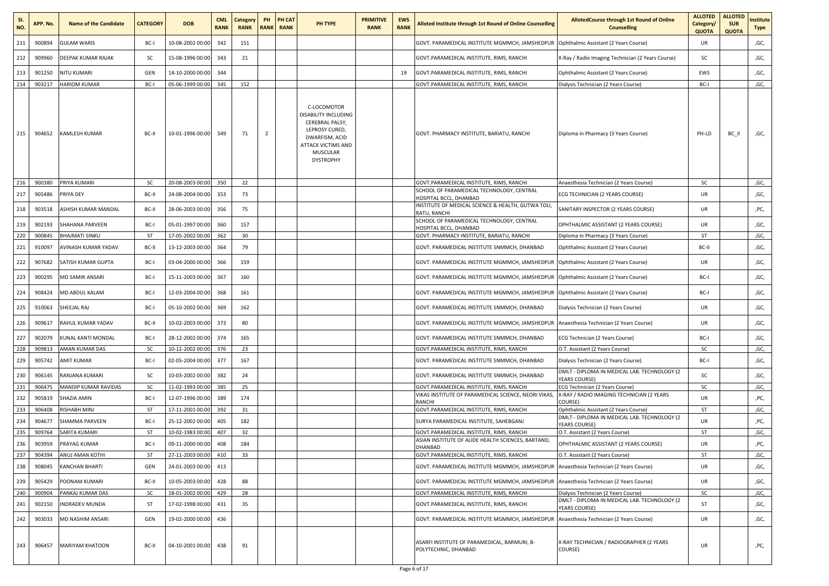| SI.<br>NO. | APP. No. | <b>Name of the Candidate</b> | <b>CATEGORY</b> | <b>DOB</b>           | <b>CML</b><br><b>RANK</b> | Category<br><b>RANK</b> | PH<br><b>RANK</b> | PH CAT<br><b>RANK</b> | PH TYPE                                                                                                                                                        | <b>PRIMITIVE</b><br><b>RANK</b> | <b>EWS</b><br><b>RANK</b> | Alloted Institute through 1st Round of Online Counselling            | <b>AllotedCourse through 1st Round of Online</b><br><b>Counselling</b> | <b>ALLOTED</b><br>Category/<br><b>QUOTA</b> | <b>ALLOTED</b><br><b>SUB</b><br><b>QUOTA</b> | nstitute<br>Type |
|------------|----------|------------------------------|-----------------|----------------------|---------------------------|-------------------------|-------------------|-----------------------|----------------------------------------------------------------------------------------------------------------------------------------------------------------|---------------------------------|---------------------------|----------------------------------------------------------------------|------------------------------------------------------------------------|---------------------------------------------|----------------------------------------------|------------------|
| 211        | 900894   | <b>GULAM WARIS</b>           | BC-I            | 10-08-2002 00:00     | 342                       | 151                     |                   |                       |                                                                                                                                                                |                                 |                           | GOVT. PARAMEDICAL INSTITUTE MGMMCH, JAMSHEDPUR                       | Ophthalmic Assistant (2 Years Course)                                  | UR                                          |                                              | ,GC,             |
| 212        | 909960   | DEEPAK KUMAR RAJAK           | SC              | 15-08-1996 00:00     | 343                       | 21                      |                   |                       |                                                                                                                                                                |                                 |                           | GOVT.PARAMEDICAL INSTITUTE, RIMS, RANCHI                             | X-Ray / Radio Imaging Technician (2 Years Course)                      | sc                                          |                                              | ,GC,             |
| 213        | 901250   | NITU KUMARI                  | GEN             | 14-10-2000 00:00     | 344                       |                         |                   |                       |                                                                                                                                                                |                                 | 19                        | GOVT.PARAMEDICAL INSTITUTE, RIMS, RANCHI                             | Ophthalmic Assistant (2 Years Course)                                  | EWS                                         |                                              | ,GC,             |
| 214        | 903217   | <b>HARIOM KUMAR</b>          | BC-I            | 05-06-1999 00:00     | 345                       | 152                     |                   |                       |                                                                                                                                                                |                                 |                           | GOVT.PARAMEDICAL INSTITUTE, RIMS, RANCHI                             | Dialysis Technician (2 Years Course)                                   | BC-I                                        |                                              | ,GC,             |
| 215        | 904652   | KAMLESH KUMAR                | BC-II           | 10-01-1996 00:00     | 349                       | 71                      | -2                |                       | C-LOCOMOTOR<br>DISABILITY INCLUDING<br>CEREBRAL PALSY,<br>LEPROSY CURED,<br>DWARFISM, ACID<br><b>ATTACK VICTIMS AND</b><br><b>MUSCULAR</b><br><b>DYSTROPHY</b> |                                 |                           | GOVT. PHARMACY INSTITUTE, BARIATU, RANCHI                            | Diploma in Pharmacy (3 Years Course)                                   | PH-LD                                       | BC_II                                        | ,GC,             |
| 216        | 900380   | PRIYA KUMARI                 | sc              | 20-08-2003 00:00     | 350                       | 22                      |                   |                       |                                                                                                                                                                |                                 |                           | GOVT.PARAMEDICAL INSTITUTE, RIMS, RANCHI                             | Anaesthesia Technician (2 Years Course)                                | sc                                          |                                              | ,GC,             |
| 217        | 905486   | PRIYA DEY                    | BC-II           | 24-08-2004 00:00     | 353                       | 73                      |                   |                       |                                                                                                                                                                |                                 |                           | SCHOOL OF PARAMEDICAL TECHNOLOGY, CENTRAL<br>HOSPITAL BCCL, DHANBAD  | ECG TECHNICIAN (2 YEARS COURSE)                                        | UR                                          |                                              | ,GC,             |
| 218        | 903518   | ASHISH KUMAR MANDAL          | BC-II           | 28-06-2003 00:00     | 356                       | 75                      |                   |                       |                                                                                                                                                                |                                 |                           | INSTITUTE OF MEDICAL SCIENCE & HEALTH, GUTWA TOLI,<br>RATU. RANCHI   | SANITARY INSPECTOR (2 YEARS COURSE)                                    | UR                                          |                                              | ,PC,             |
| 219        | 902193   | SHAHANA PARVEEN              | BC-I            | 05-01-1997 00:00     | 360                       | 157                     |                   |                       |                                                                                                                                                                |                                 |                           | SCHOOL OF PARAMEDICAL TECHNOLOGY, CENTRAL<br>HOSPITAL BCCL, DHANBAD  | OPHTHALMIC ASSISTANT (2 YEARS COURSE)                                  | UR                                          |                                              | ,GC,             |
| 220        | 900845   | <b>BHAJMATI SINKU</b>        | ST              | 17-05-2002 00:00     | 362                       | 30                      |                   |                       |                                                                                                                                                                |                                 |                           | GOVT. PHARMACY INSTITUTE, BARIATU, RANCHI                            | Diploma in Pharmacy (3 Years Course)                                   | ST                                          |                                              | ,GC,             |
| 221        | 910097   | AVINASH KUMAR YADAV          | BC-II           | 13-12-2003 00:00     | 364                       | 79                      |                   |                       |                                                                                                                                                                |                                 |                           | GOVT. PARAMEDICAL INSTITUTE SNMMCH, DHANBAD                          | Ophthalmic Assistant (2 Years Course)                                  | BC-II                                       |                                              | ,GC,             |
| 222        | 907682   | SATISH KUMAR GUPTA           | BC-I            | 03-04-2000 00:00     | 366                       | 159                     |                   |                       |                                                                                                                                                                |                                 |                           | GOVT. PARAMEDICAL INSTITUTE MGMMCH, JAMSHEDPUR                       | Ophthalmic Assistant (2 Years Course)                                  | UR                                          |                                              | ,GC,             |
| 223        | 900295   | MD SAMIR ANSARI              | BC-I            | 15-11-2003 00:00     | 367                       | 160                     |                   |                       |                                                                                                                                                                |                                 |                           | GOVT. PARAMEDICAL INSTITUTE MGMMCH, JAMSHEDPUR                       | Ophthalmic Assistant (2 Years Course)                                  | BC-I                                        |                                              | ,GC,             |
| 224        | 908424   | MD ABDUL KALAM               | BC-I            | 12-03-2004 00:00     | 368                       | 161                     |                   |                       |                                                                                                                                                                |                                 |                           | GOVT. PARAMEDICAL INSTITUTE MGMMCH, JAMSHEDPUR                       | Ophthalmic Assistant (2 Years Course)                                  | BC-I                                        |                                              | ,GC,             |
| 225        | 910063   | SHEEJAL RAJ                  | BC-I            | 05-10-2002 00:00     | 369                       | 162                     |                   |                       |                                                                                                                                                                |                                 |                           | GOVT. PARAMEDICAL INSTITUTE SNMMCH, DHANBAD                          | Dialysis Technician (2 Years Course)                                   | UR                                          |                                              | ,GC,             |
| 226        | 909617   | RAHUL KUMAR YADAV            | BC-II           | 10-02-2003 00:00     | 373                       | 80                      |                   |                       |                                                                                                                                                                |                                 |                           | GOVT. PARAMEDICAL INSTITUTE MGMMCH, JAMSHEDPUR                       | Anaesthesia Technician (2 Years Course)                                | UR                                          |                                              | ,GC,             |
| 227        | 902079   | KUNAL KANTI MONDAL           | BC-I            | 28-12-2002 00:00     | 374                       | 165                     |                   |                       |                                                                                                                                                                |                                 |                           | GOVT. PARAMEDICAL INSTITUTE SNMMCH, DHANBAD                          | ECG Technician (2 Years Course)                                        | BC-I                                        |                                              | ,GC,             |
| 228        | 909813   | AMAN KUMAR DAS               | sc              | 10-12-2002 00:00     | 376                       | 23                      |                   |                       |                                                                                                                                                                |                                 |                           | GOVT.PARAMEDICAL INSTITUTE, RIMS, RANCHI                             | O.T. Assistant (2 Years Course)                                        | SC                                          |                                              | ,GC,             |
| 229        | 905742   | AMIT KUMAR                   | BC-I            | 02-05-2004 00:00     | 377                       | 167                     |                   |                       |                                                                                                                                                                |                                 |                           | GOVT. PARAMEDICAL INSTITUTE SNMMCH, DHANBAD                          | Dialysis Technician (2 Years Course)                                   | BC-I                                        |                                              | ,GC,             |
| 230        | 906145   | RANJANA KUMARI               | SC              | 10-03-2002 00:00     | 382                       | 24                      |                   |                       |                                                                                                                                                                |                                 |                           | GOVT. PARAMEDICAL INSTITUTE SNMMCH, DHANBAD                          | DMLT - DIPLOMA IN MEDICAL LAB. TECHNOLOGY (2<br><b>YEARS COURSE)</b>   | sc                                          |                                              | ,GC,             |
| 231        | 906475   | MANDIP KUMAR RAVIDAS         | SC              | 11-02-1993 00:00     | 385                       | 25                      |                   |                       |                                                                                                                                                                |                                 |                           | GOVT.PARAMEDICAL INSTITUTE, RIMS, RANCHI                             | ECG Technician (2 Years Course)                                        | sc                                          |                                              | ,GC,             |
| 232        | 905819   | SHAZIA AMIN                  | BC-I            | 12-07-1996 00:00     | 389                       | 174                     |                   |                       |                                                                                                                                                                |                                 |                           | VIKAS INSTITUTE OF PARAMEDICAL SCIENCE, NEORI VIKAS,<br>RANCHI       | X-RAY / RADIO IMAGING TECHNICIAN (2 YEARS<br>COURSE)                   | UR                                          |                                              | ,PC,             |
| 233        | 906408   | RISHABH MINJ                 | ST              | 17-11-2001 00:00     | 392                       | 31                      |                   |                       |                                                                                                                                                                |                                 |                           | GOVT.PARAMEDICAL INSTITUTE, RIMS, RANCHI                             | Ophthalmic Assistant (2 Years Course)                                  | ST                                          |                                              | ,GC,             |
| 234        | 904677   | SHAMMA PARVEEN               | BC-I            | 25-12-2002 00:00     | 405                       | 182                     |                   |                       |                                                                                                                                                                |                                 |                           | SURYA PARAMEDICAL INSTITUTE, SAHEBGANJ                               | DMLT - DIPLOMA IN MEDICAL LAB. TECHNOLOGY (2<br>YEARS COURSE)          | UR                                          |                                              | ,PC,             |
| 235        | 909764   | SARITA KUMARI                | ST              | 10-02-1983 00:00     | 407                       | 32                      |                   |                       |                                                                                                                                                                |                                 |                           | GOVT.PARAMEDICAL INSTITUTE, RIMS, RANCHI                             | O.T. Assistant (2 Years Course)                                        | ST                                          |                                              | ,GC,             |
| 236        | 903959   | PRAYAG KUMAR                 | BC-I            | 09-11-2000 00:00     | 408                       | 184                     |                   |                       |                                                                                                                                                                |                                 |                           | ASIAN INSTITUTE OF ALIDE HEALTH SCIENCES, BARTAND,<br>DHANBAD        | OPHTHALMIC ASSISTANT (2 YEARS COURSE)                                  | UR                                          |                                              | ,PC,             |
| 237        |          | 904394 - IANUJ AMAN KOTHI    | -ST             | 27-11-2003 00:00 410 |                           | 33                      |                   |                       |                                                                                                                                                                |                                 |                           | GOVT.PARAMEDICAL INSTITUTE, RIMS, RANCHI                             | O.T. Assistant (2 Years Course)                                        | ST                                          |                                              | ,GC,             |
| 238        | 908045   | <b>KANCHAN BHARTI</b>        | GEN             | 24-01-2003 00:00     | 413                       |                         |                   |                       |                                                                                                                                                                |                                 |                           | GOVT. PARAMEDICAL INSTITUTE MGMMCH, JAMSHEDPUR                       | Anaesthesia Technician (2 Years Course)                                | UR                                          |                                              | ,GC,             |
| 239        | 905429   | POONAM KUMARI                | BC-II           | 10-05-2003 00:00     | 428                       | 88                      |                   |                       |                                                                                                                                                                |                                 |                           | GOVT. PARAMEDICAL INSTITUTE MGMMCH, JAMSHEDPUR                       | Anaesthesia Technician (2 Years Course)                                | UR                                          |                                              | ,GC,             |
| 240        | 900904   | PANKAJ KUMAR DAS             | <b>SC</b>       | 18-01-2002 00:00     | 429                       | 28                      |                   |                       |                                                                                                                                                                |                                 |                           | GOVT.PARAMEDICAL INSTITUTE, RIMS, RANCHI                             | Dialysis Technician (2 Years Course)                                   | SC                                          |                                              | ,GC,             |
| 241        | 902150   | INDRADEV MUNDA               | ST              | 17-02-1998 00:00     | 431                       | 35                      |                   |                       |                                                                                                                                                                |                                 |                           | GOVT.PARAMEDICAL INSTITUTE, RIMS, RANCHI                             | DMLT - DIPLOMA IN MEDICAL LAB. TECHNOLOGY (2<br>YEARS COURSE)          | ST                                          |                                              | ,GC,             |
| 242        | 903033   | MD NASHIM ANSARI             | GEN             | 19-02-2000 00:00     | 436                       |                         |                   |                       |                                                                                                                                                                |                                 |                           | GOVT. PARAMEDICAL INSTITUTE MGMMCH, JAMSHEDPUR                       | Anaesthesia Technician (2 Years Course)                                | UR                                          |                                              | ,GC,             |
| 243        | 906457   | MARIYAM KHATOON              | BC-II           | 04-10-2001 00:00     | 438                       | 91                      |                   |                       |                                                                                                                                                                |                                 |                           | ASARFI INSTITUTE OF PARAMEDICAL, BARMURI, B-<br>POLYTECHNIC, DHANBAD | X-RAY TECHNICIAN / RADIOGRAPHER (2 YEARS<br>COURSE)                    | UR                                          |                                              | ,PC,             |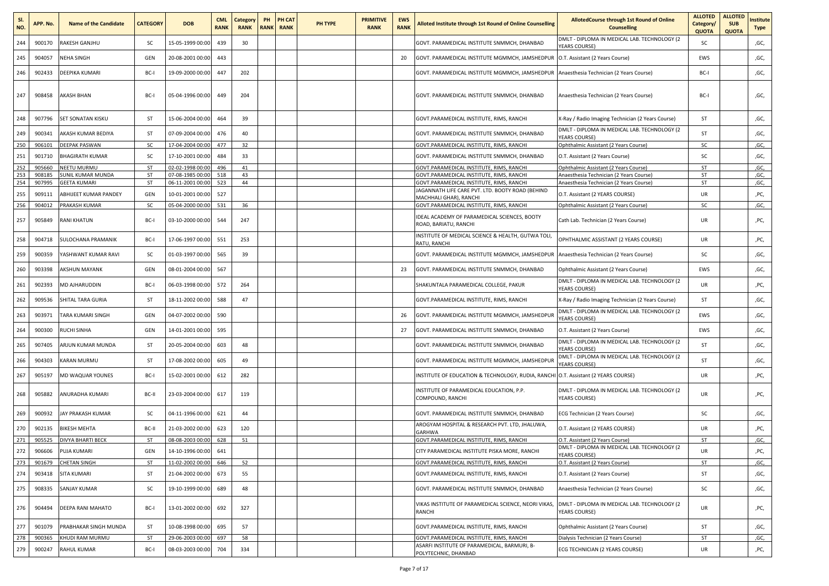| SI.<br>NO. | APP. No.         | <b>Name of the Candidate</b>             | <b>CATEGORY</b> | <b>DOB</b>                           | <b>CML</b><br><b>RANK</b> | Category<br><b>RANK</b> | PH | PH CAT<br><b>RANK RANK</b> | PH TYPE | <b>PRIMITIVE</b><br><b>RANK</b> | <b>EWS</b><br><b>RANK</b> | <b>Alloted Institute through 1st Round of Online Counselling</b>                     | <b>AllotedCourse through 1st Round of Online</b><br><b>Counselling</b>             | <b>ALLOTED</b><br>Category/<br><b>QUOTA</b> | <b>ALLOTED</b><br><b>SUB</b><br><b>QUOTA</b> | nstitute<br>Type |
|------------|------------------|------------------------------------------|-----------------|--------------------------------------|---------------------------|-------------------------|----|----------------------------|---------|---------------------------------|---------------------------|--------------------------------------------------------------------------------------|------------------------------------------------------------------------------------|---------------------------------------------|----------------------------------------------|------------------|
| 244        | 900170           | RAKESH GANJHU                            | SC              | 15-05-1999 00:00                     | 439                       | 30                      |    |                            |         |                                 |                           | GOVT. PARAMEDICAL INSTITUTE SNMMCH, DHANBAD                                          | DMLT - DIPLOMA IN MEDICAL LAB. TECHNOLOGY (2<br>YEARS COURSE)                      | SC                                          |                                              | ,GC,             |
| 245        | 904057           | NEHA SINGH                               | GEN             | 20-08-2001 00:00                     | 443                       |                         |    |                            |         |                                 | 20                        | GOVT. PARAMEDICAL INSTITUTE MGMMCH, JAMSHEDPUR                                       | O.T. Assistant (2 Years Course)                                                    | EWS                                         |                                              | ,GC,             |
| 246        | 902433           | DEEPIKA KUMARI                           | BC-I            | 19-09-2000 00:00                     | 447                       | 202                     |    |                            |         |                                 |                           | GOVT. PARAMEDICAL INSTITUTE MGMMCH, JAMSHEDPUR                                       | Anaesthesia Technician (2 Years Course)                                            | BC-I                                        |                                              | ,GC,             |
| 247        | 908458           | AKASH BHAN                               | BC-I            | 05-04-1996 00:00                     | 449                       | 204                     |    |                            |         |                                 |                           | GOVT. PARAMEDICAL INSTITUTE SNMMCH, DHANBAD                                          | Anaesthesia Technician (2 Years Course)                                            | BC-I                                        |                                              | ,GC,             |
| 248        | 907796           | <b>SET SONATAN KISKU</b>                 | ST              | 15-06-2004 00:00                     | 464                       | 39                      |    |                            |         |                                 |                           | GOVT.PARAMEDICAL INSTITUTE, RIMS, RANCHI                                             | X-Ray / Radio Imaging Technician (2 Years Course)                                  | ST                                          |                                              | ,GC,             |
| 249        | 900341           | AKASH KUMAR BEDIYA                       | ST              | 07-09-2004 00:00                     | 476                       | 40                      |    |                            |         |                                 |                           | GOVT. PARAMEDICAL INSTITUTE SNMMCH, DHANBAD                                          | DMLT - DIPLOMA IN MEDICAL LAB. TECHNOLOGY (2<br><b>YEARS COURSE)</b>               | ST                                          |                                              | ,GC,             |
| 250        | 906101           | <b>DEEPAK PASWAN</b>                     | <b>SC</b>       | 17-04-2004 00:00                     | 477                       | 32                      |    |                            |         |                                 |                           | GOVT.PARAMEDICAL INSTITUTE, RIMS, RANCHI                                             | Ophthalmic Assistant (2 Years Course)                                              | SC                                          |                                              | ,GC,             |
| 251        | 901710           | <b>BHAGIRATH KUMAR</b>                   | <b>SC</b>       | 17-10-2001 00:00                     | 484                       | 33                      |    |                            |         |                                 |                           | GOVT. PARAMEDICAL INSTITUTE SNMMCH, DHANBAD                                          | O.T. Assistant (2 Years Course)                                                    | SC                                          |                                              | ,GC,             |
| 252        | 905660           | NEETU MURMU                              | ST              | 02-02-1998 00:00                     | 496                       | 41                      |    |                            |         |                                 |                           | GOVT.PARAMEDICAL INSTITUTE, RIMS, RANCHI                                             | Ophthalmic Assistant (2 Years Course)                                              | ST                                          |                                              | ,GC,             |
| 253<br>254 | 908185<br>907995 | SUNIL KUMAR MUNDA<br><b>GEETA KUMARI</b> | ST<br>ST        | 07-08-1985 00:00<br>06-11-2001 00:00 | 518<br>523                | 43<br>44                |    |                            |         |                                 |                           | GOVT.PARAMEDICAL INSTITUTE, RIMS, RANCHI<br>GOVT.PARAMEDICAL INSTITUTE, RIMS, RANCHI | Anaesthesia Technician (2 Years Course)<br>Anaesthesia Technician (2 Years Course) | ST<br>ST                                    |                                              | ,GC,<br>,GC,     |
| 255        | 909111           | ABHIJEET KUMAR PANDEY                    | GEN             | 10-01-2001 00:00                     | 527                       |                         |    |                            |         |                                 |                           | AGANNATH LIFE CARE PVT. LTD. BOOTY ROAD (BEHIND<br>MACHHALI GHAR), RANCHI            | O.T. Assistant (2 YEARS COURSE)                                                    | UR                                          |                                              | ,PC,             |
| 256        | 904012           | PRAKASH KUMAR                            | <b>SC</b>       | 05-04-2000 00:00                     | 531                       | 36                      |    |                            |         |                                 |                           | GOVT.PARAMEDICAL INSTITUTE, RIMS, RANCHI                                             | Ophthalmic Assistant (2 Years Course)                                              | SC                                          |                                              | ,GC,             |
| 257        | 905849           | <b>RANI KHATUN</b>                       | BC-I            | 03-10-2000 00:00                     | 544                       | 247                     |    |                            |         |                                 |                           | DEAL ACADEMY OF PARAMEDICAL SCIENCES, BOOTY<br>ROAD, BARIATU, RANCHI                 | Cath Lab. Technician (2 Years Course)                                              | UR                                          |                                              | ,PC,             |
| 258        | 904718           | SULOCHANA PRAMANIK                       | BC-I            | 17-06-1997 00:00                     | 551                       | 253                     |    |                            |         |                                 |                           | INSTITUTE OF MEDICAL SCIENCE & HEALTH, GUTWA TOLI,<br>RATU, RANCHI                   | OPHTHALMIC ASSISTANT (2 YEARS COURSE)                                              | UR                                          |                                              | ,PC,             |
| 259        | 900359           | YASHWANT KUMAR RAVI                      | SC              | 01-03-1997 00:00                     | 565                       | 39                      |    |                            |         |                                 |                           | GOVT. PARAMEDICAL INSTITUTE MGMMCH, JAMSHEDPUR                                       | Anaesthesia Technician (2 Years Course)                                            | sc                                          |                                              | ,GC,             |
| 260        | 903398           | AKSHUN MAYANK                            | GEN             | 08-01-2004 00:00                     | 567                       |                         |    |                            |         |                                 | 23                        | GOVT. PARAMEDICAL INSTITUTE SNMMCH, DHANBAD                                          | Ophthalmic Assistant (2 Years Course)                                              | EWS                                         |                                              | ,GC,             |
| 261        | 902393           | MD AJHARUDDIN                            | BC-I            | 06-03-1998 00:00                     | 572                       | 264                     |    |                            |         |                                 |                           | SHAKUNTALA PARAMEDICAL COLLEGE, PAKUR                                                | DMLT - DIPLOMA IN MEDICAL LAB. TECHNOLOGY (2<br><b>YEARS COURSE)</b>               | UR                                          |                                              | ,PC,             |
| 262        | 909536           | SHITAL TARA GURIA                        | ST              | 18-11-2002 00:00                     | 588                       | 47                      |    |                            |         |                                 |                           | GOVT.PARAMEDICAL INSTITUTE, RIMS, RANCHI                                             | X-Ray / Radio Imaging Technician (2 Years Course)                                  | ST                                          |                                              | ,GC,             |
| 263        | 903971           | TARA KUMARI SINGH                        | GEN             | 04-07-2002 00:00                     | 590                       |                         |    |                            |         |                                 | 26                        | GOVT. PARAMEDICAL INSTITUTE MGMMCH, JAMSHEDPUF                                       | DMLT - DIPLOMA IN MEDICAL LAB. TECHNOLOGY (2<br><b>YEARS COURSE)</b>               | EWS                                         |                                              | ,GC,             |
| 264        | 900300           | RUCHI SINHA                              | GEN             | 14-01-2001 00:00                     | 595                       |                         |    |                            |         |                                 | 27                        | GOVT. PARAMEDICAL INSTITUTE SNMMCH, DHANBAD                                          | O.T. Assistant (2 Years Course)                                                    | EWS                                         |                                              | ,GC,             |
| 265        | 907405           | ARJUN KUMAR MUNDA                        | ST              | 20-05-2004 00:00                     | 603                       | 48                      |    |                            |         |                                 |                           | GOVT. PARAMEDICAL INSTITUTE SNMMCH, DHANBAD                                          | DMLT - DIPLOMA IN MEDICAL LAB. TECHNOLOGY (2<br><b>YEARS COURSE)</b>               | ST                                          |                                              | ,GC,             |
| 266        | 904303           | KARAN MURMU                              | ST              | 17-08-2002 00:00                     | 605                       | 49                      |    |                            |         |                                 |                           | GOVT. PARAMEDICAL INSTITUTE MGMMCH, JAMSHEDPUI                                       | DMLT - DIPLOMA IN MEDICAL LAB. TECHNOLOGY (2<br>YEARS COURSE)                      | ST                                          |                                              | ,GC,             |
| 267        | 905197           | MD WAQUAR YOUNES                         | BC-I            | 15-02-2001 00:00                     | 612                       | 282                     |    |                            |         |                                 |                           | NSTITUTE OF EDUCATION & TECHNOLOGY, RUDIA, RANCHI                                    | O.T. Assistant (2 YEARS COURSE)                                                    | UR                                          |                                              | ,PC,             |
| 268        | 905882           | ANURADHA KUMARI                          | BC-II           | 23-03-2004 00:00                     | 617                       | 119                     |    |                            |         |                                 |                           | NSTITUTE OF PARAMEDICAL EDUCATION, P.P.<br>COMPOUND, RANCHI                          | DMLT - DIPLOMA IN MEDICAL LAB. TECHNOLOGY (2<br><b>YEARS COURSE)</b>               | UR                                          |                                              | ,PC,             |
| 269        | 900932           | JAY PRAKASH KUMAR                        | <b>SC</b>       | 04-11-1996 00:00                     | 621                       | 44                      |    |                            |         |                                 |                           | GOVT. PARAMEDICAL INSTITUTE SNMMCH, DHANBAD                                          | ECG Technician (2 Years Course)                                                    | sc                                          |                                              | ,GC,             |
| 270        | 902135           | <b>BIKESH MEHTA</b>                      | BC-II           | 21-03-2002 00:00                     | 623                       | 120                     |    |                            |         |                                 |                           | AROGYAM HOSPITAL & RESEARCH PVT. LTD, JHALUWA,<br>GARHWA                             | O.T. Assistant (2 YEARS COURSE)                                                    | UR                                          |                                              | ,PC,             |
| 271        | 905525           | DIVYA BHARTI BECK                        | ST              | 08-08-2003 00:00                     | 628                       | 51                      |    |                            |         |                                 |                           | GOVT.PARAMEDICAL INSTITUTE, RIMS, RANCHI                                             | O.T. Assistant (2 Years Course)                                                    | ST                                          |                                              | ,GC,             |
| 272        | 906606           | PUJA KUMARI                              | GEN             | 14-10-1996 00:00                     | 641                       |                         |    |                            |         |                                 |                           | CITY PARAMEDICAL INSTITUTE PISKA MORE, RANCHI                                        | DMLT - DIPLOMA IN MEDICAL LAB. TECHNOLOGY (2<br>YEARS COURSE)                      | <b>UR</b>                                   |                                              | ,PC,             |
| 273        | 901679           | <b>CHETAN SINGH</b>                      | ST              | 11-02-2002 00:00                     | 646                       | 52                      |    |                            |         |                                 |                           | GOVT.PARAMEDICAL INSTITUTE, RIMS, RANCHI                                             | O.T. Assistant (2 Years Course)                                                    | ST                                          |                                              | ,GC,             |
| 274        | 903418           | SITA KUMARI                              | ST              | 21-04-2002 00:00                     | 673                       | 55                      |    |                            |         |                                 |                           | GOVT.PARAMEDICAL INSTITUTE, RIMS, RANCHI                                             | O.T. Assistant (2 Years Course)                                                    | ST                                          |                                              | ,GC,             |
| 275        | 908335           | SANJAY KUMAR                             | <b>SC</b>       | 19-10-1999 00:00                     | 689                       | 48                      |    |                            |         |                                 |                           | GOVT. PARAMEDICAL INSTITUTE SNMMCH, DHANBAD                                          | Anaesthesia Technician (2 Years Course)                                            | SC                                          |                                              | ,GC,             |
| 276        | 904494           | DEEPA RANI MAHATO                        | BC-I            | 13-01-2002 00:00                     | 692                       | 327                     |    |                            |         |                                 |                           | VIKAS INSTITUTE OF PARAMEDICAL SCIENCE, NEORI VIKAS,<br>RANCHI                       | DMLT - DIPLOMA IN MEDICAL LAB. TECHNOLOGY (2<br><b>YEARS COURSE)</b>               | <b>UR</b>                                   |                                              | ,PC,             |
| 277        | 901079           | PRABHAKAR SINGH MUNDA                    | ST              | 10-08-1998 00:00                     | 695                       | 57                      |    |                            |         |                                 |                           | GOVT.PARAMEDICAL INSTITUTE, RIMS, RANCHI                                             | Ophthalmic Assistant (2 Years Course)                                              | ST                                          |                                              | ,GC,             |
| 278        | 900365           | KHUDI RAM MURMU                          | ST              | 29-06-2003 00:00                     | 697                       | 58                      |    |                            |         |                                 |                           | GOVT.PARAMEDICAL INSTITUTE, RIMS, RANCHI                                             | Dialysis Technician (2 Years Course)                                               | ST                                          |                                              | ,GC,             |
| 279        | 900247           | RAHUL KUMAR                              | BC-I            | 08-03-2003 00:00                     | 704                       | 334                     |    |                            |         |                                 |                           | ASARFI INSTITUTE OF PARAMEDICAL, BARMURI, B-<br>POLYTECHNIC, DHANBAD                 | ECG TECHNICIAN (2 YEARS COURSE)                                                    | UR                                          |                                              | ,PC,             |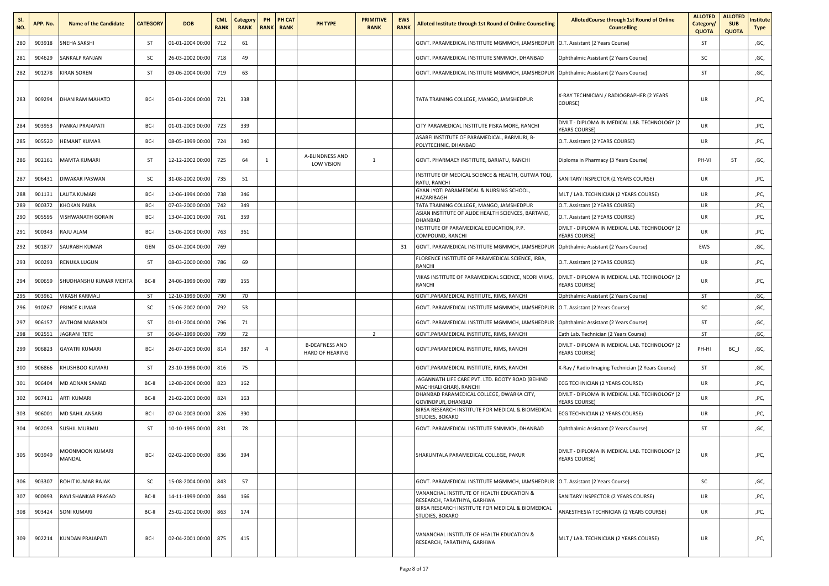| SI.<br>NO. | APP. No. | <b>Name of the Candidate</b> | <b>CATEGORY</b> | <b>DOB</b>           | <b>CML</b><br><b>RANK</b> | Category<br><b>RANK</b> | PH | <b>PH CAT</b><br><b>RANK RANK</b> | PH TYPE                                         | <b>PRIMITIVE</b><br><b>RANK</b> | <b>EWS</b><br><b>RANK</b> | Alloted Institute through 1st Round of Online Counselling                  | AllotedCourse through 1st Round of Online<br><b>Counselling</b>      | <b>ALLOTED</b><br>Category/<br><b>QUOTA</b> | <b>ALLOTED</b><br><b>SUB</b><br><b>QUOTA</b> | nstitute<br>Type |
|------------|----------|------------------------------|-----------------|----------------------|---------------------------|-------------------------|----|-----------------------------------|-------------------------------------------------|---------------------------------|---------------------------|----------------------------------------------------------------------------|----------------------------------------------------------------------|---------------------------------------------|----------------------------------------------|------------------|
| 280        | 903918   | SNEHA SAKSHI                 | ST              | 01-01-2004 00:00     | 712                       | 61                      |    |                                   |                                                 |                                 |                           | GOVT. PARAMEDICAL INSTITUTE MGMMCH, JAMSHEDPUR                             | O.T. Assistant (2 Years Course)                                      | ST                                          |                                              | ,GC,             |
| 281        | 904629   | SANKALP RANJAN               | <b>SC</b>       | 26-03-2002 00:00     | 718                       | 49                      |    |                                   |                                                 |                                 |                           | GOVT. PARAMEDICAL INSTITUTE SNMMCH, DHANBAD                                | Ophthalmic Assistant (2 Years Course)                                | sc                                          |                                              | ,GC,             |
| 282        | 901278   | <b>KIRAN SOREN</b>           | ST              | 09-06-2004 00:00     | 719                       | 63                      |    |                                   |                                                 |                                 |                           | GOVT. PARAMEDICAL INSTITUTE MGMMCH, JAMSHEDPUR                             | Ophthalmic Assistant (2 Years Course)                                | ST                                          |                                              | ,GC,             |
| 283        | 909294   | DHANIRAM MAHATO              | BC-I            | 05-01-2004 00:00     | 721                       | 338                     |    |                                   |                                                 |                                 |                           | TATA TRAINING COLLEGE, MANGO, JAMSHEDPUR                                   | X-RAY TECHNICIAN / RADIOGRAPHER (2 YEARS<br>COURSE)                  | <b>UR</b>                                   |                                              | ,PC,             |
| 284        | 903953   | PANKAJ PRAJAPATI             | BC-I            | 01-01-2003 00:00     | 723                       | 339                     |    |                                   |                                                 |                                 |                           | CITY PARAMEDICAL INSTITUTE PISKA MORE, RANCHI                              | DMLT - DIPLOMA IN MEDICAL LAB. TECHNOLOGY (2<br>YEARS COURSE)        | UR                                          |                                              | ,PC,             |
| 285        | 905520   | HEMANT KUMAR                 | BC-I            | 08-05-1999 00:00     | 724                       | 340                     |    |                                   |                                                 |                                 |                           | ASARFI INSTITUTE OF PARAMEDICAL, BARMURI, B-<br>POLYTECHNIC, DHANBAD       | O.T. Assistant (2 YEARS COURSE)                                      | UR                                          |                                              | ,PC,             |
| 286        | 902161   | MAMTA KUMARI                 | ST              | 12-12-2002 00:00     | 725                       | 64                      | -1 |                                   | A-BLINDNESS AND<br>LOW VISION                   | 1                               |                           | GOVT. PHARMACY INSTITUTE, BARIATU, RANCHI                                  | Diploma in Pharmacy (3 Years Course)                                 | PH-VI                                       | ST                                           | ,GC,             |
| 287        | 906431   | DIWAKAR PASWAN               | sc              | 31-08-2002 00:00     | 735                       | 51                      |    |                                   |                                                 |                                 |                           | INSTITUTE OF MEDICAL SCIENCE & HEALTH, GUTWA TOLI,<br>RATU, RANCHI         | SANITARY INSPECTOR (2 YEARS COURSE)                                  | UR                                          |                                              | ,PC,             |
| 288        | 901131   | LALITA KUMARI                | BC-I            | 12-06-1994 00:00     | 738                       | 346                     |    |                                   |                                                 |                                 |                           | GYAN JYOTI PARAMEDICAL & NURSING SCHOOL,<br>HAZARIBAGH                     | MLT / LAB. TECHNICIAN (2 YEARS COURSE)                               | UR                                          |                                              | ,PC,             |
| 289        | 900372   | KHOKAN PAIRA                 | BC-I            | 07-03-2000 00:00     | 742                       | 349                     |    |                                   |                                                 |                                 |                           | TATA TRAINING COLLEGE, MANGO, JAMSHEDPUR                                   | O.T. Assistant (2 YEARS COURSE)                                      | UR                                          |                                              | ,PC,             |
| 290        | 905595   | VISHWANATH GORAIN            | BC-I            | 13-04-2001 00:00     | 761                       | 359                     |    |                                   |                                                 |                                 |                           | ASIAN INSTITUTE OF ALIDE HEALTH SCIENCES, BARTAND,<br>DHANBAD              | O.T. Assistant (2 YEARS COURSE)                                      | UR                                          |                                              | ,PC,             |
| 291        | 900343   | RAJU ALAM                    | BC-I            | 15-06-2003 00:00     | 763                       | 361                     |    |                                   |                                                 |                                 |                           | INSTITUTE OF PARAMEDICAL EDUCATION, P.P.<br>COMPOUND, RANCHI               | DMLT - DIPLOMA IN MEDICAL LAB. TECHNOLOGY (2<br>YEARS COURSE)        | <b>UR</b>                                   |                                              | ,PC,             |
| 292        | 901877   | SAURABH KUMAR                | GEN             | 05-04-2004 00:00     | 769                       |                         |    |                                   |                                                 |                                 | 31                        | GOVT. PARAMEDICAL INSTITUTE MGMMCH, JAMSHEDPUR                             | Ophthalmic Assistant (2 Years Course)                                | EWS                                         |                                              | ,GC,             |
| 293        | 900293   | RENUKA LUGUN                 | ST              | 08-03-2000 00:00     | 786                       | 69                      |    |                                   |                                                 |                                 |                           | FLORENCE INSTITUTE OF PARAMEDICAL SCIENCE, IRBA,<br>RANCHI                 | O.T. Assistant (2 YEARS COURSE)                                      | UR                                          |                                              | ,PC,             |
| 294        | 900659   | SHUDHANSHU KUMAR MEHTA       | BC-II           | 24-06-1999 00:00     | 789                       | 155                     |    |                                   |                                                 |                                 |                           | VIKAS INSTITUTE OF PARAMEDICAL SCIENCE, NEORI VIKAS,<br>RANCHI             | DMLT - DIPLOMA IN MEDICAL LAB. TECHNOLOGY (2<br>YEARS COURSE)        | UR                                          |                                              | ,PC,             |
| 295        | 903961   | <b>VIKASH KARMALI</b>        | ST              | 12-10-1999 00:00     | 790                       | 70                      |    |                                   |                                                 |                                 |                           | GOVT.PARAMEDICAL INSTITUTE, RIMS, RANCHI                                   | Ophthalmic Assistant (2 Years Course)                                | ST                                          |                                              | ,GC,             |
| 296        | 910267   | PRINCE KUMAR                 | SC              | 15-06-2002 00:00     | 792                       | 53                      |    |                                   |                                                 |                                 |                           | GOVT. PARAMEDICAL INSTITUTE MGMMCH, JAMSHEDPUR                             | O.T. Assistant (2 Years Course)                                      | SC                                          |                                              | ,GC,             |
| 297        | 906157   | <b>ANTHONI MARANDI</b>       | ST              | 01-01-2004 00:00     | 796                       | 71                      |    |                                   |                                                 |                                 |                           | GOVT. PARAMEDICAL INSTITUTE MGMMCH, JAMSHEDPUR                             | Ophthalmic Assistant (2 Years Course)                                | ST                                          |                                              | ,GC,             |
| 298        | 902551   | <b>AGRANI TETE</b>           | ST              | 06-04-1999 00:00     | 799                       | 72                      |    |                                   |                                                 | $\overline{2}$                  |                           | GOVT.PARAMEDICAL INSTITUTE, RIMS, RANCHI                                   | Cath Lab. Technician (2 Years Course)                                | ST                                          |                                              | ,GC,             |
| 299        | 906823   | GAYATRI KUMARI               | BC-I            | 26-07-2003 00:00     | 814                       | 387                     | 4  |                                   | <b>B-DEAFNESS AND</b><br><b>HARD OF HEARING</b> |                                 |                           | GOVT.PARAMEDICAL INSTITUTE, RIMS, RANCHI                                   | DMLT - DIPLOMA IN MEDICAL LAB. TECHNOLOGY (2<br>YEARS COURSE)        | PH-HI                                       | BC I                                         | ,GC,             |
| 300        | 906866   | KHUSHBOO KUMARI              | ST              | 23-10-1998 00:00     | 816                       | 75                      |    |                                   |                                                 |                                 |                           | GOVT.PARAMEDICAL INSTITUTE, RIMS, RANCHI                                   | X-Ray / Radio Imaging Technician (2 Years Course)                    | ST                                          |                                              | ,GC,             |
| 301        | 906404   | MD ADNAN SAMAD               | BC-II           | 12-08-2004 00:00     | 823                       | 162                     |    |                                   |                                                 |                                 |                           | JAGANNATH LIFE CARE PVT. LTD. BOOTY ROAD (BEHIND<br>MACHHALI GHAR), RANCHI | ECG TECHNICIAN (2 YEARS COURSE)                                      | UR                                          |                                              | ,PC,             |
| 302        | 907411   | ARTI KUMARI                  | BC-II           | 21-02-2003 00:00     | 824                       | 163                     |    |                                   |                                                 |                                 |                           | DHANBAD PARAMEDICAL COLLEGE, DWARKA CITY,<br>GOVINDPUR, DHANBAD            | DMLT - DIPLOMA IN MEDICAL LAB. TECHNOLOGY (2<br><b>YEARS COURSE)</b> | UR                                          |                                              | ,PC,             |
| 303        | 906001   | <b>MD SAHIL ANSARI</b>       | BC-I            | 07-04-2003 00:00     | 826                       | 390                     |    |                                   |                                                 |                                 |                           | BIRSA RESEARCH INSTITUTE FOR MEDICAL & BIOMEDICAL<br>STUDIES, BOKARO       | ECG TECHNICIAN (2 YEARS COURSE)                                      | UR                                          |                                              | ,PC,             |
| 304        | 902093   | SUSHIL MURMU                 | ST              | 10-10-1995 00:00     | 831                       | 78                      |    |                                   |                                                 |                                 |                           | GOVT. PARAMEDICAL INSTITUTE SNMMCH, DHANBAD                                | Ophthalmic Assistant (2 Years Course)                                | ST                                          |                                              | ,GC,             |
| 305        | 903949   | MOONMOON KUMARI<br>MANDAL    | BC-I            | 02-02-2000 00:00 836 |                           | 394                     |    |                                   |                                                 |                                 |                           | SHAKUNTALA PARAMEDICAL COLLEGE, PAKUR                                      | DMLT - DIPLOMA IN MEDICAL LAB. TECHNOLOGY (2<br><b>YEARS COURSE)</b> | UR                                          |                                              | ,PC,             |
| 306        | 903307   | ROHIT KUMAR RAJAK            | SC              | 15-08-2004 00:00     | 843                       | 57                      |    |                                   |                                                 |                                 |                           | GOVT. PARAMEDICAL INSTITUTE MGMMCH, JAMSHEDPUR                             | O.T. Assistant (2 Years Course)                                      | SC                                          |                                              | ,GC,             |
| 307        | 900993   | RAVI SHANKAR PRASAD          | BC-II           | 14-11-1999 00:00     | 844                       | 166                     |    |                                   |                                                 |                                 |                           | VANANCHAL INSTITUTE OF HEALTH EDUCATION &<br>RESEARCH, FARATHIYA, GARHWA   | SANITARY INSPECTOR (2 YEARS COURSE)                                  | UR                                          |                                              | ,PC,             |
| 308        | 903424   | <b>SONI KUMARI</b>           | BC-II           | 25-02-2002 00:00     | 863                       | 174                     |    |                                   |                                                 |                                 |                           | BIRSA RESEARCH INSTITUTE FOR MEDICAL & BIOMEDICAL<br>STUDIES, BOKARO       | ANAESTHESIA TECHNICIAN (2 YEARS COURSE)                              | UR                                          |                                              | ,PC,             |
| 309        | 902214   | KUNDAN PRAJAPATI             | BC-I            | 02-04-2001 00:00     | 875                       | 415                     |    |                                   |                                                 |                                 |                           | VANANCHAL INSTITUTE OF HEALTH EDUCATION &<br>RESEARCH, FARATHIYA, GARHWA   | MLT / LAB. TECHNICIAN (2 YEARS COURSE)                               | UR                                          |                                              | ,PC,             |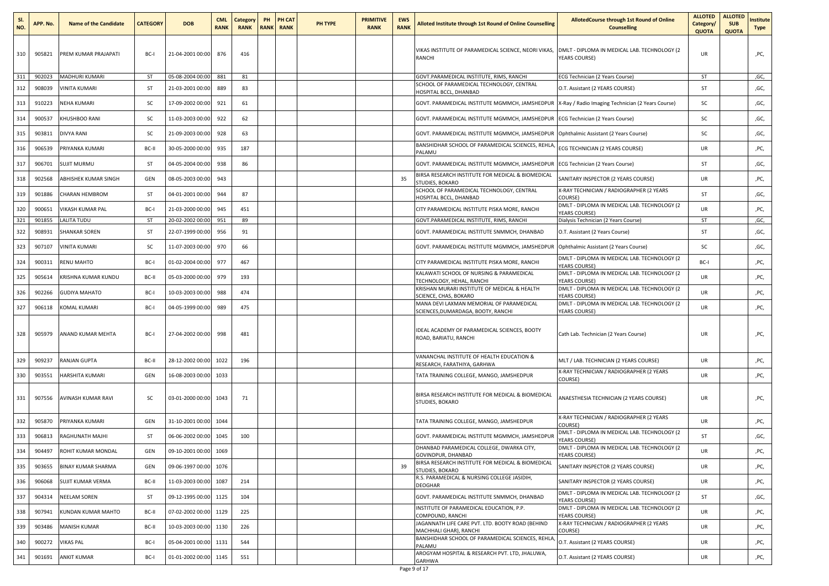| SI.<br>NO. | APP. No. | <b>Name of the Candidate</b> | <b>CATEGORY</b> | <b>DOB</b>       | <b>CML</b><br><b>RANK</b> | Category<br><b>RANK</b> | PH<br><b>RANK</b> | <b>PH CAT</b><br><b>RANK</b> | PH TYPE | <b>PRIMITIVE</b><br><b>RANK</b> | <b>EWS</b><br><b>RANK</b> | Alloted Institute through 1st Round of Online Counselling                                          | <b>AllotedCourse through 1st Round of Online</b><br><b>Counselling</b> | <b>ALLOTED</b><br>Category/<br><b>QUOTA</b> | <b>ALLOTED</b><br><b>SUB</b><br><b>QUOTA</b> | nstitute<br>Type |
|------------|----------|------------------------------|-----------------|------------------|---------------------------|-------------------------|-------------------|------------------------------|---------|---------------------------------|---------------------------|----------------------------------------------------------------------------------------------------|------------------------------------------------------------------------|---------------------------------------------|----------------------------------------------|------------------|
| 310        | 905821   | PREM KUMAR PRAJAPATI         | BC-I            | 21-04-2001 00:00 | 876                       | 416                     |                   |                              |         |                                 |                           | VIKAS INSTITUTE OF PARAMEDICAL SCIENCE, NEORI VIKAS,<br>RANCHI                                     | DMLT - DIPLOMA IN MEDICAL LAB. TECHNOLOGY (2<br>YEARS COURSE)          | UR                                          |                                              | ,PC,             |
| 311        | 902023   | <b>MADHURI KUMARI</b>        | ST              | 05-08-2004 00:00 | 881                       | 81                      |                   |                              |         |                                 |                           | GOVT.PARAMEDICAL INSTITUTE, RIMS, RANCHI                                                           | ECG Technician (2 Years Course)                                        | ST                                          |                                              | ,GC,             |
| 312        | 908039   | /INITA KUMARI                | ST              | 21-03-2001 00:00 | 889                       | 83                      |                   |                              |         |                                 |                           | SCHOOL OF PARAMEDICAL TECHNOLOGY, CENTRAL<br>HOSPITAL BCCL, DHANBAD                                | O.T. Assistant (2 YEARS COURSE)                                        | ST                                          |                                              | ,GC,             |
| 313        | 910223   | <b>NEHA KUMARI</b>           | SC              | 17-09-2002 00:00 | 921                       | 61                      |                   |                              |         |                                 |                           | GOVT. PARAMEDICAL INSTITUTE MGMMCH, JAMSHEDPUR   X-Ray / Radio Imaging Technician (2 Years Course) |                                                                        | sc                                          |                                              | ,GC,             |
| 314        | 900537   | KHUSHBOO RANI                | SC              | 11-03-2003 00:00 | 922                       | 62                      |                   |                              |         |                                 |                           | GOVT. PARAMEDICAL INSTITUTE MGMMCH, JAMSHEDPUR                                                     | ECG Technician (2 Years Course)                                        | sc                                          |                                              | ,GC,             |
| 315        | 903811   | <b>DIVYA RANI</b>            | SC              | 21-09-2003 00:00 | 928                       | 63                      |                   |                              |         |                                 |                           | GOVT. PARAMEDICAL INSTITUTE MGMMCH, JAMSHEDPUR                                                     | Ophthalmic Assistant (2 Years Course)                                  | sc                                          |                                              | ,GC,             |
| 316        | 906539   | PRIYANKA KUMARI              | BC-II           | 30-05-2000 00:00 | 935                       | 187                     |                   |                              |         |                                 |                           | BANSHIDHAR SCHOOL OF PARAMEDICAL SCIENCES, REHLA<br>PALAMU                                         | ECG TECHNICIAN (2 YEARS COURSE)                                        | UR                                          |                                              | ,PC,             |
| 317        | 906701   | SUJIT MURMU                  | ST              | 04-05-2004 00:00 | 938                       | 86                      |                   |                              |         |                                 |                           | GOVT. PARAMEDICAL INSTITUTE MGMMCH, JAMSHEDPUR                                                     | ECG Technician (2 Years Course)                                        | ST                                          |                                              | ,GC,             |
| 318        | 902568   | ABHISHEK KUMAR SINGH         | GEN             | 08-05-2003 00:00 | 943                       |                         |                   |                              |         |                                 | 35                        | BIRSA RESEARCH INSTITUTE FOR MEDICAL & BIOMEDICAL<br>STUDIES, BOKARO                               | SANITARY INSPECTOR (2 YEARS COURSE)                                    | UR                                          |                                              | ,PC,             |
| 319        | 901886   | CHARAN HEMBROM               | ST              | 04-01-2001 00:00 | 944                       | 87                      |                   |                              |         |                                 |                           | SCHOOL OF PARAMEDICAL TECHNOLOGY, CENTRAL<br>HOSPITAL BCCL, DHANBAD                                | X-RAY TECHNICIAN / RADIOGRAPHER (2 YEARS<br>COURSE)                    | ST                                          |                                              | ,GC,             |
| 320        | 900651   | VIKASH KUMAR PAL             | BC-I            | 21-03-2000 00:00 | 945                       | 451                     |                   |                              |         |                                 |                           | CITY PARAMEDICAL INSTITUTE PISKA MORE, RANCHI                                                      | DMLT - DIPLOMA IN MEDICAL LAB. TECHNOLOGY (2                           | UR                                          |                                              | ,PC,             |
| 321        | 901855   | <b>LALITA TUDU</b>           | ST              | 20-02-2002 00:00 | 951                       | 89                      |                   |                              |         |                                 |                           | GOVT.PARAMEDICAL INSTITUTE, RIMS, RANCHI                                                           | YEARS COURSE)<br>Dialysis Technician (2 Years Course)                  | ST                                          |                                              | ,GC,             |
| 322        | 908931   | SHANKAR SOREN                | ST              | 22-07-1999 00:00 | 956                       | 91                      |                   |                              |         |                                 |                           | GOVT. PARAMEDICAL INSTITUTE SNMMCH, DHANBAD                                                        | O.T. Assistant (2 Years Course)                                        | ST                                          |                                              | ,GC,             |
| 323        | 907107   | <b>VINITA KUMARI</b>         | SC              | 11-07-2003 00:00 | 970                       | 66                      |                   |                              |         |                                 |                           | GOVT. PARAMEDICAL INSTITUTE MGMMCH, JAMSHEDPUR                                                     | Ophthalmic Assistant (2 Years Course)                                  | SC                                          |                                              | ,GC,             |
| 324        | 900311   | <b>RENU MAHTO</b>            | BC-I            | 01-02-2004 00:00 | 977                       | 467                     |                   |                              |         |                                 |                           | CITY PARAMEDICAL INSTITUTE PISKA MORE, RANCHI                                                      | DMLT - DIPLOMA IN MEDICAL LAB. TECHNOLOGY (2<br><b>YEARS COURSE)</b>   | BC-I                                        |                                              | ,PC,             |
| 325        | 905614   | KRISHNA KUMAR KUNDU          | BC-II           | 05-03-2000 00:00 | 979                       | 193                     |                   |                              |         |                                 |                           | KALAWATI SCHOOL OF NURSING & PARAMEDICAL<br>TECHNOLOGY, HEHAL, RANCHI                              | DMLT - DIPLOMA IN MEDICAL LAB. TECHNOLOGY (2<br><b>YEARS COURSE)</b>   | UR                                          |                                              | ,PC,             |
| 326        | 902266   | <b>GUDIYA MAHATO</b>         | BC-I            | 10-03-2003 00:00 | 988                       | 474                     |                   |                              |         |                                 |                           | KRISHAN MURARI INSTITUTE OF MEDICAL & HEALTH<br>SCIENCE, CHAS, BOKARO                              | DMLT - DIPLOMA IN MEDICAL LAB. TECHNOLOGY (2<br>YEARS COURSE)          | UR                                          |                                              | ,PC,             |
| 327        | 906118   | KOMAL KUMARI                 | BC-I            | 04-05-1999 00:00 | 989                       | 475                     |                   |                              |         |                                 |                           | MANA DEVI LAXMAN MEMORIAL OF PARAMEDICAL<br>SCIENCES, DUMARDAGA, BOOTY, RANCHI                     | DMLT - DIPLOMA IN MEDICAL LAB. TECHNOLOGY (2<br>YEARS COURSE)          | UR                                          |                                              | ,PC,             |
| 328        | 905979   | ANAND KUMAR MEHTA            | BC-I            | 27-04-2002 00:00 | 998                       | 481                     |                   |                              |         |                                 |                           | IDEAL ACADEMY OF PARAMEDICAL SCIENCES, BOOTY<br>ROAD, BARIATU, RANCHI                              | Cath Lab. Technician (2 Years Course)                                  | UR                                          |                                              | ,PC,             |
| 329        | 909237   | RANJAN GUPTA                 | BC-II           | 28-12-2002 00:00 | 1022                      | 196                     |                   |                              |         |                                 |                           | VANANCHAL INSTITUTE OF HEALTH EDUCATION &<br>RESEARCH, FARATHIYA, GARHWA                           | MLT / LAB. TECHNICIAN (2 YEARS COURSE)                                 | UR                                          |                                              | ,PC,             |
| 330        | 903551   | HARSHITA KUMARI              | GEN             | 16-08-2003 00:00 | 1033                      |                         |                   |                              |         |                                 |                           | TATA TRAINING COLLEGE, MANGO, JAMSHEDPUR                                                           | X-RAY TECHNICIAN / RADIOGRAPHER (2 YEARS<br>COURSE)                    | UR                                          |                                              | ,PC,             |
| 331        | 907556   | AVINASH KUMAR RAVI           | sc              | 03-01-2000 00:00 | 1043                      | 71                      |                   |                              |         |                                 |                           | BIRSA RESEARCH INSTITUTE FOR MEDICAL & BIOMEDICAL<br><b>STUDIES, BOKARO</b>                        | ANAESTHESIA TECHNICIAN (2 YEARS COURSE)                                | UR                                          |                                              | ,PC,             |
| 332        | 905870   | PRIYANKA KUMARI              | GEN             | 31-10-2001 00:00 | 1044                      |                         |                   |                              |         |                                 |                           | TATA TRAINING COLLEGE, MANGO, JAMSHEDPUR                                                           | X-RAY TECHNICIAN / RADIOGRAPHER (2 YEARS<br>COURSE)                    | UR                                          |                                              | ,PC,             |
| 333        | 906813   | RAGHUNATH MAJHI              | ST              | 06-06-2002 00:00 | 1045                      | 100                     |                   |                              |         |                                 |                           | GOVT. PARAMEDICAL INSTITUTE MGMMCH, JAMSHEDPUF                                                     | DMLT - DIPLOMA IN MEDICAL LAB. TECHNOLOGY (2<br><b>YEARS COURSE)</b>   | ST                                          |                                              | ,GC,             |
| 334        | 904497   | ROHIT KUMAR MONDAL           | GEN             | 09-10-2001 00:00 | 1069                      |                         |                   |                              |         |                                 |                           | DHANBAD PARAMEDICAL COLLEGE, DWARKA CITY,<br>GOVINDPUR, DHANBAD                                    | DMLT - DIPLOMA IN MEDICAL LAB. TECHNOLOGY (2<br>YEARS COURSE)          | <b>UR</b>                                   |                                              | ,PC,             |
| 335        | 903655   | <b>BINAY KUMAR SHARMA</b>    | GEN             | 09-06-1997 00:00 | 1076                      |                         |                   |                              |         |                                 | 39                        | BIRSA RESEARCH INSTITUTE FOR MEDICAL & BIOMEDICAL<br>STUDIES, BOKARO                               | SANITARY INSPECTOR (2 YEARS COURSE)                                    | <b>UR</b>                                   |                                              | ,PC,             |
| 336        | 906068   | SUJIT KUMAR VERMA            | BC-II           | 11-03-2003 00:00 | 1087                      | 214                     |                   |                              |         |                                 |                           | R.S. PARAMEDICAL & NURSING COLLEGE JASIDIH,<br>DEOGHAR                                             | SANITARY INSPECTOR (2 YEARS COURSE)                                    | UR                                          |                                              | ,PC,             |
| 337        | 904314   | <b>NEELAM SOREN</b>          | ST              | 09-12-1995 00:00 | 1125                      | 104                     |                   |                              |         |                                 |                           | GOVT. PARAMEDICAL INSTITUTE SNMMCH, DHANBAD                                                        | DMLT - DIPLOMA IN MEDICAL LAB. TECHNOLOGY (2<br>YEARS COURSE)          | ST                                          |                                              | ,GC,             |
| 338        | 907941   | KUNDAN KUMAR MAHTO           | BC-II           | 07-02-2002 00:00 | 1129                      | 225                     |                   |                              |         |                                 |                           | INSTITUTE OF PARAMEDICAL EDUCATION, P.P.<br>COMPOUND, RANCHI                                       | DMLT - DIPLOMA IN MEDICAL LAB. TECHNOLOGY (2<br>YEARS COURSE)          | UR                                          |                                              | ,PC,             |
| 339        | 903486   | <b>MANISH KUMAR</b>          | BC-II           | 10-03-2003 00:00 | 1130                      | 226                     |                   |                              |         |                                 |                           | JAGANNATH LIFE CARE PVT. LTD. BOOTY ROAD (BEHIND<br>MACHHALI GHAR), RANCHI                         | X-RAY TECHNICIAN / RADIOGRAPHER (2 YEARS<br>COURSE)                    | UR                                          |                                              | ,PC,             |
| 340        | 900272   | <b>VIKAS PAL</b>             | BC-I            | 05-04-2001 00:00 | 1131                      | 544                     |                   |                              |         |                                 |                           | BANSHIDHAR SCHOOL OF PARAMEDICAL SCIENCES, REHLA<br>PALAMU                                         | O.T. Assistant (2 YEARS COURSE)                                        | UR                                          |                                              | ,PC,             |
| 341        | 901691   | <b>ANKIT KUMAR</b>           | BC-I            | 01-01-2002 00:00 | 1145                      | 551                     |                   |                              |         |                                 |                           | AROGYAM HOSPITAL & RESEARCH PVT. LTD, JHALUWA,<br>GARHWA                                           | O.T. Assistant (2 YEARS COURSE)                                        | UR                                          |                                              | ,PC,             |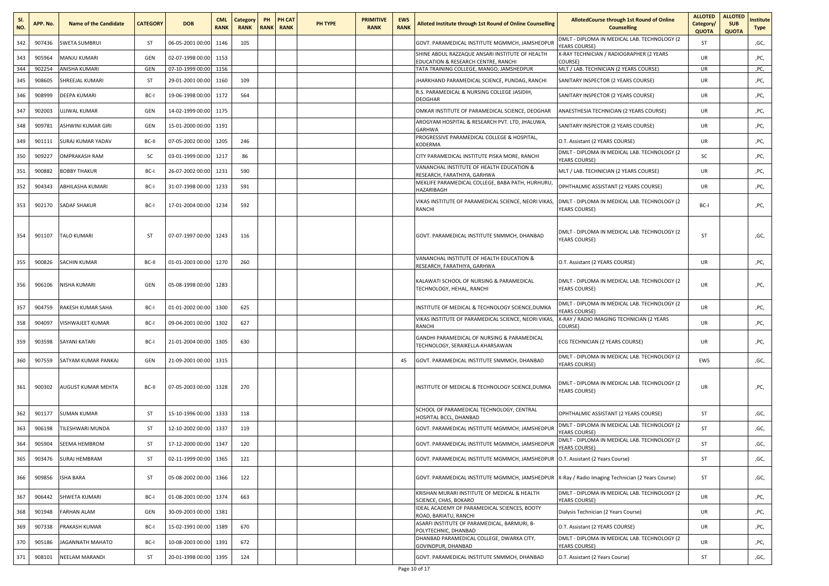| SI.<br>NO. | APP. No. | <b>Name of the Candidate</b> | <b>CATEGORY</b> | <b>DOB</b>            | <b>CML</b><br><b>RANK</b> | Category<br><b>RANK</b> | PH | PH CAT<br><b>RANK RANK</b> | PH TYPE | <b>PRIMITIVE</b><br><b>RANK</b> | <b>EWS</b><br><b>RANK</b> | Alloted Institute through 1st Round of Online Counselling                                          | <b>AllotedCourse through 1st Round of Online</b><br><b>Counselling</b> | <b>ALLOTED</b><br>Category/<br><b>QUOTA</b> | <b>ALLOTED</b><br><b>SUB</b><br><b>QUOTA</b> | nstitute<br><b>Type</b> |
|------------|----------|------------------------------|-----------------|-----------------------|---------------------------|-------------------------|----|----------------------------|---------|---------------------------------|---------------------------|----------------------------------------------------------------------------------------------------|------------------------------------------------------------------------|---------------------------------------------|----------------------------------------------|-------------------------|
| 342        | 907436   | <b>SWETA SUMBRUI</b>         | ST              | 06-05-2001 00:00      | 1146                      | 105                     |    |                            |         |                                 |                           | GOVT. PARAMEDICAL INSTITUTE MGMMCH, JAMSHEDPUR                                                     | DMLT - DIPLOMA IN MEDICAL LAB. TECHNOLOGY (2<br><b>YEARS COURSE)</b>   | ST                                          |                                              | ,GC,                    |
| 343        | 905964   | MANJU KUMARI                 | GEN             | 02-07-1998 00:00      | 1153                      |                         |    |                            |         |                                 |                           | SHINE ABDUL RAZZAQUE ANSARI INSTITUTE OF HEALTH<br>EDUCATION & RESEARCH CENTRE, RANCHI             | X-RAY TECHNICIAN / RADIOGRAPHER (2 YEARS<br>COURSE)                    | UR                                          |                                              | ,PC,                    |
| 344        | 902254   | ANISHA KUMARI                | GEN             | 07-10-1999 00:00 1156 |                           |                         |    |                            |         |                                 |                           | TATA TRAINING COLLEGE, MANGO, JAMSHEDPUR                                                           | MLT / LAB. TECHNICIAN (2 YEARS COURSE)                                 | UR                                          |                                              | ,PC,                    |
| 345        | 908605   | SHREEJAL KUMARI              | ST              | 29-01-2001 00:00      | 1160                      | 109                     |    |                            |         |                                 |                           | IHARKHAND PARAMEDICAL SCIENCE, PUNDAG, RANCHI                                                      | SANITARY INSPECTOR (2 YEARS COURSE)                                    | UR                                          |                                              | ,PC,                    |
| 346        | 908999   | DEEPA KUMARI                 | BC-I            | 19-06-1998 00:00      | 1172                      | 564                     |    |                            |         |                                 |                           | R.S. PARAMEDICAL & NURSING COLLEGE JASIDIH,<br>DEOGHAR                                             | SANITARY INSPECTOR (2 YEARS COURSE)                                    | UR                                          |                                              | ,PC,                    |
| 347        | 902003   | UJJWAL KUMAR                 | GEN             | 14-02-1999 00:00      | 1175                      |                         |    |                            |         |                                 |                           | OMKAR INSTITUTE OF PARAMEDICAL SCIENCE, DEOGHAR                                                    | ANAESTHESIA TECHNICIAN (2 YEARS COURSE)                                | UR                                          |                                              | ,PC,                    |
| 348        | 909781   | ASHWINI KUMAR GIRI           | GEN             | 15-01-2000 00:00      | 1191                      |                         |    |                            |         |                                 |                           | AROGYAM HOSPITAL & RESEARCH PVT. LTD, JHALUWA,<br>GARHWA                                           | SANITARY INSPECTOR (2 YEARS COURSE)                                    | <b>UR</b>                                   |                                              | ,PC,                    |
| 349        | 901111   | SURAJ KUMAR YADAV            | BC-II           | 07-05-2002 00:00      | 1205                      | 246                     |    |                            |         |                                 |                           | PROGRESSIVE PARAMEDICAL COLLEGE & HOSPITAL,<br>KODERMA                                             | O.T. Assistant (2 YEARS COURSE)                                        | UR                                          |                                              | ,PC,                    |
| 350        | 909227   | <b>OMPRAKASH RAM</b>         | sc              | 03-01-1999 00:00      | 1217                      | 86                      |    |                            |         |                                 |                           | CITY PARAMEDICAL INSTITUTE PISKA MORE, RANCHI                                                      | DMLT - DIPLOMA IN MEDICAL LAB. TECHNOLOGY (2<br><b>YEARS COURSE)</b>   | sc                                          |                                              | ,PC,                    |
| 351        | 900882   | <b>BOBBY THAKUR</b>          | BC-I            | 26-07-2002 00:00      | 1231                      | 590                     |    |                            |         |                                 |                           | VANANCHAL INSTITUTE OF HEALTH EDUCATION &<br>RESEARCH, FARATHIYA, GARHWA                           | MLT / LAB. TECHNICIAN (2 YEARS COURSE)                                 | UR                                          |                                              | ,PC,                    |
| 352        | 904343   | ABHILASHA KUMARI             | BC-I            | 31-07-1998 00:00      | 1233                      | 591                     |    |                            |         |                                 |                           | MEKLIFE PARAMEDICAL COLLEGE, BABA PATH, HURHURU,<br>HAZARIBAGH                                     | OPHTHALMIC ASSISTANT (2 YEARS COURSE)                                  | <b>UR</b>                                   |                                              | ,PC,                    |
| 353        | 902170   | SADAF SHAKUR                 | BC-I            | 17-01-2004 00:00      | 1234                      | 592                     |    |                            |         |                                 |                           | VIKAS INSTITUTE OF PARAMEDICAL SCIENCE, NEORI VIKAS,<br>RANCHI                                     | DMLT - DIPLOMA IN MEDICAL LAB. TECHNOLOGY (2<br>YEARS COURSE)          | BC-I                                        |                                              | ,PC,                    |
| 354        | 901107   | TALO KUMARI                  | ST              | 07-07-1997 00:00      | 1243                      | 116                     |    |                            |         |                                 |                           | GOVT. PARAMEDICAL INSTITUTE SNMMCH, DHANBAD                                                        | DMLT - DIPLOMA IN MEDICAL LAB. TECHNOLOGY (2<br><b>YEARS COURSE)</b>   | ST                                          |                                              | ,GC,                    |
| 355        | 900826   | SACHIN KUMAR                 | BC-II           | 01-01-2003 00:00      | 1270                      | 260                     |    |                            |         |                                 |                           | VANANCHAL INSTITUTE OF HEALTH EDUCATION &<br>RESEARCH, FARATHIYA, GARHWA                           | O.T. Assistant (2 YEARS COURSE)                                        | <b>UR</b>                                   |                                              | ,PC,                    |
| 356        | 906106   | NISHA KUMARI                 | GEN             | 05-08-1998 00:00 1283 |                           |                         |    |                            |         |                                 |                           | KALAWATI SCHOOL OF NURSING & PARAMEDICAL<br>TECHNOLOGY, HEHAL, RANCHI                              | DMLT - DIPLOMA IN MEDICAL LAB. TECHNOLOGY (2<br><b>YEARS COURSE)</b>   | UR                                          |                                              | ,PC,                    |
| 357        | 904759   | RAKESH KUMAR SAHA            | BC-I            | 01-01-2002 00:00      | 1300                      | 625                     |    |                            |         |                                 |                           | INSTITUTE OF MEDICAL & TECHNOLOGY SCIENCE,DUMKA                                                    | DMLT - DIPLOMA IN MEDICAL LAB. TECHNOLOGY (2<br><b>YEARS COURSE)</b>   | <b>UR</b>                                   |                                              | ,PC,                    |
| 358        | 904097   | VISHWAJEET KUMAR             | BC-I            | 09-04-2001 00:00      | 1302                      | 627                     |    |                            |         |                                 |                           | VIKAS INSTITUTE OF PARAMEDICAL SCIENCE, NEORI VIKAS,<br>RANCHI                                     | X-RAY / RADIO IMAGING TECHNICIAN (2 YEARS<br>COURSE)                   | <b>UR</b>                                   |                                              | ,PC,                    |
| 359        | 903598   | SAYANI KATARI                | BC-I            | 21-01-2004 00:00      | 1305                      | 630                     |    |                            |         |                                 |                           | GANDHI PARAMEDICAL OF NURSING & PARAMEDICAL<br>TECHNOLOGY, SERAIKELLA-KHARSAWAN                    | ECG TECHNICIAN (2 YEARS COURSE)                                        | UR                                          |                                              | ,PC,                    |
| 360        | 907559   | SATYAM KUMAR PANKAJ          | GEN             | 21-09-2001 00:00      | 1315                      |                         |    |                            |         |                                 | 45                        | GOVT. PARAMEDICAL INSTITUTE SNMMCH, DHANBAD                                                        | DMLT - DIPLOMA IN MEDICAL LAB. TECHNOLOGY (2<br><b>YEARS COURSE)</b>   | EWS                                         |                                              | ,GC,                    |
| 361        | 900302   | AUGUST KUMAR MEHTA           | BC-II           | 07-05-2003 00:00 1328 |                           | 270                     |    |                            |         |                                 |                           | INSTITUTE OF MEDICAL & TECHNOLOGY SCIENCE, DUMKA                                                   | DMLT - DIPLOMA IN MEDICAL LAB. TECHNOLOGY (2<br>YEARS COURSE)          | UR                                          |                                              | ,PC,                    |
| 362        | 901177   | <b>SUMAN KUMAR</b>           | ST              | 15-10-1996 00:00      | 1333                      | 118                     |    |                            |         |                                 |                           | SCHOOL OF PARAMEDICAL TECHNOLOGY, CENTRAL<br>HOSPITAL BCCL, DHANBAD                                | OPHTHALMIC ASSISTANT (2 YEARS COURSE)                                  | ST                                          |                                              | ,GC,                    |
| 363        | 906198   | TILESHWARI MUNDA             | ST              | 12-10-2002 00:00      | 1337                      | 119                     |    |                            |         |                                 |                           | GOVT. PARAMEDICAL INSTITUTE MGMMCH, JAMSHEDPUF                                                     | DMLT - DIPLOMA IN MEDICAL LAB. TECHNOLOGY (2<br><b>YEARS COURSE)</b>   | ST                                          |                                              | ,GC,                    |
| 364        | 905904   | SEEMA HEMBROM                | ST              | 17-12-2000 00:00      | 1347                      | 120                     |    |                            |         |                                 |                           | GOVT. PARAMEDICAL INSTITUTE MGMMCH, JAMSHEDPUR                                                     | DMLT - DIPLOMA IN MEDICAL LAB. TECHNOLOGY (2<br>YEARS COURSE)          | ST                                          |                                              | ,GC,                    |
| 365        | 903476   | <b>SURAJ HEMBRAM</b>         | ST              | 02-11-1999 00:00 1365 |                           | 121                     |    |                            |         |                                 |                           | GOVT. PARAMEDICAL INSTITUTE MGMMCH, JAMSHEDPUR O.T. Assistant (2 Years Course)                     |                                                                        | ST                                          |                                              | ,GC,                    |
| 366        | 909856   | <b>ISHA BARA</b>             | ST              | 05-08-2002 00:00 1366 |                           | 122                     |    |                            |         |                                 |                           | GOVT. PARAMEDICAL INSTITUTE MGMMCH, JAMSHEDPUR   X-Ray / Radio Imaging Technician (2 Years Course) |                                                                        | ST                                          |                                              | ,GC,                    |
| 367        | 906442   | SHWETA KUMARI                | BC-I            | 01-08-2001 00:00      | 1374                      | 663                     |    |                            |         |                                 |                           | KRISHAN MURARI INSTITUTE OF MEDICAL & HEALTH<br>SCIENCE, CHAS, BOKARO                              | DMLT - DIPLOMA IN MEDICAL LAB. TECHNOLOGY (2<br>YEARS COURSE)          | UR                                          |                                              | ,PC,                    |
| 368        | 901948   | <b>FARHAN ALAM</b>           | GEN             | 30-09-2003 00:00      | 1381                      |                         |    |                            |         |                                 |                           | IDEAL ACADEMY OF PARAMEDICAL SCIENCES, BOOTY<br>ROAD, BARIATU, RANCHI                              | Dialysis Technician (2 Years Course)                                   | UR                                          |                                              | ,PC,                    |
| 369        | 907338   | PRAKASH KUMAR                | BC-I            | 15-02-1991 00:00      | 1389                      | 670                     |    |                            |         |                                 |                           | ASARFI INSTITUTE OF PARAMEDICAL, BARMURI, B-<br>POLYTECHNIC, DHANBAD                               | O.T. Assistant (2 YEARS COURSE)                                        | UR                                          |                                              | ,PC,                    |
| 370        | 905186   | <b>JAGANNATH MAHATO</b>      | BC-I            | 10-08-2003 00:00      | 1391                      | 672                     |    |                            |         |                                 |                           | DHANBAD PARAMEDICAL COLLEGE, DWARKA CITY,<br>GOVINDPUR, DHANBAD                                    | DMLT - DIPLOMA IN MEDICAL LAB. TECHNOLOGY (2<br>YEARS COURSE)          | UR                                          |                                              | ,PC,                    |
| 371        | 908101   | NEELAM MARANDI               | ST              | 20-01-1998 00:00      | 1395                      | 124                     |    |                            |         |                                 |                           | GOVT. PARAMEDICAL INSTITUTE SNMMCH, DHANBAD                                                        | O.T. Assistant (2 Years Course)                                        | ST                                          |                                              | ,GC,                    |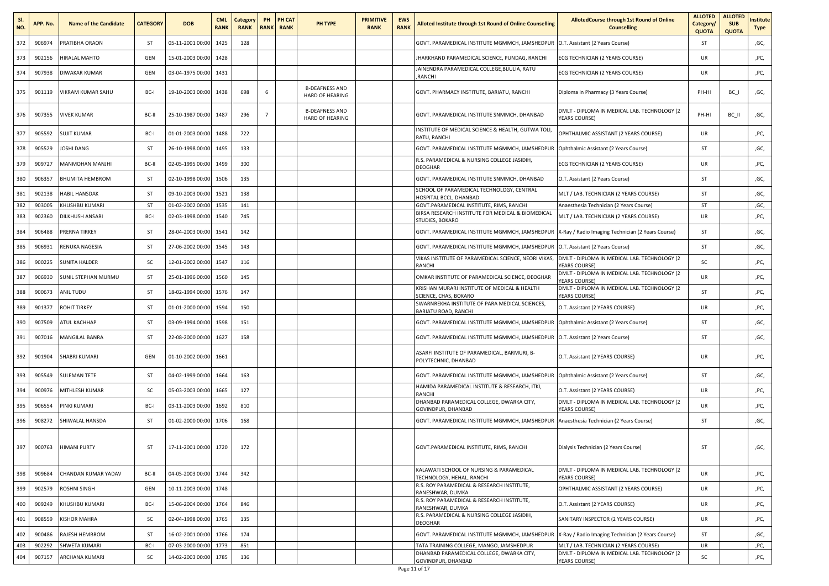| SI.<br>NO. | APP. No. | <b>Name of the Candidate</b> | <b>CATEGORY</b> | <b>DOB</b>       | <b>CML</b><br><b>RANK</b> | Category<br><b>RANK</b> | PH             | PH CAT<br><b>RANK RANK</b> | PH TYPE                                         | <b>PRIMITIVE</b><br><b>RANK</b> | <b>EWS</b><br><b>RANK</b> | <b>Alloted Institute through 1st Round of Online Counselling</b>                 | <b>AllotedCourse through 1st Round of Online</b><br><b>Counselling</b>      | <b>ALLOTED</b><br>Category/<br><b>QUOTA</b> | <b>ALLOTED</b><br><b>SUB</b><br><b>QUOTA</b> | nstitute<br>Type |
|------------|----------|------------------------------|-----------------|------------------|---------------------------|-------------------------|----------------|----------------------------|-------------------------------------------------|---------------------------------|---------------------------|----------------------------------------------------------------------------------|-----------------------------------------------------------------------------|---------------------------------------------|----------------------------------------------|------------------|
| 372        | 906974   | PRATIBHA ORAON               | ST              | 05-11-2001 00:00 | 1425                      | 128                     |                |                            |                                                 |                                 |                           | GOVT. PARAMEDICAL INSTITUTE MGMMCH, JAMSHEDPUR                                   | O.T. Assistant (2 Years Course)                                             | ST                                          |                                              | ,GC,             |
| 373        | 902156   | HIRALAL MAHTO                | GEN             | 15-01-2003 00:00 | 1428                      |                         |                |                            |                                                 |                                 |                           | IHARKHAND PARAMEDICAL SCIENCE, PUNDAG, RANCHI                                    | ECG TECHNICIAN (2 YEARS COURSE)                                             | UR                                          |                                              | ,PC,             |
| 374        | 907938   | DIWAKAR KUMAR                | GEN             | 03-04-1975 00:00 | 1431                      |                         |                |                            |                                                 |                                 |                           | JAINENDRA PARAMEDICAL COLLEGE, BIJULIA, RATU<br><b>RANCHI</b>                    | ECG TECHNICIAN (2 YEARS COURSE)                                             | UR                                          |                                              | ,PC,             |
| 375        | 901119   | VIKRAM KUMAR SAHU            | BC-I            | 19-10-2003 00:00 | 1438                      | 698                     | 6              |                            | <b>B-DEAFNESS AND</b><br><b>HARD OF HEARING</b> |                                 |                           | GOVT. PHARMACY INSTITUTE, BARIATU, RANCHI                                        | Diploma in Pharmacy (3 Years Course)                                        | PH-HI                                       | BC I                                         | ,GC,             |
| 376        | 907355   | <b>VIVEK KUMAR</b>           | BC-II           | 25-10-1987 00:00 | 1487                      | 296                     | $\overline{7}$ |                            | <b>B-DEAFNESS AND</b><br><b>HARD OF HEARING</b> |                                 |                           | GOVT. PARAMEDICAL INSTITUTE SNMMCH, DHANBAD                                      | DMLT - DIPLOMA IN MEDICAL LAB. TECHNOLOGY (2<br>YEARS COURSE)               | PH-HI                                       | BC II                                        | ,GC,             |
| 377        | 905592   | <b>SUJIT KUMAR</b>           | BC-I            | 01-01-2003 00:00 | 1488                      | 722                     |                |                            |                                                 |                                 |                           | INSTITUTE OF MEDICAL SCIENCE & HEALTH, GUTWA TOLI,<br>RATU, RANCHI               | OPHTHALMIC ASSISTANT (2 YEARS COURSE)                                       | <b>UR</b>                                   |                                              | ,PC,             |
| 378        | 905529   | JOSHI DANG                   | ST              | 26-10-1998 00:00 | 1495                      | 133                     |                |                            |                                                 |                                 |                           | GOVT. PARAMEDICAL INSTITUTE MGMMCH, JAMSHEDPUR                                   | Ophthalmic Assistant (2 Years Course)                                       | ST                                          |                                              | ,GC,             |
| 379        | 909727   | MANMOHAN MANJHI              | BC-II           | 02-05-1995 00:00 | 1499                      | 300                     |                |                            |                                                 |                                 |                           | R.S. PARAMEDICAL & NURSING COLLEGE JASIDIH,<br><b>DEOGHAR</b>                    | ECG TECHNICIAN (2 YEARS COURSE)                                             | <b>UR</b>                                   |                                              | ,PC,             |
| 380        | 906357   | BHUMITA HEMBROM              | ST              | 02-10-1998 00:00 | 1506                      | 135                     |                |                            |                                                 |                                 |                           | GOVT. PARAMEDICAL INSTITUTE SNMMCH, DHANBAD                                      | O.T. Assistant (2 Years Course)                                             | ST                                          |                                              | ,GC,             |
| 381        | 902138   | HABIL HANSDAK                | ST              | 09-10-2003 00:00 | 1521                      | 138                     |                |                            |                                                 |                                 |                           | SCHOOL OF PARAMEDICAL TECHNOLOGY, CENTRAL<br>HOSPITAL BCCL, DHANBAD              | MLT / LAB. TECHNICIAN (2 YEARS COURSE)                                      | ST                                          |                                              | ,GC,             |
| 382        | 903005   | KHUSHBU KUMARI               | ST              | 01-02-2002 00:00 | 1535                      | 141                     |                |                            |                                                 |                                 |                           | GOVT.PARAMEDICAL INSTITUTE, RIMS, RANCHI                                         | Anaesthesia Technician (2 Years Course)                                     | ST                                          |                                              | ,GC,             |
| 383        | 902360   | DILKHUSH ANSARI              | BC-             | 02-03-1998 00:00 | 1540                      | 745                     |                |                            |                                                 |                                 |                           | BIRSA RESEARCH INSTITUTE FOR MEDICAL & BIOMEDICAL<br>STUDIES, BOKARO             | MLT / LAB. TECHNICIAN (2 YEARS COURSE)                                      | UR                                          |                                              | ,PC,             |
| 384        | 906488   | PRERNA TIRKEY                | ST              | 28-04-2003 00:00 | 1541                      | 142                     |                |                            |                                                 |                                 |                           | GOVT. PARAMEDICAL INSTITUTE MGMMCH, JAMSHEDPUR                                   | X-Ray / Radio Imaging Technician (2 Years Course)                           | ST                                          |                                              | ,GC,             |
| 385        | 906931   | RENUKA NAGESIA               | ST              | 27-06-2002 00:00 | 1545                      | 143                     |                |                            |                                                 |                                 |                           | GOVT. PARAMEDICAL INSTITUTE MGMMCH, JAMSHEDPUR                                   | O.T. Assistant (2 Years Course)                                             | ST                                          |                                              | ,GC,             |
| 386        | 900225   | <b>SUNITA HALDER</b>         | SC              | 12-01-2002 00:00 | 1547                      | 116                     |                |                            |                                                 |                                 |                           | VIKAS INSTITUTE OF PARAMEDICAL SCIENCE, NEORI VIKAS,<br><b>RANCHI</b>            | DMLT - DIPLOMA IN MEDICAL LAB. TECHNOLOGY (2<br><b><i>(EARS COURSE)</i></b> | SC                                          |                                              | ,PC,             |
| 387        | 906930   | SUNIL STEPHAN MURMU          | ST              | 25-01-1996 00:00 | 1560                      | 145                     |                |                            |                                                 |                                 |                           | OMKAR INSTITUTE OF PARAMEDICAL SCIENCE, DEOGHAR                                  | DMLT - DIPLOMA IN MEDICAL LAB. TECHNOLOGY (2<br>YEARS COURSE)               | UR                                          |                                              | ,PC,             |
| 388        | 900673   | ANIL TUDU                    | ST              | 18-02-1994 00:00 | 1576                      | 147                     |                |                            |                                                 |                                 |                           | KRISHAN MURARI INSTITUTE OF MEDICAL & HEALTH<br>SCIENCE, CHAS, BOKARO            | DMLT - DIPLOMA IN MEDICAL LAB. TECHNOLOGY (2<br>YEARS COURSE)               | ST                                          |                                              | ,PC,             |
| 389        | 901377   | ROHIT TIRKEY                 | ST              | 01-01-2000 00:00 | 1594                      | 150                     |                |                            |                                                 |                                 |                           | SWARNREKHA INSTITUTE OF PARA MEDICAL SCIENCES,<br>BARIATU ROAD, RANCHI           | O.T. Assistant (2 YEARS COURSE)                                             | UR                                          |                                              | ,PC,             |
| 390        | 907509   | ATUL KACHHAP                 | ST              | 03-09-1994 00:00 | 1598                      | 151                     |                |                            |                                                 |                                 |                           | GOVT. PARAMEDICAL INSTITUTE MGMMCH, JAMSHEDPUR                                   | Ophthalmic Assistant (2 Years Course)                                       | ST                                          |                                              | ,GC,             |
| 391        | 907016   | MANGILAL BANRA               | ST              | 22-08-2000 00:00 | 1627                      | 158                     |                |                            |                                                 |                                 |                           | GOVT. PARAMEDICAL INSTITUTE MGMMCH, JAMSHEDPUR   O.T. Assistant (2 Years Course) |                                                                             | ST                                          |                                              | ,GC,             |
| 392        | 901904   | <b>SHABRI KUMARI</b>         | GEN             | 01-10-2002 00:00 | 1661                      |                         |                |                            |                                                 |                                 |                           | ASARFI INSTITUTE OF PARAMEDICAL, BARMURI, B-<br>POLYTECHNIC, DHANBAD             | O.T. Assistant (2 YEARS COURSE)                                             | UR                                          |                                              | ,PC,             |
| 393        | 905549   | <b>SULEMAN TETE</b>          | ST              | 04-02-1999 00:00 | 1664                      | 163                     |                |                            |                                                 |                                 |                           | GOVT. PARAMEDICAL INSTITUTE MGMMCH, JAMSHEDPUR                                   | Ophthalmic Assistant (2 Years Course)                                       | <b>ST</b>                                   |                                              | ,GC,             |
| 394        | 900976   | MITHLESH KUMAR               | SC              | 05-03-2003 00:00 | 1665                      | 127                     |                |                            |                                                 |                                 |                           | HAMIDA PARAMEDICAL INSTITUTE & RESEARCH, ITKI,<br><b>RANCHI</b>                  | O.T. Assistant (2 YEARS COURSE)                                             | UR                                          |                                              | ,PC,             |
| 395        | 906554   | PINKI KUMARI                 | BC-             | 03-11-2003 00:00 | 1692                      | 810                     |                |                            |                                                 |                                 |                           | DHANBAD PARAMEDICAL COLLEGE, DWARKA CITY,<br>GOVINDPUR, DHANBAD                  | DMLT - DIPLOMA IN MEDICAL LAB. TECHNOLOGY (2<br><b>YEARS COURSE)</b>        | UR                                          |                                              | ,PC,             |
| 396        | 908272   | SHIWALAL HANSDA              | ST              | 01-02-2000 00:00 | 1706                      | 168                     |                |                            |                                                 |                                 |                           | GOVT. PARAMEDICAL INSTITUTE MGMMCH, JAMSHEDPUR                                   | Anaesthesia Technician (2 Years Course)                                     | ST                                          |                                              | ,GC,             |
| 397        | 900763   | HIMANI PURTY                 | ST              | 17-11-2001 00:00 | 1720                      | 172                     |                |                            |                                                 |                                 |                           | GOVT.PARAMEDICAL INSTITUTE, RIMS, RANCHI                                         | Dialysis Technician (2 Years Course)                                        | ST                                          |                                              | ,GC,             |
| 398        | 909684   | CHANDAN KUMAR YADAV          | BC-II           | 04-05-2003 00:00 | 1744                      | 342                     |                |                            |                                                 |                                 |                           | KALAWATI SCHOOL OF NURSING & PARAMEDICAL<br>TECHNOLOGY, HEHAL, RANCHI            | DMLT - DIPLOMA IN MEDICAL LAB. TECHNOLOGY (2<br><b>YEARS COURSE)</b>        | <b>UR</b>                                   |                                              | ,PC,             |
| 399        | 902579   | ROSHNI SINGH                 | GEN             | 10-11-2003 00:00 | 1748                      |                         |                |                            |                                                 |                                 |                           | R.S. ROY PARAMEDICAL & RESEARCH INSTITUTE.<br>RANESHWAR, DUMKA                   | OPHTHALMIC ASSISTANT (2 YEARS COURSE)                                       | <b>UR</b>                                   |                                              | ,PC,             |
| 400        | 909249   | KHUSHBU KUMARI               | BC-I            | 15-06-2004 00:00 | 1764                      | 846                     |                |                            |                                                 |                                 |                           | R.S. ROY PARAMEDICAL & RESEARCH INSTITUTE,<br>RANESHWAR, DUMKA                   | O.T. Assistant (2 YEARS COURSE)                                             | <b>UR</b>                                   |                                              | ,PC,             |
| 401        | 908559   | KISHOR MAHRA                 | <b>SC</b>       | 02-04-1998 00:00 | 1765                      | 135                     |                |                            |                                                 |                                 |                           | R.S. PARAMEDICAL & NURSING COLLEGE JASIDIH,<br><b>DEOGHAR</b>                    | SANITARY INSPECTOR (2 YEARS COURSE)                                         | UR                                          |                                              | ,PC,             |
| 402        | 900486   | RAJESH HEMBROM               | ST              | 16-02-2001 00:00 | 1766                      | 174                     |                |                            |                                                 |                                 |                           | GOVT. PARAMEDICAL INSTITUTE MGMMCH, JAMSHEDPUR                                   | X-Ray / Radio Imaging Technician (2 Years Course)                           | ST                                          |                                              | ,GC,             |
| 403        | 902292   | SHWETA KUMARI                | BC-             | 07-03-2000 00:00 | 1773                      | 851                     |                |                            |                                                 |                                 |                           | TATA TRAINING COLLEGE, MANGO, JAMSHEDPUR                                         | MLT / LAB. TECHNICIAN (2 YEARS COURSE)                                      | UR                                          |                                              | ,PC,             |
| 404        | 907157   | ARCHANA KUMARI               | <b>SC</b>       | 14-02-2003 00:00 | 1785                      | 136                     |                |                            |                                                 |                                 |                           | DHANBAD PARAMEDICAL COLLEGE, DWARKA CITY,<br>GOVINDPUR, DHANBAD                  | DMLT - DIPLOMA IN MEDICAL LAB. TECHNOLOGY (2<br>YEARS COURSE)               | SC                                          |                                              | ,PC,             |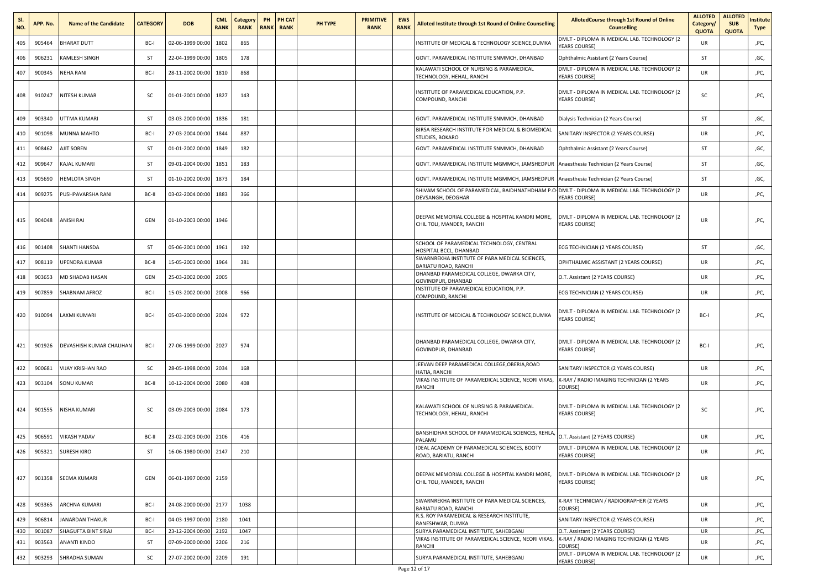| SI.<br>NO. | APP. No. | <b>Name of the Candidate</b> | <b>CATEGORY</b> | <b>DOB</b>            | <b>CML</b><br><b>RANK</b> | Category<br><b>RANK</b> | PH | PH CAT<br><b>RANK RANK</b> | PH TYPE | <b>PRIMITIVE</b><br><b>RANK</b> | <b>EWS</b><br><b>RANK</b> | Alloted Institute through 1st Round of Online Counselling                                                          | <b>AllotedCourse through 1st Round of Online</b><br><b>Counselling</b>       | <b>ALLOTED</b><br>Category/<br><b>QUOTA</b> | <b>ALLOTED</b><br><b>SUB</b><br><b>QUOTA</b> | nstitute<br>Type |
|------------|----------|------------------------------|-----------------|-----------------------|---------------------------|-------------------------|----|----------------------------|---------|---------------------------------|---------------------------|--------------------------------------------------------------------------------------------------------------------|------------------------------------------------------------------------------|---------------------------------------------|----------------------------------------------|------------------|
| 405        | 905464   | BHARAT DUTT                  | BC-I            | 02-06-1999 00:00      | 1802                      | 865                     |    |                            |         |                                 |                           | NSTITUTE OF MEDICAL & TECHNOLOGY SCIENCE, DUMKA                                                                    | DMLT - DIPLOMA IN MEDICAL LAB. TECHNOLOGY (2<br><b>YEARS COURSE)</b>         | UR                                          |                                              | ,PC,             |
| 406        | 906231   | KAMLESH SINGH                | ST              | 22-04-1999 00:00      | 1805                      | 178                     |    |                            |         |                                 |                           | GOVT. PARAMEDICAL INSTITUTE SNMMCH, DHANBAD                                                                        | Ophthalmic Assistant (2 Years Course)                                        | ST                                          |                                              | ,GC,             |
| 407        | 900345   | NEHA RANI                    | BC-I            | 28-11-2002 00:00      | 1810                      | 868                     |    |                            |         |                                 |                           | KALAWATI SCHOOL OF NURSING & PARAMEDICAL<br><b>TECHNOLOGY, HEHAL, RANCHI</b>                                       | DMLT - DIPLOMA IN MEDICAL LAB. TECHNOLOGY (2<br><b>YEARS COURSE)</b>         | UR                                          |                                              | ,PC,             |
| 408        | 910247   | NITESH KUMAR                 | <b>SC</b>       | 01-01-2001 00:00      | 1827                      | 143                     |    |                            |         |                                 |                           | NSTITUTE OF PARAMEDICAL EDUCATION, P.P.<br>COMPOUND, RANCHI                                                        | DMLT - DIPLOMA IN MEDICAL LAB. TECHNOLOGY (2<br><b>YEARS COURSE)</b>         | SC                                          |                                              | ,PC,             |
| 409        | 903340   | UTTMA KUMARI                 | ST              | 03-03-2000 00:00      | 1836                      | 181                     |    |                            |         |                                 |                           | GOVT. PARAMEDICAL INSTITUTE SNMMCH, DHANBAD                                                                        | Dialysis Technician (2 Years Course)                                         | <b>ST</b>                                   |                                              | ,GC,             |
| 410        | 901098   | MUNNA MAHTO                  | BC-I            | 27-03-2004 00:00      | 1844                      | 887                     |    |                            |         |                                 |                           | BIRSA RESEARCH INSTITUTE FOR MEDICAL & BIOMEDICAL<br><b>STUDIES, BOKARO</b>                                        | SANITARY INSPECTOR (2 YEARS COURSE)                                          | UR                                          |                                              | ,PC,             |
| 411        | 908462   | AJIT SOREN                   | ST              | 01-01-2002 00:00      | 1849                      | 182                     |    |                            |         |                                 |                           | GOVT. PARAMEDICAL INSTITUTE SNMMCH, DHANBAD                                                                        | Ophthalmic Assistant (2 Years Course)                                        | ST                                          |                                              | ,GC,             |
| 412        | 909647   | KAJAL KUMARI                 | ST              | 09-01-2004 00:00      | 1851                      | 183                     |    |                            |         |                                 |                           | GOVT. PARAMEDICAL INSTITUTE MGMMCH, JAMSHEDPUR                                                                     | Anaesthesia Technician (2 Years Course)                                      | ST                                          |                                              | ,GC,             |
| 413        | 905690   | HEMLOTA SINGH                | ST              | 01-10-2002 00:00      | 1873                      | 184                     |    |                            |         |                                 |                           | GOVT. PARAMEDICAL INSTITUTE MGMMCH, JAMSHEDPUR                                                                     | Anaesthesia Technician (2 Years Course)                                      | <b>ST</b>                                   |                                              | ,GC,             |
| 414        | 909275   | PUSHPAVARSHA RANI            | BC-II           | 03-02-2004 00:00      | 1883                      | 366                     |    |                            |         |                                 |                           | SHIVAM SCHOOL OF PARAMEDICAL, BAIDHNATHDHAM P.O. DMLT - DIPLOMA IN MEDICAL LAB. TECHNOLOGY (2<br>DEVSANGH, DEOGHAR | YEARS COURSE)                                                                | UR                                          |                                              | ,PC,             |
| 415        | 904048   | ANISH RAJ                    | GEN             | 01-10-2003 00:00      | 1946                      |                         |    |                            |         |                                 |                           | DEEPAK MEMORIAL COLLEGE & HOSPITAL KANDRI MORE,<br>CHIL TOLI, MANDER, RANCHI                                       | DMLT - DIPLOMA IN MEDICAL LAB. TECHNOLOGY (2<br><b>YEARS COURSE)</b>         | UR                                          |                                              | ,PC,             |
| 416        | 901408   | SHANTI HANSDA                | ST              | 05-06-2001 00:00      | 1961                      | 192                     |    |                            |         |                                 |                           | SCHOOL OF PARAMEDICAL TECHNOLOGY, CENTRAL<br><b>HOSPITAL BCCL, DHANBAD</b>                                         | ECG TECHNICIAN (2 YEARS COURSE)                                              | ST                                          |                                              | ,GC,             |
| 417        | 908119   | UPENDRA KUMAR                | BC-II           | 15-05-2003 00:00      | 1964                      | 381                     |    |                            |         |                                 |                           | SWARNREKHA INSTITUTE OF PARA MEDICAL SCIENCES,<br>BARIATU ROAD, RANCHI                                             | OPHTHALMIC ASSISTANT (2 YEARS COURSE)                                        | UR                                          |                                              | ,PC,             |
| 418        | 903653   | MD SHADAB HASAN              | GEN             | 25-03-2002 00:00      | 2005                      |                         |    |                            |         |                                 |                           | DHANBAD PARAMEDICAL COLLEGE, DWARKA CITY,<br>GOVINDPUR, DHANBAD                                                    | O.T. Assistant (2 YEARS COURSE)                                              | UR                                          |                                              | ,PC,             |
| 419        | 907859   | SHABNAM AFROZ                | BC-I            | 15-03-2002 00:00      | 2008                      | 966                     |    |                            |         |                                 |                           | NSTITUTE OF PARAMEDICAL EDUCATION, P.P.<br>COMPOUND, RANCHI                                                        | ECG TECHNICIAN (2 YEARS COURSE)                                              | UR                                          |                                              | ,PC,             |
| 420        | 910094   | LAXMI KUMARI                 | BC-I            | 05-03-2000 00:00      | 2024                      | 972                     |    |                            |         |                                 |                           | INSTITUTE OF MEDICAL & TECHNOLOGY SCIENCE,DUMKA                                                                    | DMLT - DIPLOMA IN MEDICAL LAB. TECHNOLOGY (2<br>YEARS COURSE)                | BC-I                                        |                                              | ,PC,             |
| 421        | 901926   | DEVASHISH KUMAR CHAUHAN      | BC-I            | 27-06-1999 00:00      | 2027                      | 974                     |    |                            |         |                                 |                           | DHANBAD PARAMEDICAL COLLEGE, DWARKA CITY,<br>GOVINDPUR, DHANBAD                                                    | DMLT - DIPLOMA IN MEDICAL LAB. TECHNOLOGY (2<br><b>YEARS COURSE)</b>         | BC-I                                        |                                              | ,PC,             |
| 422        | 900681   | VIJAY KRISHAN RAO            | SC              | 28-05-1998 00:00      | 2034                      | 168                     |    |                            |         |                                 |                           | JEEVAN DEEP PARAMEDICAL COLLEGE, OBERIA, ROAD<br><b>HATIA, RANCHI</b>                                              | SANITARY INSPECTOR (2 YEARS COURSE)                                          | UR                                          |                                              | ,PC,             |
| 423        | 903104   | <b>SONU KUMAR</b>            | BC-II           | 10-12-2004 00:00      | 2080                      | 408                     |    |                            |         |                                 |                           | VIKAS INSTITUTE OF PARAMEDICAL SCIENCE, NEORI VIKAS,<br>RANCHI                                                     | X-RAY / RADIO IMAGING TECHNICIAN (2 YEARS<br>COURSE)                         | UR                                          |                                              | ,PC,             |
| 424        | 901555   | NISHA KUMARI                 | <b>SC</b>       | 03-09-2003 00:00      | 2084                      | 173                     |    |                            |         |                                 |                           | KALAWATI SCHOOL OF NURSING & PARAMEDICAL<br>TECHNOLOGY, HEHAL, RANCHI                                              | DMLT - DIPLOMA IN MEDICAL LAB. TECHNOLOGY (2<br><b>YEARS COURSE)</b>         | SC                                          |                                              | ,PC,             |
| 425        | 906591   | <b>VIKASH YADAV</b>          | BC-II           | 23-02-2003 00:00      | 2106                      | 416                     |    |                            |         |                                 |                           | BANSHIDHAR SCHOOL OF PARAMEDICAL SCIENCES, REHLA,<br><b>PALAMU</b>                                                 | O.T. Assistant (2 YEARS COURSE)                                              | UR                                          |                                              | ,PC,             |
| 426        | 905321   | <b>SURESH KIRO</b>           | ST              | 16-06-1980 00:00      | 2147                      | 210                     |    |                            |         |                                 |                           | IDEAL ACADEMY OF PARAMEDICAL SCIENCES, BOOTY<br>ROAD, BARIATU, RANCHI                                              | DMLT - DIPLOMA IN MEDICAL LAB. TECHNOLOGY (2<br><b>YEARS COURSE)</b>         | <b>UR</b>                                   |                                              | ,PC,             |
| 427        | 901358   | <b>SEEMA KUMARI</b>          | GEN             | 06-01-1997 00:00 2159 |                           |                         |    |                            |         |                                 |                           | DEEPAK MEMORIAL COLLEGE & HOSPITAL KANDRI MORE,<br>CHIL TOLI, MANDER, RANCHI                                       | DMLT - DIPLOMA IN MEDICAL LAB. TECHNOLOGY (2<br><b>YEARS COURSE)</b>         | <b>UR</b>                                   |                                              | ,PC,             |
| 428        | 903365   | ARCHNA KUMARI                | BC-I            | 24-08-2000 00:00      | 2177                      | 1038                    |    |                            |         |                                 |                           | SWARNREKHA INSTITUTE OF PARA MEDICAL SCIENCES,<br>BARIATU ROAD, RANCHI                                             | X-RAY TECHNICIAN / RADIOGRAPHER (2 YEARS<br>COURSE)                          | <b>UR</b>                                   |                                              | ,PC,             |
| 429        | 906814   | JANARDAN THAKUR              | BC-I            | 04-03-1997 00:00      | 2180                      | 1041                    |    |                            |         |                                 |                           | R.S. ROY PARAMEDICAL & RESEARCH INSTITUTE,<br>RANESHWAR, DUMKA                                                     | SANITARY INSPECTOR (2 YEARS COURSE)                                          | <b>UR</b>                                   |                                              | ,PC,             |
| 430        | 901087   | SHAGUFTA BINT SIRAJ          | BC-I            | 23-12-2004 00:00      | 2192                      | 1047                    |    |                            |         |                                 |                           | SURYA PARAMEDICAL INSTITUTE, SAHEBGANJ<br>VIKAS INSTITUTE OF PARAMEDICAL SCIENCE, NEORI VIKAS,                     | O.T. Assistant (2 YEARS COURSE)<br>X-RAY / RADIO IMAGING TECHNICIAN (2 YEARS | UR                                          |                                              | ,PC,             |
| 431        | 903563   | ANANTI KINDO                 | ST              | 07-09-2000 00:00      | 2206                      | 216                     |    |                            |         |                                 |                           | RANCHI                                                                                                             | COURSE)                                                                      | <b>UR</b>                                   |                                              | ,PC,             |
| 432        | 903293   | SHRADHA SUMAN                | <b>SC</b>       | 27-07-2002 00:00      | 2209                      | 191                     |    |                            |         |                                 |                           | SURYA PARAMEDICAL INSTITUTE, SAHEBGANJ                                                                             | DMLT - DIPLOMA IN MEDICAL LAB. TECHNOLOGY (2<br>YEARS COURSE)                | <b>UR</b>                                   |                                              | ,PC,             |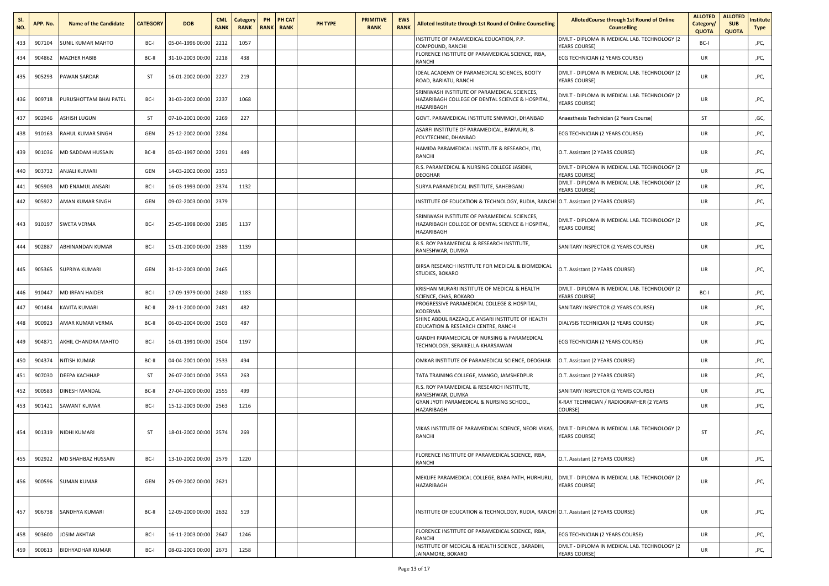| SI.<br>NO. | APP. No. | <b>Name of the Candidate</b> | <b>CATEGORY</b> | <b>DOB</b>            | <b>CML</b><br><b>RANK</b> | Category<br><b>RANK</b> | PH | PH CAT<br><b>RANK RANK</b> | <b>PH TYPE</b> | <b>PRIMITIVE</b><br><b>RANK</b> | <b>EWS</b><br><b>RANK</b> | Alloted Institute through 1st Round of Online Counselling                                                      | <b>AllotedCourse through 1st Round of Online</b><br><b>Counselling</b> | <b>ALLOTED</b><br>Category/<br><b>QUOTA</b> | <b>ALLOTED</b><br><b>SUB</b><br><b>QUOTA</b> | nstitute<br>Type |
|------------|----------|------------------------------|-----------------|-----------------------|---------------------------|-------------------------|----|----------------------------|----------------|---------------------------------|---------------------------|----------------------------------------------------------------------------------------------------------------|------------------------------------------------------------------------|---------------------------------------------|----------------------------------------------|------------------|
| 433        | 907104   | SUNIL KUMAR MAHTO            | BC-I            | 05-04-1996 00:00      | 2212                      | 1057                    |    |                            |                |                                 |                           | INSTITUTE OF PARAMEDICAL EDUCATION, P.P.<br>COMPOUND, RANCHI                                                   | DMLT - DIPLOMA IN MEDICAL LAB. TECHNOLOGY (2<br><b>YEARS COURSE)</b>   | BC-I                                        |                                              | ,PC,             |
| 434        | 904862   | <b>MAZHER HABIB</b>          | BC-II           | 31-10-2003 00:00      | 2218                      | 438                     |    |                            |                |                                 |                           | FLORENCE INSTITUTE OF PARAMEDICAL SCIENCE, IRBA,<br>RANCHI                                                     | ECG TECHNICIAN (2 YEARS COURSE)                                        | UR                                          |                                              | ,PC,             |
| 435        | 905293   | PAWAN SARDAR                 | ST              | 16-01-2002 00:00      | 2227                      | 219                     |    |                            |                |                                 |                           | IDEAL ACADEMY OF PARAMEDICAL SCIENCES, BOOTY<br>ROAD, BARIATU, RANCHI                                          | DMLT - DIPLOMA IN MEDICAL LAB. TECHNOLOGY (2<br><b>YEARS COURSE)</b>   | <b>UR</b>                                   |                                              | ,PC,             |
| 436        | 909718   | PURUSHOTTAM BHAI PATEL       | BC-I            | 31-03-2002 00:00 2237 |                           | 1068                    |    |                            |                |                                 |                           | SRINIWASH INSTITUTE OF PARAMEDICAL SCIENCES,<br>HAZARIBAGH COLLEGE OF DENTAL SCIENCE & HOSPITAL,<br>HAZARIBAGH | DMLT - DIPLOMA IN MEDICAL LAB. TECHNOLOGY (2<br><b>YEARS COURSE)</b>   | UR                                          |                                              | ,PC,             |
| 437        | 902946   | ASHISH LUGUN                 | ST              | 07-10-2001 00:00      | 2269                      | 227                     |    |                            |                |                                 |                           | GOVT. PARAMEDICAL INSTITUTE SNMMCH, DHANBAD                                                                    | Anaesthesia Technician (2 Years Course)                                | ST                                          |                                              | ,GC,             |
| 438        | 910163   | RAHUL KUMAR SINGH            | GEN             | 25-12-2002 00:00      | 2284                      |                         |    |                            |                |                                 |                           | ASARFI INSTITUTE OF PARAMEDICAL, BARMURI, B-<br>POLYTECHNIC, DHANBAD                                           | ECG TECHNICIAN (2 YEARS COURSE)                                        | UR                                          |                                              | ,PC,             |
| 439        | 901036   | MD SADDAM HUSSAIN            | BC-II           | 05-02-1997 00:00      | 2291                      | 449                     |    |                            |                |                                 |                           | HAMIDA PARAMEDICAL INSTITUTE & RESEARCH, ITKI,<br>RANCHI                                                       | O.T. Assistant (2 YEARS COURSE)                                        | UR                                          |                                              | ,PC,             |
| 440        | 903732   | ANJALI KUMARI                | GEN             | 14-03-2002 00:00      | 2353                      |                         |    |                            |                |                                 |                           | R.S. PARAMEDICAL & NURSING COLLEGE JASIDIH,<br>DEOGHAR                                                         | DMLT - DIPLOMA IN MEDICAL LAB. TECHNOLOGY (2<br><b>YEARS COURSE)</b>   | <b>UR</b>                                   |                                              | ,PC,             |
| 441        | 905903   | MD ENAMUL ANSARI             | BC-I            | 16-03-1993 00:00      | 2374                      | 1132                    |    |                            |                |                                 |                           | SURYA PARAMEDICAL INSTITUTE, SAHEBGANJ                                                                         | DMLT - DIPLOMA IN MEDICAL LAB. TECHNOLOGY (2<br><b>YEARS COURSE)</b>   | UR                                          |                                              | ,PC,             |
| 442        | 905922   | AMAN KUMAR SINGH             | GEN             | 09-02-2003 00:00      | 2379                      |                         |    |                            |                |                                 |                           | NSTITUTE OF EDUCATION & TECHNOLOGY, RUDIA, RANCHI                                                              | O.T. Assistant (2 YEARS COURSE)                                        | UR                                          |                                              | ,PC,             |
| 443        | 910197   | <b>SWETA VERMA</b>           | BC-I            | 25-05-1998 00:00 2385 |                           | 1137                    |    |                            |                |                                 |                           | SRINIWASH INSTITUTE OF PARAMEDICAL SCIENCES,<br>HAZARIBAGH COLLEGE OF DENTAL SCIENCE & HOSPITAL,<br>HAZARIBAGH | DMLT - DIPLOMA IN MEDICAL LAB. TECHNOLOGY (2<br><b>YEARS COURSE)</b>   | UR                                          |                                              | ,PC,             |
| 444        | 902887   | ABHINANDAN KUMAR             | BC-I            | 15-01-2000 00:00      | 2389                      | 1139                    |    |                            |                |                                 |                           | R.S. ROY PARAMEDICAL & RESEARCH INSTITUTE.<br>RANESHWAR, DUMKA                                                 | SANITARY INSPECTOR (2 YEARS COURSE)                                    | UR                                          |                                              | ,PC,             |
| 445        | 905365   | <b>SUPRIYA KUMARI</b>        | GEN             | 31-12-2003 00:00 2465 |                           |                         |    |                            |                |                                 |                           | BIRSA RESEARCH INSTITUTE FOR MEDICAL & BIOMEDICAL<br>STUDIES, BOKARO                                           | O.T. Assistant (2 YEARS COURSE)                                        | UR                                          |                                              | ,PC,             |
| 446        | 910447   | <b>MD IRFAN HAIDER</b>       | BC-I            | 17-09-1979 00:00      | 2480                      | 1183                    |    |                            |                |                                 |                           | KRISHAN MURARI INSTITUTE OF MEDICAL & HEALTH<br>SCIENCE, CHAS, BOKARO                                          | DMLT - DIPLOMA IN MEDICAL LAB. TECHNOLOGY (2<br>YEARS COURSE)          | BC-I                                        |                                              | ,PC,             |
| 447        | 901484   | KAVITA KUMARI                | BC-II           | 28-11-2000 00:00      | 2481                      | 482                     |    |                            |                |                                 |                           | PROGRESSIVE PARAMEDICAL COLLEGE & HOSPITAL,<br>KODERMA                                                         | SANITARY INSPECTOR (2 YEARS COURSE)                                    | UR                                          |                                              | ,PC,             |
| 448        | 900923   | AMAR KUMAR VERMA             | BC-II           | 06-03-2004 00:00      | 2503                      | 487                     |    |                            |                |                                 |                           | SHINE ABDUL RAZZAQUE ANSARI INSTITUTE OF HEALTH<br>EDUCATION & RESEARCH CENTRE, RANCHI                         | DIALYSIS TECHNICIAN (2 YEARS COURSE)                                   | UR                                          |                                              | ,PC,             |
| 449        | 904871   | AKHIL CHANDRA MAHTO          | BC-I            | 16-01-1991 00:00 2504 |                           | 1197                    |    |                            |                |                                 |                           | GANDHI PARAMEDICAL OF NURSING & PARAMEDICAL<br>TECHNOLOGY, SERAIKELLA-KHARSAWAN                                | ECG TECHNICIAN (2 YEARS COURSE)                                        | UR                                          |                                              | ,PC,             |
| 450        | 904374   | NITISH KUMAR                 | BC-II           | 04-04-2001 00:00      | 2533                      | 494                     |    |                            |                |                                 |                           | OMKAR INSTITUTE OF PARAMEDICAL SCIENCE, DEOGHAR                                                                | O.T. Assistant (2 YEARS COURSE)                                        | UR                                          |                                              | ,PC,             |
| 451        | 907030   | <b><i>DEEPA KACHHAP</i></b>  | ST              | 26-07-2001 00:00      | 2553                      | 263                     |    |                            |                |                                 |                           | TATA TRAINING COLLEGE, MANGO, JAMSHEDPUR                                                                       | O.T. Assistant (2 YEARS COURSE)                                        | UR                                          |                                              | ,PC,             |
| 452        | 900583   | DINESH MANDAL                | BC-II           | 27-04-2000 00:00      | 2555                      | 499                     |    |                            |                |                                 |                           | R.S. ROY PARAMEDICAL & RESEARCH INSTITUTE,<br>RANESHWAR, DUMKA                                                 | SANITARY INSPECTOR (2 YEARS COURSE)                                    | UR                                          |                                              | ,PC,             |
| 453        | 901421   | SAWANT KUMAR                 | BC-I            | 15-12-2003 00:00      | 2563                      | 1216                    |    |                            |                |                                 |                           | GYAN JYOTI PARAMEDICAL & NURSING SCHOOL,<br>HAZARIBAGH                                                         | X-RAY TECHNICIAN / RADIOGRAPHER (2 YEARS<br>COURSE)                    | UR                                          |                                              | ,PC,             |
| 454        | 901319   | NIDHI KUMARI                 | ST              | 18-01-2002 00:00 2574 |                           | 269                     |    |                            |                |                                 |                           | VIKAS INSTITUTE OF PARAMEDICAL SCIENCE, NEORI VIKAS,<br>RANCHI                                                 | DMLT - DIPLOMA IN MEDICAL LAB. TECHNOLOGY (2<br><b>YEARS COURSE)</b>   | ST                                          |                                              | ,PC,             |
| 455        | 902922   | MD SHAHBAZ HUSSAIN           | BC-I            | 13-10-2002 00:00 2579 |                           | 1220                    |    |                            |                |                                 |                           | FLORENCE INSTITUTE OF PARAMEDICAL SCIENCE, IRBA<br>RANCHI                                                      | O.T. Assistant (2 YEARS COURSE)                                        | UR                                          |                                              | ,PC,             |
| 456        | 900596   | <b>SUMAN KUMAR</b>           | GEN             | 25-09-2002 00:00 2621 |                           |                         |    |                            |                |                                 |                           | MEKLIFE PARAMEDICAL COLLEGE, BABA PATH, HURHURU,<br>HAZARIBAGH                                                 | DMLT - DIPLOMA IN MEDICAL LAB. TECHNOLOGY (2<br>YEARS COURSE)          | <b>UR</b>                                   |                                              | ,PC,             |
| 457        | 906738   | SANDHYA KUMARI               | BC-II           | 12-09-2000 00:00 2632 |                           | 519                     |    |                            |                |                                 |                           | INSTITUTE OF EDUCATION & TECHNOLOGY, RUDIA, RANCHI O.T. Assistant (2 YEARS COURSE)                             |                                                                        | UR                                          |                                              | ,PC,             |
| 458        | 903600   | <b>JOSIM AKHTAR</b>          | BC-I            | 16-11-2003 00:00 2647 |                           | 1246                    |    |                            |                |                                 |                           | FLORENCE INSTITUTE OF PARAMEDICAL SCIENCE, IRBA,<br>RANCHI                                                     | ECG TECHNICIAN (2 YEARS COURSE)                                        | <b>UR</b>                                   |                                              | ,PC,             |
| 459        | 900613   | <b>BIDHYADHAR KUMAR</b>      | BC-I            | 08-02-2003 00:00 2673 |                           | 1258                    |    |                            |                |                                 |                           | INSTITUTE OF MEDICAL & HEALTH SCIENCE, BARADIH,<br>JAINAMORE, BOKARO                                           | DMLT - DIPLOMA IN MEDICAL LAB. TECHNOLOGY (2<br><b>YEARS COURSE)</b>   | <b>UR</b>                                   |                                              | ,PC,             |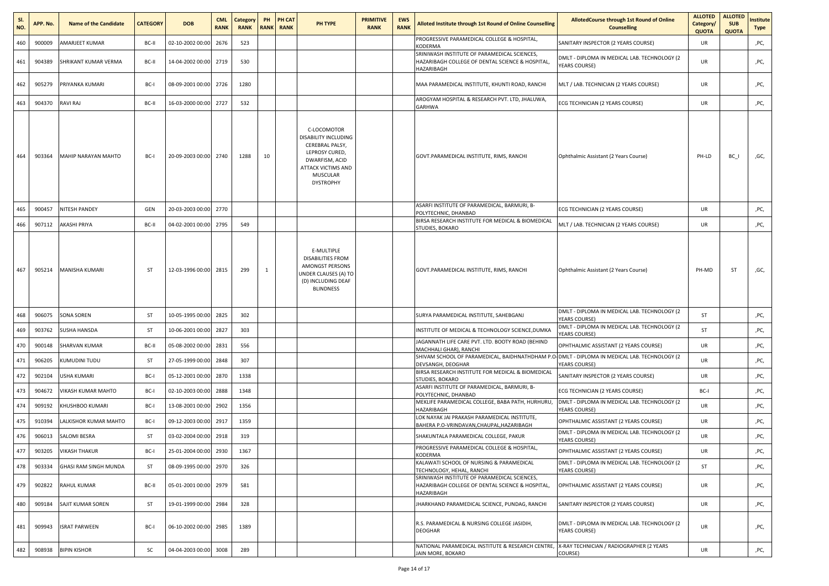| SI.<br>NO. | APP. No. | <b>Name of the Candidate</b> | <b>CATEGORY</b> | <b>DOB</b>            | <b>CML</b><br><b>RANK</b> | Category<br><b>RANK</b> | PH | PH CAT<br><b>RANK RANK</b> | PH TYPE                                                                                                                                                 | <b>PRIMITIVE</b><br><b>RANK</b> | <b>EWS</b><br><b>RANK</b> | Alloted Institute through 1st Round of Online Counselling                                                      | AllotedCourse through 1st Round of Online<br><b>Counselling</b>      | <b>ALLOTED</b><br>Category/<br><b>QUOTA</b> | <b>ALLOTED</b><br><b>SUB</b><br><b>QUOTA</b> | nstitute<br><b>Type</b> |
|------------|----------|------------------------------|-----------------|-----------------------|---------------------------|-------------------------|----|----------------------------|---------------------------------------------------------------------------------------------------------------------------------------------------------|---------------------------------|---------------------------|----------------------------------------------------------------------------------------------------------------|----------------------------------------------------------------------|---------------------------------------------|----------------------------------------------|-------------------------|
| 460        | 900009   | AMARJEET KUMAR               | BC-II           | 02-10-2002 00:00      | 2676                      | 523                     |    |                            |                                                                                                                                                         |                                 |                           | PROGRESSIVE PARAMEDICAL COLLEGE & HOSPITAL,<br><b>KODERMA</b>                                                  | SANITARY INSPECTOR (2 YEARS COURSE)                                  | UR                                          |                                              | ,PC,                    |
| 461        | 904389   | SHRIKANT KUMAR VERMA         | BC-II           | 14-04-2002 00:00 2719 |                           | 530                     |    |                            |                                                                                                                                                         |                                 |                           | SRINIWASH INSTITUTE OF PARAMEDICAL SCIENCES,<br>HAZARIBAGH COLLEGE OF DENTAL SCIENCE & HOSPITAL,<br>HAZARIBAGH | DMLT - DIPLOMA IN MEDICAL LAB. TECHNOLOGY (2<br>YEARS COURSE)        | <b>UR</b>                                   |                                              | ,PC,                    |
| 462        | 905279   | PRIYANKA KUMARI              | BC-I            | 08-09-2001 00:00 2726 |                           | 1280                    |    |                            |                                                                                                                                                         |                                 |                           | MAA PARAMEDICAL INSTITUTE, KHUNTI ROAD, RANCHI                                                                 | MLT / LAB. TECHNICIAN (2 YEARS COURSE)                               | UR                                          |                                              | ,PC,                    |
| 463        | 904370   | RAVI RAJ                     | BC-II           | 16-03-2000 00:00 2727 |                           | 532                     |    |                            |                                                                                                                                                         |                                 |                           | AROGYAM HOSPITAL & RESEARCH PVT. LTD, JHALUWA,<br>GARHWA                                                       | ECG TECHNICIAN (2 YEARS COURSE)                                      | UR                                          |                                              | ,PC,                    |
| 464        | 903364   | MAHIP NARAYAN MAHTO          | BC-I            | 20-09-2003 00:00 2740 |                           | 1288                    | 10 |                            | C-LOCOMOTOR<br>DISABILITY INCLUDING<br>CEREBRAL PALSY,<br>LEPROSY CURED,<br>DWARFISM, ACID<br><b>ATTACK VICTIMS AND</b><br>MUSCULAR<br><b>DYSTROPHY</b> |                                 |                           | GOVT.PARAMEDICAL INSTITUTE, RIMS, RANCHI                                                                       | Ophthalmic Assistant (2 Years Course)                                | PH-LD                                       | $BC_$                                        | ,GC,                    |
| 465        | 900457   | NITESH PANDEY                | GEN             | 20-03-2003 00:00 2770 |                           |                         |    |                            |                                                                                                                                                         |                                 |                           | ASARFI INSTITUTE OF PARAMEDICAL, BARMURI, B-<br>POLYTECHNIC, DHANBAD                                           | ECG TECHNICIAN (2 YEARS COURSE)                                      | UR                                          |                                              | ,PC,                    |
| 466        | 907112   | AKASHI PRIYA                 | BC-II           | 04-02-2001 00:00      | 2795                      | 549                     |    |                            |                                                                                                                                                         |                                 |                           | BIRSA RESEARCH INSTITUTE FOR MEDICAL & BIOMEDICAL<br>STUDIES, BOKARO                                           | MLT / LAB. TECHNICIAN (2 YEARS COURSE)                               | UR                                          |                                              | ,PC,                    |
| 467        | 905214   | MANISHA KUMARI               | ST              | 12-03-1996 00:00 2815 |                           | 299                     | -1 |                            | E-MULTIPLE<br><b>DISABILITIES FROM</b><br>AMONGST PERSONS<br><b>JNDER CLAUSES (A) TO</b><br>(D) INCLUDING DEAF<br><b>BLINDNESS</b>                      |                                 |                           | GOVT.PARAMEDICAL INSTITUTE, RIMS, RANCHI                                                                       | Ophthalmic Assistant (2 Years Course)                                | PH-MD                                       | ST                                           | ,GC,                    |
| 468        | 906075   | <b>SONA SOREN</b>            | ST              | 10-05-1995 00:00 2825 |                           | 302                     |    |                            |                                                                                                                                                         |                                 |                           | SURYA PARAMEDICAL INSTITUTE, SAHEBGANJ                                                                         | DMLT - DIPLOMA IN MEDICAL LAB. TECHNOLOGY (2<br><b>YEARS COURSE)</b> | ST                                          |                                              | ,PC,                    |
| 469        | 903762   | SUSHA HANSDA                 | ST              | 10-06-2001 00:00      | 2827                      | 303                     |    |                            |                                                                                                                                                         |                                 |                           | INSTITUTE OF MEDICAL & TECHNOLOGY SCIENCE, DUMKA                                                               | DMLT - DIPLOMA IN MEDICAL LAB. TECHNOLOGY (2<br>YEARS COURSE)        | ST                                          |                                              | ,PC,                    |
| 470        | 900148   | SHARVAN KUMAR                | BC-II           | 05-08-2002 00:00      | 2831                      | 556                     |    |                            |                                                                                                                                                         |                                 |                           | JAGANNATH LIFE CARE PVT. LTD. BOOTY ROAD (BEHIND<br>MACHHALI GHAR), RANCHI                                     | OPHTHALMIC ASSISTANT (2 YEARS COURSE)                                | <b>UR</b>                                   |                                              | ,PC,                    |
| 471        | 906205   | KUMUDINI TUDU                | ST              | 27-05-1999 00:00      | 2848                      | 307                     |    |                            |                                                                                                                                                         |                                 |                           | SHIVAM SCHOOL OF PARAMEDICAL, BAIDHNATHDHAM P.<br>DEVSANGH, DEOGHAR                                            | DMLT - DIPLOMA IN MEDICAL LAB. TECHNOLOGY (2<br><b>YEARS COURSE)</b> | <b>UR</b>                                   |                                              | ,PC,                    |
| 472        | 902104   | USHA KUMARI                  | BC-I            | 05-12-2001 00:00      | 2870                      | 1338                    |    |                            |                                                                                                                                                         |                                 |                           | BIRSA RESEARCH INSTITUTE FOR MEDICAL & BIOMEDICAL<br>STUDIES, BOKARO                                           | SANITARY INSPECTOR (2 YEARS COURSE)                                  | UR                                          |                                              | ,PC,                    |
| 473        | 904672   | VIKASH KUMAR MAHTO           | BC-I            | 02-10-2003 00:00      | 2888                      | 1348                    |    |                            |                                                                                                                                                         |                                 |                           | ASARFI INSTITUTE OF PARAMEDICAL, BARMURI, B-<br>POLYTECHNIC, DHANBAD                                           | ECG TECHNICIAN (2 YEARS COURSE)                                      | BC-I                                        |                                              | ,PC,                    |
| 474        | 909192   | KHUSHBOO KUMARI              | BC-I            | 13-08-2001 00:00      | 2902                      | 1356                    |    |                            |                                                                                                                                                         |                                 |                           | MEKLIFE PARAMEDICAL COLLEGE, BABA PATH, HURHURU,<br>HAZARIBAGH                                                 | DMLT - DIPLOMA IN MEDICAL LAB. TECHNOLOGY (2<br>YEARS COURSE)        | UR                                          |                                              | ,PC,                    |
| 475        | 910394   | LALKISHOR KUMAR MAHTO        | BC-I            | 09-12-2003 00:00      | 2917                      | 1359                    |    |                            |                                                                                                                                                         |                                 |                           | LOK NAYAK JAI PRAKASH PARAMEDICAL INSTITUTE,<br>BAHERA P.O-VRINDAVAN,CHAUPAL,HAZARIBAGH                        | OPHTHALMIC ASSISTANT (2 YEARS COURSE)                                | UR                                          |                                              | ,PC,                    |
| 476        | 906013   | SALOMI BESRA                 | ST              | 03-02-2004 00:00      | 2918                      | 319                     |    |                            |                                                                                                                                                         |                                 |                           | SHAKUNTALA PARAMEDICAL COLLEGE, PAKUR                                                                          | DMLT - DIPLOMA IN MEDICAL LAB. TECHNOLOGY (2<br>YEARS COURSE)        | UR                                          |                                              | ,PC,                    |
| 477        | 903205   | <b>VIKASH THAKUR</b>         | BC-I            | 25-01-2004 00:00 2930 |                           | 1367                    |    |                            |                                                                                                                                                         |                                 |                           | PROGRESSIVE PARAMEDICAL COLLEGE & HOSPITAL,<br>KODERMA                                                         | OPHTHALMIC ASSISTANT (2 YEARS COURSE)                                | <b>UR</b>                                   |                                              | ,PC,                    |
| 478        | 903334   | <b>GHASI RAM SINGH MUNDA</b> | ST              | 08-09-1995 00:00      | 2970                      | 326                     |    |                            |                                                                                                                                                         |                                 |                           | KALAWATI SCHOOL OF NURSING & PARAMEDICAL<br>TECHNOLOGY, HEHAL, RANCHI                                          | DMLT - DIPLOMA IN MEDICAL LAB. TECHNOLOGY (2<br><b>YEARS COURSE)</b> | ST                                          |                                              | ,PC,                    |
| 479        | 902822   | <b>RAHUL KUMAR</b>           | BC-II           | 05-01-2001 00:00      | 2979                      | 581                     |    |                            |                                                                                                                                                         |                                 |                           | SRINIWASH INSTITUTE OF PARAMEDICAL SCIENCES,<br>HAZARIBAGH COLLEGE OF DENTAL SCIENCE & HOSPITAL,<br>HAZARIBAGH | OPHTHALMIC ASSISTANT (2 YEARS COURSE)                                | UR                                          |                                              | ,PC,                    |
| 480        | 909184   | SAJIT KUMAR SOREN            | ST              | 19-01-1999 00:00 2984 |                           | 328                     |    |                            |                                                                                                                                                         |                                 |                           | JHARKHAND PARAMEDICAL SCIENCE, PUNDAG, RANCHI                                                                  | SANITARY INSPECTOR (2 YEARS COURSE)                                  | UR                                          |                                              | ,PC,                    |
| 481        | 909943   | <b>ISRAT PARWEEN</b>         | BC-I            | 06-10-2002 00:00 2985 |                           | 1389                    |    |                            |                                                                                                                                                         |                                 |                           | R.S. PARAMEDICAL & NURSING COLLEGE JASIDIH,<br><b>DEOGHAR</b>                                                  | DMLT - DIPLOMA IN MEDICAL LAB. TECHNOLOGY (2<br>YEARS COURSE)        | <b>UR</b>                                   |                                              | ,PC,                    |
| 482        | 908938   | <b>BIPIN KISHOR</b>          | SC              | 04-04-2003 00:00 3008 |                           | 289                     |    |                            |                                                                                                                                                         |                                 |                           | NATIONAL PARAMEDICAL INSTITUTE & RESEARCH CENTRE,<br>JAIN MORE, BOKARO                                         | X-RAY TECHNICIAN / RADIOGRAPHER (2 YEARS<br>COURSE)                  | UR                                          |                                              | ,PC,                    |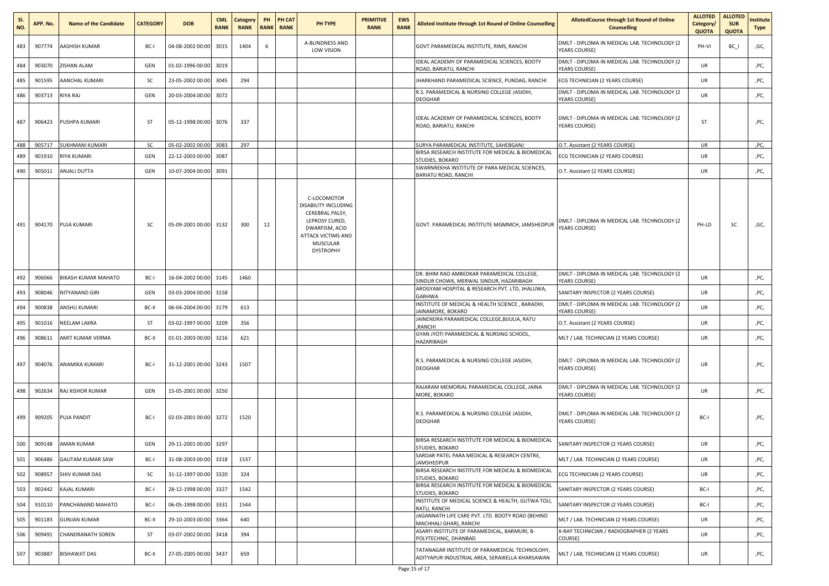| SI.<br>NO. | APP. No. | <b>Name of the Candidate</b> | <b>CATEGORY</b> | <b>DOB</b>            | <b>CML</b><br><b>RANK</b> | Category<br><b>RANK</b> | PH | PH CAT<br><b>RANK RANK</b> | PH TYPE                                                                                                                                                 | <b>PRIMITIVE</b><br><b>RANK</b> | <b>EWS</b><br><b>RANK</b> | Alloted Institute through 1st Round of Online Counselling                                         | <b>AllotedCourse through 1st Round of Online</b><br><b>Counselling</b> | <b>ALLOTED</b><br>Category/<br><b>QUOTA</b> | <b>ALLOTED</b><br><b>SUB</b><br><b>QUOTA</b> | nstitute<br><b>Type</b> |
|------------|----------|------------------------------|-----------------|-----------------------|---------------------------|-------------------------|----|----------------------------|---------------------------------------------------------------------------------------------------------------------------------------------------------|---------------------------------|---------------------------|---------------------------------------------------------------------------------------------------|------------------------------------------------------------------------|---------------------------------------------|----------------------------------------------|-------------------------|
| 483        | 907774   | AASHISH KUMAR                | BC-I            | 04-08-2002 00:00      | 3015                      | 1404                    | 6  |                            | A-BLINDNESS AND<br>LOW VISION                                                                                                                           |                                 |                           | GOVT.PARAMEDICAL INSTITUTE, RIMS, RANCHI                                                          | DMLT - DIPLOMA IN MEDICAL LAB. TECHNOLOGY (2<br><b>YEARS COURSE)</b>   | PH-VI                                       | BC I                                         | ,GC,                    |
| 484        | 903070   | ZISHAN ALAM                  | GEN             | 01-02-1996 00:00      | 3019                      |                         |    |                            |                                                                                                                                                         |                                 |                           | IDEAL ACADEMY OF PARAMEDICAL SCIENCES, BOOTY<br>ROAD, BARIATU, RANCHI                             | DMLT - DIPLOMA IN MEDICAL LAB. TECHNOLOGY (2<br><b>YEARS COURSE)</b>   | UR                                          |                                              | ,PC,                    |
| 485        | 901595   | AANCHAL KUMARI               | SC              | 23-05-2002 00:00      | 3045                      | 294                     |    |                            |                                                                                                                                                         |                                 |                           | JHARKHAND PARAMEDICAL SCIENCE, PUNDAG, RANCHI                                                     | ECG TECHNICIAN (2 YEARS COURSE)                                        | UR                                          |                                              | ,PC,                    |
| 486        | 903713   | <b>RIYA RAJ</b>              | GEN             | 20-03-2004 00:00      | 3072                      |                         |    |                            |                                                                                                                                                         |                                 |                           | R.S. PARAMEDICAL & NURSING COLLEGE JASIDIH,<br><b>DEOGHAR</b>                                     | DMLT - DIPLOMA IN MEDICAL LAB. TECHNOLOGY (2<br>YEARS COURSE)          | UR                                          |                                              | ,PC,                    |
| 487        | 906423   | PUSHPA KUMARI                | ST              | 05-12-1998 00:00 3076 |                           | 337                     |    |                            |                                                                                                                                                         |                                 |                           | IDEAL ACADEMY OF PARAMEDICAL SCIENCES, BOOTY<br>ROAD, BARIATU, RANCHI                             | DMLT - DIPLOMA IN MEDICAL LAB. TECHNOLOGY (2<br>YEARS COURSE)          | ST                                          |                                              | ,PC,                    |
| 488        | 905717   | <b>SUKHMANI KUMARI</b>       | <b>SC</b>       | 05-02-2002 00:00 3083 |                           | 297                     |    |                            |                                                                                                                                                         |                                 |                           | SURYA PARAMEDICAL INSTITUTE, SAHEBGANJ<br>BIRSA RESEARCH INSTITUTE FOR MEDICAL & BIOMEDICAL       | O.T. Assistant (2 YEARS COURSE)                                        | UR                                          |                                              | ,PC,                    |
| 489        | 901910   | RIYA KUMARI                  | GEN             | 22-12-2003 00:00      | 3087                      |                         |    |                            |                                                                                                                                                         |                                 |                           | STUDIES, BOKARO                                                                                   | ECG TECHNICIAN (2 YEARS COURSE)                                        | UR                                          |                                              | ,PC,                    |
| 490        | 905011   | ANJALI DUTTA                 | GEN             | 10-07-2004 00:00      | 3091                      |                         |    |                            |                                                                                                                                                         |                                 |                           | SWARNREKHA INSTITUTE OF PARA MEDICAL SCIENCES,<br>BARIATU ROAD, RANCHI                            | O.T. Assistant (2 YEARS COURSE)                                        | UR                                          |                                              | ,PC,                    |
| 491        | 904170   | <b>PUJA KUMARI</b>           | <b>SC</b>       | 05-09-2001 00:00 3132 |                           | 300                     | 12 |                            | C-LOCOMOTOR<br>DISABILITY INCLUDING<br>CEREBRAL PALSY,<br>LEPROSY CURED,<br>DWARFISM, ACID<br><b>ATTACK VICTIMS AND</b><br>MUSCULAR<br><b>DYSTROPHY</b> |                                 |                           | GOVT. PARAMEDICAL INSTITUTE MGMMCH, JAMSHEDPUR                                                    | DMLT - DIPLOMA IN MEDICAL LAB. TECHNOLOGY (2<br>YEARS COURSE)          | PH-LD                                       | sc                                           | ,GC,                    |
| 492        | 906066   | BIKASH KUMAR MAHATO          | BC-I            | 16-04-2002 00:00      | 3145                      | 1460                    |    |                            |                                                                                                                                                         |                                 |                           | DR. BHIM RAO AMBEDKAR PARAMEDICAL COLLEGE,<br>SINDUR CHOWK, MERWAL SINDUR, HAZARIBAGH             | DMLT - DIPLOMA IN MEDICAL LAB. TECHNOLOGY (2<br>YEARS COURSE)          | <b>UR</b>                                   |                                              | ,PC,                    |
| 493        | 908046   | NITYANAND GIRI               | GEN             | 03-03-2004 00:00      | 3158                      |                         |    |                            |                                                                                                                                                         |                                 |                           | AROGYAM HOSPITAL & RESEARCH PVT. LTD, JHALUWA,<br><b>GARHWA</b>                                   | SANITARY INSPECTOR (2 YEARS COURSE)                                    | UR                                          |                                              | ,PC,                    |
| 494        | 900838   | ANSHU KUMARI                 | BC-II           | 06-04-2004 00:00      | 3179                      | 613                     |    |                            |                                                                                                                                                         |                                 |                           | INSTITUTE OF MEDICAL & HEALTH SCIENCE, BARADIH,<br>JAINAMORE, BOKARO                              | DMLT - DIPLOMA IN MEDICAL LAB. TECHNOLOGY (2<br><b>YEARS COURSE)</b>   | UR                                          |                                              | ,PC,                    |
| 495        | 901016   | NEELAM LAKRA                 | ST              | 03-02-1997 00:00      | 3209                      | 356                     |    |                            |                                                                                                                                                         |                                 |                           | JAINENDRA PARAMEDICAL COLLEGE, BIJULIA, RATU<br>,RANCHI                                           | O.T. Assistant (2 YEARS COURSE)                                        | UR                                          |                                              | ,PC,                    |
| 496        | 908611   | AMIT KUMAR VERMA             | BC-II           | 01-01-2003 00:00      | 3216                      | 621                     |    |                            |                                                                                                                                                         |                                 |                           | GYAN JYOTI PARAMEDICAL & NURSING SCHOOL,<br>HAZARIBAGH                                            | MLT / LAB. TECHNICIAN (2 YEARS COURSE)                                 | UR                                          |                                              | ,PC,                    |
| 497        | 904076   | ANAMIKA KUMARI               | BC-I            | 31-12-2001 00:00 3243 |                           | 1507                    |    |                            |                                                                                                                                                         |                                 |                           | R.S. PARAMEDICAL & NURSING COLLEGE JASIDIH,<br><b>DEOGHAR</b>                                     | DMLT - DIPLOMA IN MEDICAL LAB. TECHNOLOGY (2<br><b>YEARS COURSE)</b>   | UR                                          |                                              | ,PC,                    |
| 498        | 902634   | RAJ KISHOR KUMAR             | GEN             | 15-05-2001 00:00 3250 |                           |                         |    |                            |                                                                                                                                                         |                                 |                           | RAJARAM MEMORIAL PARAMEDICAL COLLEGE, JAINA<br>MORE, BOKARO                                       | DMLT - DIPLOMA IN MEDICAL LAB. TECHNOLOGY (2<br>YEARS COURSE)          | UR                                          |                                              | ,PC,                    |
| 499        | 909205   | <b>PUJA PANDIT</b>           | BC-I            | 02-03-2001 00:00 3272 |                           | 1520                    |    |                            |                                                                                                                                                         |                                 |                           | R.S. PARAMEDICAL & NURSING COLLEGE JASIDIH,<br><b>DEOGHAR</b>                                     | DMLT - DIPLOMA IN MEDICAL LAB. TECHNOLOGY (2<br>YEARS COURSE)          | BC-I                                        |                                              | ,PC,                    |
| 500        | 909148   | <b>AMAN KUMAR</b>            | GEN             | 29-11-2001 00:00 3297 |                           |                         |    |                            |                                                                                                                                                         |                                 |                           | BIRSA RESEARCH INSTITUTE FOR MEDICAL & BIOMEDICAL<br>STUDIES, BOKARO                              | SANITARY INSPECTOR (2 YEARS COURSE)                                    | UR                                          |                                              | ,PC,                    |
| 501        | 906486   | <b>GAUTAM KUMAR SAW</b>      | BC-I            | 31-08-2003 00:00 3318 |                           | 1537                    |    |                            |                                                                                                                                                         |                                 |                           | SARDAR PATEL PARA MEDICAL & RESEARCH CENTRE,<br><b>JAMSHEDPUR</b>                                 | MLT / LAB. TECHNICIAN (2 YEARS COURSE)                                 | UR                                          |                                              | ,PC,                    |
| 502        | 908957   | SHIV KUMAR DAS               | <b>SC</b>       | 31-12-1997 00:00      | 3320                      | 324                     |    |                            |                                                                                                                                                         |                                 |                           | BIRSA RESEARCH INSTITUTE FOR MEDICAL & BIOMEDICAL<br>STUDIES, BOKARO                              | ECG TECHNICIAN (2 YEARS COURSE)                                        | UR                                          |                                              | ,PC,                    |
| 503        | 902442   | KAJAL KUMARI                 | BC-I            | 28-12-1998 00:00      | 3327                      | 1542                    |    |                            |                                                                                                                                                         |                                 |                           | BIRSA RESEARCH INSTITUTE FOR MEDICAL & BIOMEDICAL<br>STUDIES, BOKARO                              | SANITARY INSPECTOR (2 YEARS COURSE)                                    | BC-I                                        |                                              | ,PC,                    |
| 504        | 910110   | PANCHANAND MAHATO            | BC-I            | 06-05-1998 00:00      | 3331                      | 1544                    |    |                            |                                                                                                                                                         |                                 |                           | INSTITUTE OF MEDICAL SCIENCE & HEALTH, GUTWA TOLI,<br>RATU, RANCHI                                | SANITARY INSPECTOR (2 YEARS COURSE)                                    | BC-I                                        |                                              | ,PC,                    |
| 505        | 901183   | <b>GUNJAN KUMAR</b>          | BC-II           | 29-10-2003 00:00      | 3364                      | 640                     |    |                            |                                                                                                                                                         |                                 |                           | JAGANNATH LIFE CARE PVT. LTD. BOOTY ROAD (BEHIND<br>MACHHALI GHAR), RANCHI                        | MLT / LAB. TECHNICIAN (2 YEARS COURSE)                                 | UR                                          |                                              | ,PC,                    |
| 506        | 909491   | <b>CHANDRANATH SOREN</b>     | ST              | 03-07-2002 00:00      | 3418                      | 394                     |    |                            |                                                                                                                                                         |                                 |                           | ASARFI INSTITUTE OF PARAMEDICAL, BARMURI, B-<br>POLYTECHNIC, DHANBAD                              | X-RAY TECHNICIAN / RADIOGRAPHER (2 YEARS<br>COURSE)                    | UR                                          |                                              | ,PC,                    |
| 507        | 903887   | <b>BISHAWJIT DAS</b>         | BC-II           | 27-05-2005 00:00 3437 |                           | 659                     |    |                            |                                                                                                                                                         |                                 |                           | TATANAGAR INSTITUTE OF PARAMEDICAL TECHNOLOHY,<br>ADITYAPUR INDUSTRIAL AREA, SERAIKELLA-KHARSAWAN | MLT / LAB. TECHNICIAN (2 YEARS COURSE)                                 | UR                                          |                                              | ,PC,                    |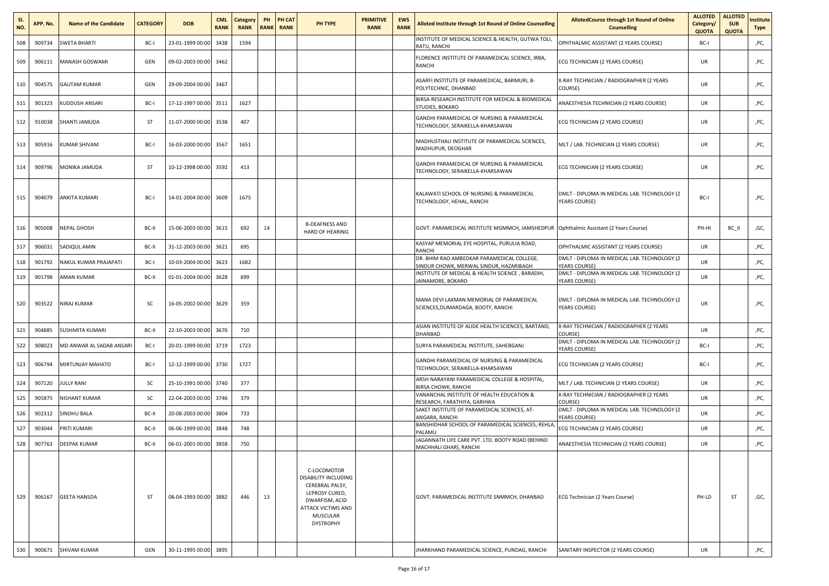| SI.<br>NO. | APP. No. | <b>Name of the Candidate</b> | <b>CATEGORY</b> | <b>DOB</b>            | <b>CML</b><br><b>RANK</b> | <b>Category</b><br><b>RANK</b> | PH<br><b>RANK</b> | <b>PH CAT</b><br><b>RANK</b> | PH TYPE                                                                                                                                                 | <b>PRIMITIVE</b><br><b>RANK</b> | <b>EWS</b><br><b>RANK</b> | Alloted Institute through 1st Round of Online Counselling                              | AllotedCourse through 1st Round of Online<br><b>Counselling</b>             | <b>ALLOTED</b><br>Category/<br>QUOTA | <b>ALLOTED</b><br><b>SUB</b><br><b>QUOTA</b> | nstitute<br><b>Type</b> |
|------------|----------|------------------------------|-----------------|-----------------------|---------------------------|--------------------------------|-------------------|------------------------------|---------------------------------------------------------------------------------------------------------------------------------------------------------|---------------------------------|---------------------------|----------------------------------------------------------------------------------------|-----------------------------------------------------------------------------|--------------------------------------|----------------------------------------------|-------------------------|
| 508        | 909734   | SWETA BHARTI                 | BC-I            | 23-01-1999 00:00      | 3438                      | 1594                           |                   |                              |                                                                                                                                                         |                                 |                           | INSTITUTE OF MEDICAL SCIENCE & HEALTH, GUTWA TOLI,<br>RATU, RANCHI                     | OPHTHALMIC ASSISTANT (2 YEARS COURSE)                                       | BC-I                                 |                                              | ,PC,                    |
| 509        | 906111   | MANASH GOSWAMI               | GEN             | 09-02-2003 00:00 3462 |                           |                                |                   |                              |                                                                                                                                                         |                                 |                           | FLORENCE INSTITUTE OF PARAMEDICAL SCIENCE, IRBA,<br>RANCHI                             | ECG TECHNICIAN (2 YEARS COURSE)                                             | UR                                   |                                              | ,PC,                    |
| 510        | 904575   | <b>GAUTAM KUMAR</b>          | GEN             | 29-09-2004 00:00 3467 |                           |                                |                   |                              |                                                                                                                                                         |                                 |                           | ASARFI INSTITUTE OF PARAMEDICAL, BARMURI, B-<br>POLYTECHNIC, DHANBAD                   | X-RAY TECHNICIAN / RADIOGRAPHER (2 YEARS<br>COURSE)                         | UR                                   |                                              | ,PC,                    |
| 511        | 901323   | <b>KUDDUSH ANSARI</b>        | BC-I            | 17-12-1997 00:00 3511 |                           | 1627                           |                   |                              |                                                                                                                                                         |                                 |                           | BIRSA RESEARCH INSTITUTE FOR MEDICAL & BIOMEDICAL<br>STUDIES, BOKARO                   | ANAESTHESIA TECHNICIAN (2 YEARS COURSE)                                     | <b>UR</b>                            |                                              | ,PC,                    |
| 512        | 910038   | SHANTI JAMUDA                | ST              | 11-07-2000 00:00      | 3538                      | 407                            |                   |                              |                                                                                                                                                         |                                 |                           | GANDHI PARAMEDICAL OF NURSING & PARAMEDICAL<br>TECHNOLOGY, SERAIKELLA-KHARSAWAN        | ECG TECHNICIAN (2 YEARS COURSE)                                             | UR                                   |                                              | ,PC,                    |
| 513        | 905916   | KUMAR SHIVAM                 | BC-I            | 16-03-2000 00:00 3567 |                           | 1651                           |                   |                              |                                                                                                                                                         |                                 |                           | MADHUSTHALI INSTITUTE OF PARAMEDICAL SCIENCES,<br>MADHUPUR, DEOGHAR                    | MLT / LAB. TECHNICIAN (2 YEARS COURSE)                                      | UR                                   |                                              | ,PC,                    |
| 514        | 909796   | MONIKA JAMUDA                | ST              | 10-12-1998 00:00      | 3592                      | 413                            |                   |                              |                                                                                                                                                         |                                 |                           | GANDHI PARAMEDICAL OF NURSING & PARAMEDICAL<br>TECHNOLOGY, SERAIKELLA-KHARSAWAN        | ECG TECHNICIAN (2 YEARS COURSE)                                             | UR                                   |                                              | ,PC,                    |
| 515        | 904079   | <b>ANKITA KUMARI</b>         | BC-I            | 14-01-2004 00:00 3609 |                           | 1675                           |                   |                              |                                                                                                                                                         |                                 |                           | KALAWATI SCHOOL OF NURSING & PARAMEDICAL<br>TECHNOLOGY, HEHAL, RANCHI                  | DMLT - DIPLOMA IN MEDICAL LAB. TECHNOLOGY (2<br>YEARS COURSE)               | BC-I                                 |                                              | ,PC,                    |
| 516        | 905008   | <b>NEPAL GHOSH</b>           | BC-II           | 15-06-2003 00:00      | 3615                      | 692                            | 14                |                              | <b>B-DEAFNESS AND</b><br><b>HARD OF HEARING</b>                                                                                                         |                                 |                           | GOVT. PARAMEDICAL INSTITUTE MGMMCH, JAMSHEDPUR   Ophthalmic Assistant (2 Years Course) |                                                                             | PH-HI                                | BC II                                        | ,GC,                    |
| 517        | 906031   | SADIQUL AMIN                 | BC-II           | 31-12-2003 00:00      | 3621                      | 695                            |                   |                              |                                                                                                                                                         |                                 |                           | KASYAP MEMORIAL EYE HOSPITAL, PURULIA ROAD,<br><b>RANCHI</b>                           | OPHTHALMIC ASSISTANT (2 YEARS COURSE)                                       | UR                                   |                                              | ,PC,                    |
| 518        | 901792   | NAKUL KUMAR PRAJAPATI        | BC-I            | 10-03-2004 00:00      | 3623                      | 1682                           |                   |                              |                                                                                                                                                         |                                 |                           | DR. BHIM RAO AMBEDKAR PARAMEDICAL COLLEGE,<br>SINDUR CHOWK, MERWAL SINDUR, HAZARIBAGH  | DMLT - DIPLOMA IN MEDICAL LAB. TECHNOLOGY (2<br><b><i>YEARS COURSE)</i></b> | <b>UR</b>                            |                                              | ,PC,                    |
| 519        | 901798   | AMAN KUMAR                   | BC-II           | 01-01-2004 00:00      | 3628                      | 699                            |                   |                              |                                                                                                                                                         |                                 |                           | INSTITUTE OF MEDICAL & HEALTH SCIENCE, BARADIH,<br><b>JAINAMORE, BOKARO</b>            | DMLT - DIPLOMA IN MEDICAL LAB. TECHNOLOGY (2<br>YEARS COURSE)               | <b>UR</b>                            |                                              | ,PC,                    |
| 520        | 903522   | <b>NIRAJ KUMAR</b>           | SC              | 16-05-2002 00:00 3629 |                           | 359                            |                   |                              |                                                                                                                                                         |                                 |                           | MANA DEVI LAXMAN MEMORIAL OF PARAMEDICAL<br>SCIENCES, DUMARDAGA, BOOTY, RANCHI         | DMLT - DIPLOMA IN MEDICAL LAB. TECHNOLOGY (2<br>YEARS COURSE)               | <b>UR</b>                            |                                              | ,PC,                    |
| 521        | 904885   | SUSHMITA KUMARI              | BC-II           | 22-10-2003 00:00      | 3676                      | 710                            |                   |                              |                                                                                                                                                         |                                 |                           | ASIAN INSTITUTE OF ALIDE HEALTH SCIENCES, BARTAND,<br>DHANBAD                          | X-RAY TECHNICIAN / RADIOGRAPHER (2 YEARS<br>COURSE)                         | UR                                   |                                              | ,PC,                    |
| 522        | 908023   | MD ANWAR AL SADAB ANSARI     | BC-I            | 20-01-1999 00:00      | 3719                      | 1723                           |                   |                              |                                                                                                                                                         |                                 |                           | SURYA PARAMEDICAL INSTITUTE, SAHEBGANJ                                                 | DMLT - DIPLOMA IN MEDICAL LAB. TECHNOLOGY (2<br><b>YEARS COURSE)</b>        | BC-I                                 |                                              | ,PC,                    |
| 523        | 906794   | MIRTUNJAY MAHATO             | BC-I            | 12-12-1999 00:00      | 3730                      | 1727                           |                   |                              |                                                                                                                                                         |                                 |                           | GANDHI PARAMEDICAL OF NURSING & PARAMEDICAL<br>TECHNOLOGY, SERAIKELLA-KHARSAWAN        | ECG TECHNICIAN (2 YEARS COURSE)                                             | BC-I                                 |                                              | ,PC,                    |
| 524        | 907120   | JULLY RANI                   | SC              | 25-10-1991 00:00      | 3740                      | 377                            |                   |                              |                                                                                                                                                         |                                 |                           | ARSH NARAYANI PARAMEDICAL COLLEGE & HOSPITAL,<br><b>BIRSA CHOWK, RANCHI</b>            | MLT / LAB. TECHNICIAN (2 YEARS COURSE)                                      | <b>UR</b>                            |                                              | ,PC,                    |
| 525        | 905875   | NISHANT KUMAR                | SC              | 22-04-2003 00:00 3746 |                           | 379                            |                   |                              |                                                                                                                                                         |                                 |                           | VANANCHAL INSTITUTE OF HEALTH EDUCATION &<br>RESEARCH, FARATHIYA, GARHWA               | X-RAY TECHNICIAN / RADIOGRAPHER (2 YEARS<br>COURSE)                         | <b>UR</b>                            |                                              | ,PC,                    |
| 526        | 902312   | SINDHU BALA                  | BC-II           | 20-08-2003 00:00      | 3804                      | 733                            |                   |                              |                                                                                                                                                         |                                 |                           | SAKET INSTITUTE OF PARAMEDICAL SCIENCES, AT-<br>ANGARA, RANCHI                         | DMLT - DIPLOMA IN MEDICAL LAB. TECHNOLOGY (2<br><b>YEARS COURSE)</b>        | UR                                   |                                              | ,PC,                    |
| 527        | 903044   | PRITI KUMARI                 | BC-II           | 06-06-1999 00:00      | 3848                      | 748                            |                   |                              |                                                                                                                                                         |                                 |                           | BANSHIDHAR SCHOOL OF PARAMEDICAL SCIENCES, REHLA<br>PALAMU                             | ECG TECHNICIAN (2 YEARS COURSE)                                             | <b>UR</b>                            |                                              | ,PC,                    |
| 528        | 907763   | <b>DEEPAK KUMAR</b>          | BC-II           | 06-01-2001 00:00      | 3858                      | 750                            |                   |                              |                                                                                                                                                         |                                 |                           | JAGANNATH LIFE CARE PVT. LTD. BOOTY ROAD (BEHIND<br>MACHHALI GHAR), RANCHI             | ANAESTHESIA TECHNICIAN (2 YEARS COURSE)                                     | UR                                   |                                              | ,PC,                    |
| 529        | 906167   | <b>GEETA HANSDA</b>          | ST              | 08-04-1993 00:00 3882 |                           | 446                            | 13                |                              | C-LOCOMOTOR<br>DISABILITY INCLUDING<br>CEREBRAL PALSY,<br>LEPROSY CURED,<br>DWARFISM, ACID<br><b>ATTACK VICTIMS AND</b><br>MUSCULAR<br><b>DYSTROPHY</b> |                                 |                           | GOVT. PARAMEDICAL INSTITUTE SNMMCH, DHANBAD                                            | ECG Technician (2 Years Course)                                             | PH-LD                                | ST                                           | ,GC,                    |
| 530        | 900671   | SHIVAM KUMAR                 | GEN             | 30-11-1995 00:00      | 3895                      |                                |                   |                              |                                                                                                                                                         |                                 |                           | JHARKHAND PARAMEDICAL SCIENCE, PUNDAG, RANCHI                                          | SANITARY INSPECTOR (2 YEARS COURSE)                                         | <b>UR</b>                            |                                              | ,PC,                    |